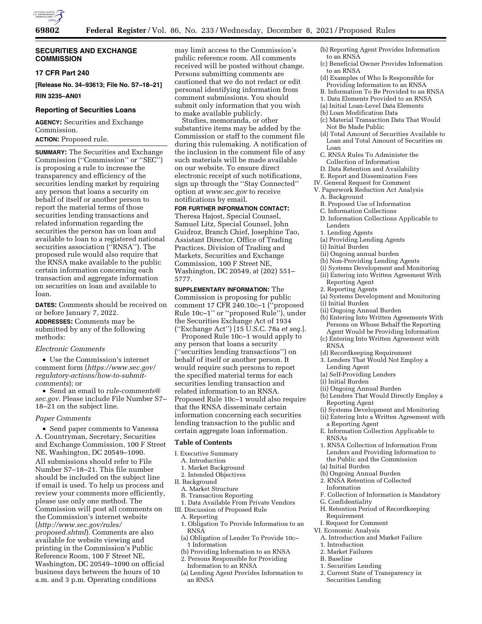

### **SECURITIES AND EXCHANGE COMMISSION**

### **17 CFR Part 240**

**[Release No. 34–93613; File No. S7–18–21]** 

**RIN 3235–AN01** 

#### **Reporting of Securities Loans**

**AGENCY:** Securities and Exchange Commission.

# **ACTION:** Proposed rule.

**SUMMARY:** The Securities and Exchange Commission (''Commission'' or ''SEC'') is proposing a rule to increase the transparency and efficiency of the securities lending market by requiring any person that loans a security on behalf of itself or another person to report the material terms of those securities lending transactions and related information regarding the securities the person has on loan and available to loan to a registered national securities association (''RNSA''). The proposed rule would also require that the RNSA make available to the public certain information concerning each transaction and aggregate information on securities on loan and available to loan.

**DATES:** Comments should be received on or before January 7, 2022. **ADDRESSES:** Comments may be submitted by any of the following

### *Electronic Comments*

methods:

• Use the Commission's internet comment form (*https:/[/www.sec.gov/](http://www.sec.gov)  regulatory-actions/how-to-submitcomments*); or

• Send an email to *[rule-comments@](mailto:rule-comments@sec.gov) [sec.gov.](mailto:rule-comments@sec.gov)* Please include File Number S7– 18–21 on the subject line.

#### *Paper Comments*

• Send paper comments to Vanessa A. Countryman, Secretary, Securities and Exchange Commission, 100 F Street NE, Washington, DC 20549–1090. All submissions should refer to File Number S7–18–21. This file number should be included on the subject line if email is used. To help us process and review your comments more efficiently, please use only one method. The Commission will post all comments on the Commission's internet website (*[http://www.sec.gov/rules/](http://www.sec.gov/rules/proposed.shtml)  [proposed.shtml](http://www.sec.gov/rules/proposed.shtml)*). Comments are also available for website viewing and printing in the Commission's Public Reference Room, 100 F Street NE, Washington, DC 20549–1090 on official business days between the hours of 10 a.m. and 3 p.m. Operating conditions

may limit access to the Commission's public reference room. All comments received will be posted without change. Persons submitting comments are cautioned that we do not redact or edit personal identifying information from comment submissions. You should submit only information that you wish to make available publicly.

Studies, memoranda, or other substantive items may be added by the Commission or staff to the comment file during this rulemaking. A notification of the inclusion in the comment file of any such materials will be made available on our website. To ensure direct electronic receipt of such notifications, sign up through the ''Stay Connected'' option at *[www.sec.gov](http://www.sec.gov)* to receive notifications by email.

# **FOR FURTHER INFORMATION CONTACT:**

Theresa Hajost, Special Counsel, Samuel Litz, Special Counsel, John Guidroz, Branch Chief, Josephine Tao, Assistant Director, Office of Trading Practices, Division of Trading and Markets, Securities and Exchange Commission, 100 F Street NE, Washington, DC 20549, at (202) 551– 5777.

**SUPPLEMENTARY INFORMATION:** The Commission is proposing for public comment 17 CFR 240.10c–1 (''proposed Rule 10c–1'' or ''proposed Rule''), under the Securities Exchange Act of 1934 (''Exchange Act'') [15 U.S.C. 78a *et seq.*].

Proposed Rule 10c–1 would apply to any person that loans a security (''securities lending transactions'') on behalf of itself or another person. It would require such persons to report the specified material terms for each securities lending transaction and related information to an RNSA. Proposed Rule 10c–1 would also require that the RNSA disseminate certain information concerning each securities lending transaction to the public and certain aggregate loan information.

### **Table of Contents**

- I. Executive Summary
- A. Introduction
- 1. Market Background
- 2. Intended Objectives
- II. Background
- A. Market Structure
- B. Transaction Reporting
- 1. Data Available From Private Vendors
- III. Discussion of Proposed Rule
- A. Reporting
- 1. Obligation To Provide Information to an RNSA
- (a) Obligation of Lender To Provide 10c– 1 Information
- (b) Providing Information to an RNSA
- 2. Persons Responsible for Providing Information to an RNSA
- (a) Lending Agent Provides Information to an RNSA
- (b) Reporting Agent Provides Information to an RNSA
- (c) Beneficial Owner Provides Information to an RNSA
- (d) Examples of Who Is Responsible for Providing Information to an RNSA
- B. Information To Be Provided to an RNSA
- 1. Data Elements Provided to an RNSA
- (a) Initial Loan-Level Data Elements
- (b) Loan Modification Data
- (c) Material Transaction Data That Would Not Be Made Public
- (d) Total Amount of Securities Available to Loan and Total Amount of Securities on Loan
- C. RNSA Rules To Administer the Collection of Information
- D. Data Retention and Availability
- E. Report and Dissemination Fees
- IV. General Request for Comment
- V. Paperwork Reduction Act Analysis
	- A. Background
	- B. Proposed Use of Information
	- C. Information Collections
	- D. Information Collections Applicable to Lenders
	- 1. Lending Agents
	- (a) Providing Lending Agents
	- (i) Initial Burden
	- (ii) Ongoing annual burden
	- (b) Non-Providing Lending Agents
	- (i) Systems Development and Monitoring
	- (ii) Entering into Written Agreement With Reporting Agent
	- 2. Reporting Agents
	- (a) Systems Development and Monitoring
	- (i) Initial Burden
	- (ii) Ongoing Annual Burden
	- (b) Entering Into Written Agreements With Persons on Whose Behalf the Reporting Agent Would be Providing Information
	- (c) Entering Into Written Agreement with RNSA
	- (d) Recordkeeping Requirement
	- 3. Lenders That Would Not Employ a Lending Agent
	- (a) Self-Providing Lenders
	- (i) Initial Burden
- (ii) Ongoing Annual Burden
- (b) Lenders That Would Directly Employ a Reporting Agent
- (i) Systems Development and Monitoring
- (ii) Entering Into a Written Agreement with a Reporting Agent
- E. Information Collection Applicable to RNSAs
- 1. RNSA Collection of Information From Lenders and Providing Information to the Public and the Commission (a) Initial Burden
- 
- (b) Ongoing Annual Burden
- 2. RNSA Retention of Collected Information
- F. Collection of Information is Mandatory
- G. Confidentiality
- H. Retention Period of Recordkeeping Requirement
- I. Request for Comment
- VI. Economic Analysis
	- A. Introduction and Market Failure
	- 1. Introduction
	- 2. Market Failures
	- B. Baseline
	- 1. Securities Lending
	- 2. Current State of Transparency in Securities Lending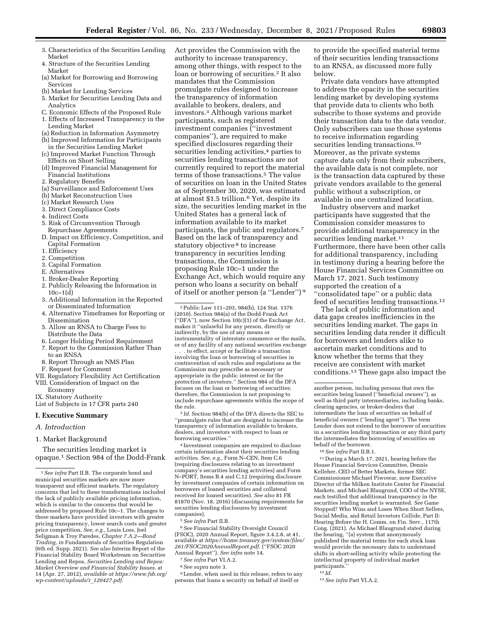- 3. Characteristics of the Securities Lending Market
- 4. Structure of the Securities Lending Market
- (a) Market for Borrowing and Borrowing Services
- (b) Market for Lending Services
- 5. Market for Securities Lending Data and Analytics
- C. Economic Effects of the Proposed Rule
- 1. Effects of Increased Transparency in the Lending Market
- (a) Reduction in Information Asymmetry
- (b) Improved Information for Participants in the Securities Lending Market
- (c) Improved Market Function Through Effects on Short Selling
- (d) Improved Financial Management for Financial Institutions
- 2. Regulatory Benefits
- (a) Surveillance and Enforcement Uses
- (b) Market Reconstruction Uses
- (c) Market Research Uses
- 3. Direct Compliance Costs
- 4. Indirect Costs
- 5. Risk of Circumvention Through Repurchase Agreements
- D. Impact on Efficiency, Competition, and Capital Formation
- 1. Efficiency
- 2. Competition
- 3. Capital Formation
- E. Alternatives
- 1. Broker-Dealer Reporting
- 2. Publicly Releasing the Information in  $10c-1(d)$
- 3. Additional Information in the Reported or Disseminated Information
- 4. Alternative Timeframes for Reporting or Dissemination
- 5. Allow an RNSA to Charge Fees to Distribute the Data
- 6. Longer Holding Period Requirement
- 7. Report to the Commission Rather Than to an RNSA
- 8. Report Through an NMS Plan
- F. Request for Comment
- VII. Regulatory Flexibility Act Certification
- VIII. Consideration of Impact on the
- Economy
- IX. Statutory Authority
- List of Subjects in 17 CFR parts 240

### **I. Executive Summary**

### *A. Introduction*

### 1. Market Background

The securities lending market is opaque.1 Section 984 of the Dodd-Frank Act provides the Commission with the authority to increase transparency, among other things, with respect to the loan or borrowing of securities.2 It also mandates that the Commission promulgate rules designed to increase the transparency of information available to brokers, dealers, and investors.3 Although various market participants, such as registered investment companies (''investment companies''), are required to make specified disclosures regarding their securities lending activities,<sup>4</sup> parties to securities lending transactions are not currently required to report the material terms of those transactions.5 The value of securities on loan in the United States as of September 30, 2020, was estimated at almost \$1.5 trillion.6 Yet, despite its size, the securities lending market in the United States has a general lack of information available to its market participants, the public and regulators.7 Based on the lack of transparency and statutory objective <sup>8</sup> to increase transparency in securities lending transactions, the Commission is proposing Rule 10c–1 under the Exchange Act, which would require any person who loans a security on behalf of itself or another person (a ''Lender'') 9

2Public Law 111–203, 984(b), 124 Stat. 1376 (2010). Section 984(a) of the Dodd-Frank Act (''DFA''), now Section 10(c)(1) of the Exchange Act, makes it ''unlawful for any person, directly or indirectly, by the use of any means or instrumentality of interstate commerce or the mails, or of any facility of any national securities exchange . . . to effect, accept or facilitate a transaction involving the loan or borrowing of securities in contravention of such rules and regulations as the Commission may prescribe as necessary or appropriate in the public interest or for the protection of investors.'' Section 984 of the DFA focuses on the loan or borrowing of securities; therefore, the Commission is not proposing to include repurchase agreements within the scope of the rule.

3 *Id.* Section 984(b) of the DFA directs the SEC to ''promulgate rules that are designed to increase the transparency of information available to brokers, dealers, and investors with respect to loan or borrowing securities.''

4 Investment companies are required to disclose certain information about their securities lending activities. *See, e.g.,* Form N–CEN, Item C.6 (requiring disclosures relating to an investment company's securities lending activities) and Form N–PORT, Items B.4 and C.12 (requiring disclosure by investment companies of certain information on borrowers of loaned securities and collateral received for loaned securities). *See also* 81 FR 81870 (Nov. 18, 2016) (discussing requirements for securities lending disclosures by investment companies).

5*See infra* Part II.B.

6*See* Financial Stability Oversight Council (FSOC), 2020 Annual Report, figure 3.4.2.8, at 41, available at *[https://home.treasury.gov/system/files/](https://home.treasury.gov/system/files/261/FSOC2020AnnualReport.pdf)  [261/FSOC2020AnnualReport.pdf.](https://home.treasury.gov/system/files/261/FSOC2020AnnualReport.pdf)* (''FSOC 2020 Annual Report''). *See infra* note 14.

- 7*See infra* Part VI.A.2.
- 8*See supra* note 3.

9Lender, when used in this release, refers to any persons that loans a security on behalf of itself or

to provide the specified material terms of their securities lending transactions to an RNSA, as discussed more fully below.

Private data vendors have attempted to address the opacity in the securities lending market by developing systems that provide data to clients who both subscribe to those systems and provide their transaction data to the data vendor. Only subscribers can use those systems to receive information regarding securities lending transactions.<sup>10</sup> Moreover, as the private systems capture data only from their subscribers, the available data is not complete, nor is the transaction data captured by these private vendors available to the general public without a subscription, or available in one centralized location.

Industry observers and market participants have suggested that the Commission consider measures to provide additional transparency in the securities lending market.<sup>11</sup> Furthermore, there have been other calls for additional transparency, including in testimony during a hearing before the House Financial Services Committee on March 17, 2021. Such testimony supported the creation of a ''consolidated tape'' or a public data feed of securities lending transactions.12

The lack of public information and data gaps creates inefficiencies in the securities lending market. The gaps in securities lending data render it difficult for borrowers and lenders alike to ascertain market conditions and to know whether the terms that they receive are consistent with market conditions.13 These gaps also impact the

10*See infra* Part II.B.1.

11 During a March 17, 2021, hearing before the House Financial Services Committee, Dennis Kelleher, CEO of Better Markets, former SEC Commissioner Michael Piwowar, now Executive Director of the Milken Institute Center for Financial Markets, and Michael Blaugrund, COO of the NYSE, each testified that additional transparency in the securities lending market is warranted. *See* Game Stopped? Who Wins and Loses When Short Sellers, Social Media, and Retail Investors Collide, Part II: Hearing Before the H. Comm. on Fin. Serv., 117th Cong. (2021). As Michael Blaugrund stated during the hearing, ''[a] system that anonymously published the material terms for each stock loan would provide the necessary data to understand shifts in short-selling activity while protecting the intellectual property of individual market participants.

13*See infra* Part VI.A.2.

<sup>1</sup>*See infra* Part II.B. The corporate bond and municipal securities markets are now more transparent and efficient markets. The regulatory concerns that led to these transformations included the lack of publicly available pricing information, which is similar to the concerns that would be addressed by proposed Rule 10c–1. The changes to these markets have provided investors with greater pricing transparency, lower search costs and greater price competition. *See, e.g.,* Louis Loss, Joel Seligman & Troy Paredes, *Chapter 7.A.2—Bond Trading, in* Fundamentals of Securities Regulation (6th ed. Supp. 2021). *See also* Interim Report of the Financial Stability Board Workstream on Securities Lending and Repos, *Securities Lending and Repos: Market Overview and Financial Stability Issues,* at 14 (Apr. 27, 2012), *available at [https://www.fsb.org/](https://www.fsb.org/wp-content/uploads/r_120427.pdf)  [wp-content/uploads/r](https://www.fsb.org/wp-content/uploads/r_120427.pdf)*\_*120427.pdf.* 

another person, including persons that own the securities being loaned (''beneficial owners''), as well as third party intermediaries, including banks, clearing agencies, or broker-dealers that intermediate the loan of securities on behalf of beneficial owners (''lending agent''). The term Lender does not extend to the borrower of securities in a securities lending transaction or any third party the intermediates the borrowing of securities on behalf of the borrower.

<sup>12</sup> *Id.*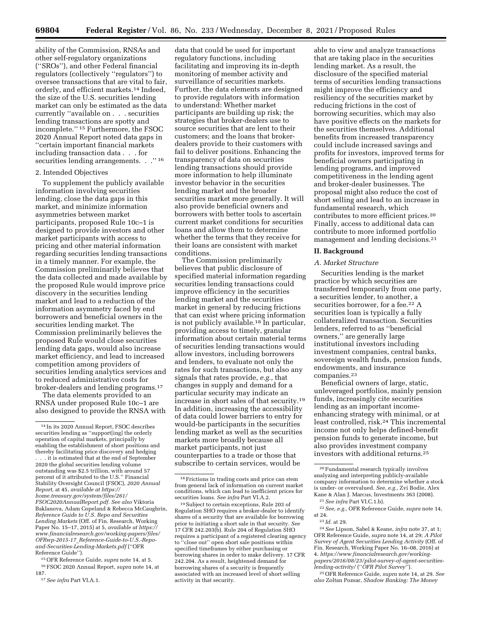ability of the Commission, RNSAs and other self-regulatory organizations (''SROs''), and other Federal financial regulators (collectively ''regulators'') to oversee transactions that are vital to fair, orderly, and efficient markets.14 Indeed, the size of the U.S. securities lending market can only be estimated as the data currently ''available on . . . securities lending transactions are spotty and incomplete.'' 15 Furthermore, the FSOC 2020 Annual Report noted data gaps in ''certain important financial markets including transaction data . . . for securities lending arrangements. . .''  $^{\rm 16}$ 

### 2. Intended Objectives

To supplement the publicly available information involving securities lending, close the data gaps in this market, and minimize information asymmetries between market participants, proposed Rule 10c–1 is designed to provide investors and other market participants with access to pricing and other material information regarding securities lending transactions in a timely manner. For example, the Commission preliminarily believes that the data collected and made available by the proposed Rule would improve price discovery in the securities lending market and lead to a reduction of the information asymmetry faced by end borrowers and beneficial owners in the securities lending market. The Commission preliminarily believes the proposed Rule would close securities lending data gaps, would also increase market efficiency, and lead to increased competition among providers of securities lending analytics services and to reduced administrative costs for broker-dealers and lending programs.17

The data elements provided to an RNSA under proposed Rule 10c–1 are also designed to provide the RNSA with

15OFR Reference Guide, *supra* note 14, at 5. 16FSOC 2020 Annual Report, *supra* note 14, at 187.

data that could be used for important regulatory functions, including facilitating and improving its in-depth monitoring of member activity and surveillance of securities markets. Further, the data elements are designed to provide regulators with information to understand: Whether market participants are building up risk; the strategies that broker-dealers use to source securities that are lent to their customers; and the loans that brokerdealers provide to their customers with fail to deliver positions. Enhancing the transparency of data on securities lending transactions should provide more information to help illuminate investor behavior in the securities lending market and the broader securities market more generally. It will also provide beneficial owners and borrowers with better tools to ascertain current market conditions for securities loans and allow them to determine whether the terms that they receive for their loans are consistent with market conditions.

The Commission preliminarily believes that public disclosure of specified material information regarding securities lending transactions could improve efficiency in the securities lending market and the securities market in general by reducing frictions that can exist where pricing information is not publicly available.18 In particular, providing access to timely, granular information about certain material terms of securities lending transactions would allow investors, including borrowers and lenders, to evaluate not only the rates for such transactions, but also any signals that rates provide, *e.g.,* that changes in supply and demand for a particular security may indicate an increase in short sales of that security.19 In addition, increasing the accessibility of data could lower barriers to entry for would-be participants in the securities lending market as well as the securities markets more broadly because all market participants, not just counterparties to a trade or those that subscribe to certain services, would be

able to view and analyze transactions that are taking place in the securities lending market. As a result, the disclosure of the specified material terms of securities lending transactions might improve the efficiency and resiliency of the securities market by reducing frictions in the cost of borrowing securities, which may also have positive effects on the markets for the securities themselves. Additional benefits from increased transparency could include increased savings and profits for investors, improved terms for beneficial owners participating in lending programs, and improved competitiveness in the lending agent and broker-dealer businesses. The proposal might also reduce the cost of short selling and lead to an increase in fundamental research, which contributes to more efficient prices.20 Finally, access to additional data can contribute to more informed portfolio management and lending decisions.21

### **II. Background**

### *A. Market Structure*

Securities lending is the market practice by which securities are transferred temporarily from one party, a securities lender, to another, a securities borrower, for a fee.22 A securities loan is typically a fully collateralized transaction. Securities lenders, referred to as ''beneficial owners,'' are generally large institutional investors including investment companies, central banks, sovereign wealth funds, pension funds, endowments, and insurance companies.23

Beneficial owners of large, static, unleveraged portfolios, mainly pension funds, increasingly cite securities lending as an important incomeenhancing strategy with minimal, or at least controlled, risk.24 This incremental income not only helps defined-benefit pension funds to generate income, but also provides investment company investors with additional returns.25

<sup>14</sup> In its 2020 Annual Report, FSOC describes securities lending as ''support[ing] the orderly operation of capital markets, principally by enabling the establishment of short positions and thereby facilitating price discovery and hedging

<sup>.</sup> it is estimated that at the end of September 2020 the global securities lending volume outstanding was \$2.5 trillion, with around 57 percent of it attributed to the U.S.'' Financial Stability Oversight Council (FSOC), *2020 Annual Report,* at 45, *available at [https://](https://home.treasury.gov/system/files/261/FSOC2020AnnualReport.pdf) [home.treasury.gov/system/files/261/](https://home.treasury.gov/system/files/261/FSOC2020AnnualReport.pdf)  [FSOC2020AnnualReport.pdf.](https://home.treasury.gov/system/files/261/FSOC2020AnnualReport.pdf) See also* Viktoria Baklanova, Adam Copeland & Rebecca McCaughrin, *Reference Guide to U.S. Repo and Securities Lending Markets* (Off. of Fin. Research, Working Paper No. 15–17, 2015) at 5, *available at [https://](https://www.financialresearch.gov/working-papers/files/OFRwp-2015-17_Reference-Guide-to-U.S.-Repo-and-Securities-Lending-Markets.pdf) [www.financialresearch.gov/working-papers/files/](https://www.financialresearch.gov/working-papers/files/OFRwp-2015-17_Reference-Guide-to-U.S.-Repo-and-Securities-Lending-Markets.pdf) OFRwp-2015-17*\_*[Reference-Guide-to-U.S.-Repo](https://www.financialresearch.gov/working-papers/files/OFRwp-2015-17_Reference-Guide-to-U.S.-Repo-and-Securities-Lending-Markets.pdf)[and-Securities-Lending-Markets.pdf](https://www.financialresearch.gov/working-papers/files/OFRwp-2015-17_Reference-Guide-to-U.S.-Repo-and-Securities-Lending-Markets.pdf)* (''OFR Reference Guide'').

<sup>17</sup>*See infra* Part VI.A.1.

<sup>18</sup>Frictions in trading costs and price can stem from general lack of information on current market conditions, which can lead to inefficient prices for securities loans. *See infra* Part VI.A.2.

<sup>19</sup>Subject to certain exceptions, Rule 203 of Regulation SHO requires a broker-dealer to identify shares of a security that are available for borrowing prior to initiating a short sale in that security. *See*  17 CFR 242.203(b). Rule 204 of Regulation SHO requires a participant of a registered clearing agency to ''close out'' open short sale positions within specified timeframes by either purchasing or borrowing shares in order to make delivery. 17 CFR 242.204. As a result, heightened demand for borrowing shares of a security is frequently associated with an increased level of short selling activity in that security.

<sup>20</sup>Fundamental research typically involves analyzing and interpreting publicly-available company information to determine whether a stock is under- or overvalued. *See, e.g.,* Zvi Bodie, Alex Kane & Alan J. Marcus, Investments 363 (2008). 21*See infra* Part VI.C.1.b).

<sup>22</sup>*See, e.g.,* OFR Reference Guide, *supra* note 14, at 24.

<sup>23</sup> *Id.* at 29.

<sup>24</sup>*See* Lipson, Sabel & Keane, *infra* note 37, at 1; OFR Reference Guide, *supra* note 14, at 29; *A Pilot Survey of Agent Securities Lending Activity* (Off. of Fin. Research, Working Paper No. 16–08, 2016) at 4. *[https://www.financialresearch.gov/working](https://www.financialresearch.gov/working-papers/2016/08/23/pilot-survey-of-agent-securities-lending-activity/)[papers/2016/08/23/pilot-survey-of-agent-securities](https://www.financialresearch.gov/working-papers/2016/08/23/pilot-survey-of-agent-securities-lending-activity/)lending-activity/* (''*[OFR Pilot Survey](https://www.financialresearch.gov/working-papers/2016/08/23/pilot-survey-of-agent-securities-lending-activity/)*'').

<sup>25</sup>OFR Reference Guide, *supra* note 14, at 29. *See also* Zoltan Pozsar, *Shadow Banking: The Money*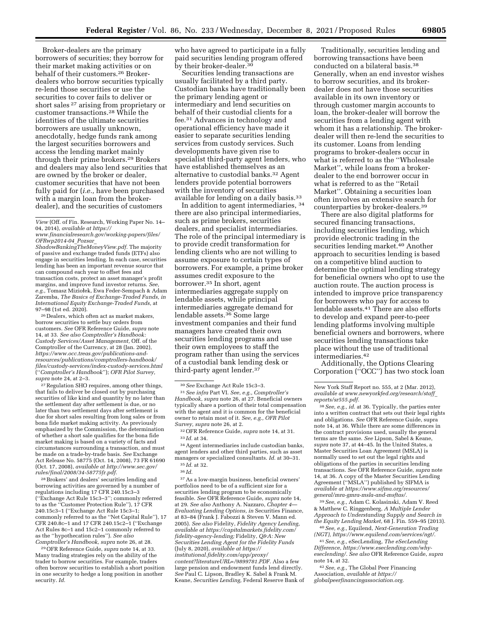Broker-dealers are the primary borrowers of securities; they borrow for their market making activities or on behalf of their customers.26 Brokerdealers who borrow securities typically re-lend those securities or use the securities to cover fails to deliver or short sales 27 arising from proprietary or customer transactions.28 While the identities of the ultimate securities borrowers are usually unknown, anecdotally, hedge funds rank among the largest securities borrowers and access the lending market mainly through their prime brokers.29 Brokers and dealers may also lend securities that are owned by the broker or dealer, customer securities that have not been fully paid for (*i.e.,* have been purchased with a margin loan from the brokerdealer), and the securities of customers

*[ShadowBankingTheMoneyView.pdf.](https://www.financialresearch.gov/working-papers/files/OFRwp2014-04_Pozsar_ShadowBankingTheMoneyView.pdf)* The majority of passive and exchange traded funds (ETFs) also engage in securities lending. In each case, securities lending has been an important revenue source that can compound each year to offset fees and transaction costs, protect an asset manager's profit margins, and improve fund investor returns. *See,*  e.g., Tomasz Miziołek, Ewa Feder-Sempach & Adam Zaremba, *The Basics of Exchange-Traded Funds, in International Equity Exchange-Traded Funds,* at 97–98 (1st ed. 2020).

26 Dealers, which often act as market makers, borrow securities to settle buy orders from customers. *See* OFR Reference Guide, *supra* note 14, at 33. *See also Comptroller's Handbook: Custody Services/Asset Management,* Off. of the Comptroller of the Currency, at 28 (Jan. 2002), *[https://www.occ.treas.gov/publications-and](https://www.occ.treas.gov/publications-and-resources/publications/comptrollers-handbook/files/custody-services/index-custody-services.html)[resources/publications/comptrollers-handbook/](https://www.occ.treas.gov/publications-and-resources/publications/comptrollers-handbook/files/custody-services/index-custody-services.html)  [files/custody-services/index-custody-services.html](https://www.occ.treas.gov/publications-and-resources/publications/comptrollers-handbook/files/custody-services/index-custody-services.html)*  (''*Comptroller's Handbook*''); *OFR Pilot Survey, supra* note 24, at 2–3.

27Regulation SHO requires, among other things, that fails to deliver be closed out by purchasing securities of like kind and quantity by no later than the settlement day after settlement is due, or no later than two settlement days after settlement is due for short sales resulting from long sales or from bona fide market making activity. As previously emphasized by the Commission, the determination of whether a short sale qualifies for the bona fide market making is based on a variety of facts and circumstances surrounding a transaction, and must be made on a trade-by-trade basis. *See* Exchange Act Release No. 58775 (Oct. 14, 2008), 73 FR 61690 (Oct. 17, 2008), *available at [http://www.sec.gov/](http://www.sec.gov/rules/final/2008/34-58775fr.pdf)  [rules/final/2008/34-58775fr.pdf.](http://www.sec.gov/rules/final/2008/34-58775fr.pdf)* 

28Brokers' and dealers' securities lending and borrowing activities are governed by a number of regulations including 17 CFR 240.15c3–3 (''Exchange Act Rule 15c3–3''; commonly referred to as the ''Customer Protection Rule''), 17 CFR 240.15c3–1 (''Exchange Act Rule 15c3–1; commonly referred to as the ''Net Capital Rule''), 17 CFR 240.8c–1 and 17 CFR 240.15c2–1 (''Exchange Act Rules 8c–1 and 15c2–1 commonly referred to as the ''hypothecation rules''). *See also Comptroller's Handbook, supra* note 26, at 28.

29OFR Reference Guide, *supra* note 14, at 33. Many trading strategies rely on the ability of the trader to borrow securities. For example, traders often borrow securities to establish a short position in one security to hedge a long position in another security. *Id.* 

who have agreed to participate in a fully paid securities lending program offered by their broker-dealer.30

Securities lending transactions are usually facilitated by a third party. Custodian banks have traditionally been the primary lending agent or intermediary and lend securities on behalf of their custodial clients for a fee.31 Advances in technology and operational efficiency have made it easier to separate securities lending services from custody services. Such developments have given rise to specialist third-party agent lenders, who have established themselves as an alternative to custodial banks.32 Agent lenders provide potential borrowers with the inventory of securities available for lending on a daily basis.33

In addition to agent intermediaries, 34 there are also principal intermediaries, such as prime brokers, securities dealers, and specialist intermediaries. The role of the principal intermediary is to provide credit transformation for lending clients who are not willing to assume exposure to certain types of borrowers. For example, a prime broker assumes credit exposure to the borrower.35 In short, agent intermediaries aggregate supply on lendable assets, while principal intermediaries aggregate demand for lendable assets.36 Some large investment companies and their fund managers have created their own securities lending programs and use their own employees to staff the program rather than using the services of a custodial bank lending desk or third-party agent lender.37

34Agent intermediaries include custodian banks, agent lenders and other third parties, such as asset managers or specialized consultants. *Id.* at 30–31. 35 *Id.* at 32.

37As a low-margin business, beneficial owners' portfolios need to be of a sufficient size for a securities lending program to be economically feasible. *See* OFR Reference Guide, *supra* note 14, at 29. *See also* Anthony A. Nazzaro, *Chapter 4*— *Evaluating Lending Options, in* Securities Finance, at 83–84 (Frank J. Fabozzi & Steven V. Mann ed. 2005). *See also* Fidelity, *Fidelity Agency Lending, available at [https://capitalmarkets.fidelity.com/](https://capitalmarkets.fidelity.com/fidelity-agency-lending) [fidelity-agency-lending;](https://capitalmarkets.fidelity.com/fidelity-agency-lending)* Fidelity, *Q&A: New Securities Lending Agent for the Fidelity Funds*  (July 8, 2020), *available at [https://](https://institutional.fidelity.com/app/proxy/content?literatureURL=/9899781.PDF) [institutional.fidelity.com/app/proxy/](https://institutional.fidelity.com/app/proxy/content?literatureURL=/9899781.PDF)  [content?literatureURL=/9899781.PDF.](https://institutional.fidelity.com/app/proxy/content?literatureURL=/9899781.PDF)* Also a few large pension and endowment funds lend directly. *See* Paul C. Lipson, Bradley K. Sabel & Frank M. Keane, *Securities Lending,* Federal Reserve Bank of

Traditionally, securities lending and borrowing transactions have been conducted on a bilateral basis.38 Generally, when an end investor wishes to borrow securities, and its brokerdealer does not have those securities available in its own inventory or through customer margin accounts to loan, the broker-dealer will borrow the securities from a lending agent with whom it has a relationship. The brokerdealer will then re-lend the securities to its customer. Loans from lending programs to broker-dealers occur in what is referred to as the ''Wholesale Market'', while loans from a brokerdealer to the end borrower occur in what is referred to as the ''Retail Market''. Obtaining a securities loan often involves an extensive search for counterparties by broker-dealers.39

There are also digital platforms for secured financing transactions, including securities lending, which provide electronic trading in the securities lending market.40 Another approach to securities lending is based on a competitive blind auction to determine the optimal lending strategy for beneficial owners who opt to use the auction route. The auction process is intended to improve price transparency for borrowers who pay for access to lendable assets.41 There are also efforts to develop and expand peer-to-peer lending platforms involving multiple beneficial owners and borrowers, where securities lending transactions take place without the use of traditional intermediaries.42

Additionally, the Options Clearing Corporation (''OCC'') has two stock loan

38*See, e.g., id.* at 36. Typically, the parties enter into a written contract that sets out their legal rights and obligations. *See* OFR Reference Guide, supra note 14, at 36. While there are some differences in the contract provisions used, usually the general terms are the same. *See* Lipson, Sabel & Keane, *supra* note 37, at 44–45. In the United States, a Master Securities Loan Agreement (MSLA) is normally used to set out the legal rights and obligations of the parties in securities lending transactions. *See* OFR Reference Guide, *supra* note 14, at 36. A copy of the Master Securities Lending Agreement (''MSLA'') published by SIFMA is *available at [https://www.sifma.org/resources/](https://www.sifma.org/resources/general/mra-gmra-msla-and-msftas/)  [general/mra-gmra-msla-and-msftas/.](https://www.sifma.org/resources/general/mra-gmra-msla-and-msftas/)* 

39*See, e.g.,* Adam C. Kolasinski, Adam V. Reed & Matthew C. Ringgenberg, *A Multiple Lender Approach to Understanding Supply and Search in the Equity Lending Market,* 68 J. Fin. 559–95 (2013). 40*See, e.g.,* Equilend, *Next-Generation Trading* 

*(NGT), [https://www.equilend.com/services/ngt/.](https://www.equilend.com/services/ngt/)* 

41*See, e.g.,* eSecLending, *The eSecLending Difference, [https://www.eseclending.com/why](https://www.eseclending.com/why-eseclending/)[eseclending/.](https://www.eseclending.com/why-eseclending/) See also* OFR Reference Guide, *supra*  note 14, at 32.

42*See, e.g.,* The Global Peer Financing Association, *available at [https://](https://globalpeerfinancingassociation.org) [globalpeerfinancingassociation.org.](https://globalpeerfinancingassociation.org)* 

*View* (Off. of Fin. Research, Working Paper No. 14– 04, 2014), *available at [https://](https://www.financialresearch.gov/working-papers/files/OFRwp2014-04_Pozsar_ShadowBankingTheMoneyView.pdf)*

*[www.financialresearch.gov/working-papers/files/](https://www.financialresearch.gov/working-papers/files/OFRwp2014-04_Pozsar_ShadowBankingTheMoneyView.pdf) [OFRwp2014-04](https://www.financialresearch.gov/working-papers/files/OFRwp2014-04_Pozsar_ShadowBankingTheMoneyView.pdf)*\_*Pozsar*\_

<sup>30</sup>*See* Exchange Act Rule 15c3–3.

<sup>31</sup>*See infra* Part VI. *See, e.g., Comptroller's Handbook, supra* note 26, at 27. Beneficial owners typically share a portion of their total compensation with the agent and it is common for the beneficial owner to retain most of it. *See, e.g., OFR Pilot Survey, supra* note 26, at 2.

<sup>32</sup>OFR Reference Guide, *supra* note 14, at 31. 33 *Id.* at 34.

<sup>36</sup> *Id.* 

New York Staff Report no. 555, at 2 (Mar. 2012), *available at [www.newyorkfed.org/research/staff](http://www.newyorkfed.org/research/staff_reports/sr555.pdf)*\_ *[reports/sr555.pdf.](http://www.newyorkfed.org/research/staff_reports/sr555.pdf)*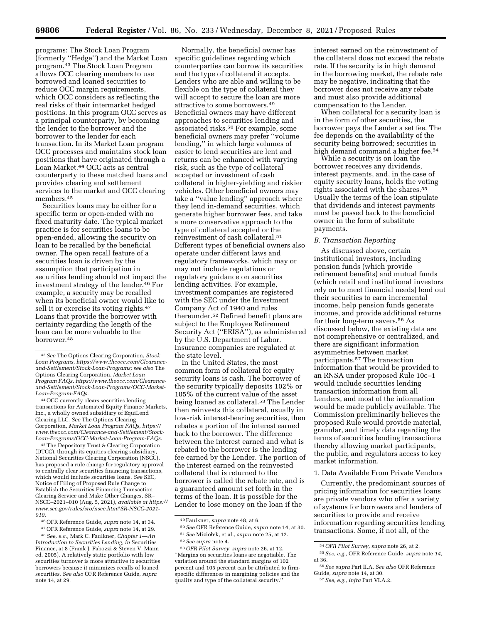programs: The Stock Loan Program (formerly ''Hedge'') and the Market Loan program.43 The Stock Loan Program allows OCC clearing members to use borrowed and loaned securities to reduce OCC margin requirements, which OCC considers as reflecting the real risks of their intermarket hedged positions. In this program OCC serves as a principal counterparty, by becoming the lender to the borrower and the borrower to the lender for each transaction. In its Market Loan program OCC processes and maintains stock loan positions that have originated through a Loan Market.<sup>44</sup> OCC acts as central counterparty to these matched loans and provides clearing and settlement services to the market and OCC clearing members.45

Securities loans may be either for a specific term or open-ended with no fixed maturity date. The typical market practice is for securities loans to be open-ended, allowing the security on loan to be recalled by the beneficial owner. The open recall feature of a securities loan is driven by the assumption that participation in securities lending should not impact the investment strategy of the lender.46 For example, a security may be recalled when its beneficial owner would like to sell it or exercise its voting rights.<sup>47</sup> Loans that provide the borrower with certainty regarding the length of the loan can be more valuable to the borrower.48

44OCC currently clears securities lending transactions for Automated Equity Finance Markets, Inc., a wholly owned subsidiary of EquiLend Clearing LLC. *See* The Options Clearing Corporation, *Market Loan Program FAQs, [https://](https://www.theocc.com/Clearance-and-Settlement/Stock-Loan-Programs/OCC-Market-Loan-Program-FAQs) [www.theocc.com/Clearance-and-Settlement/Stock-](https://www.theocc.com/Clearance-and-Settlement/Stock-Loan-Programs/OCC-Market-Loan-Program-FAQs)[Loan-Programs/OCC-Market-Loan-Program-FAQs.](https://www.theocc.com/Clearance-and-Settlement/Stock-Loan-Programs/OCC-Market-Loan-Program-FAQs)* 

45The Depository Trust & Clearing Corporation (DTCC), through its equities clearing subsidiary, National Securities Clearing Corporation (NSCC), has proposed a rule change for regulatory approval to centrally clear securities financing transactions, which would include securities loans. *See* SEC, Notice of Filing of Proposed Rule Change to Establish the Securities Financing Transaction Clearing Service and Make Other Changes, SR– NSCC–2021–010 (Aug. 5, 2021), *available at [https://](https://www.sec.gov/rules/sro/nscc.htm#SR-NSCC-2021-010) [www.sec.gov/rules/sro/nscc.htm#SR-NSCC-2021-](https://www.sec.gov/rules/sro/nscc.htm#SR-NSCC-2021-010) [010.](https://www.sec.gov/rules/sro/nscc.htm#SR-NSCC-2021-010)* 

46OFR Reference Guide, *supra* note 14, at 34.

*Introduction to Securities Lending, in* Securities Finance, at 8 (Frank J. Fabozzi & Steven V. Mann ed. 2005). A relatively static portfolio with low securities turnover is more attractive to securities borrowers because it minimizes recalls of loaned securities. *See also* OFR Reference Guide, *supra*  note 14, at 29.

Normally, the beneficial owner has specific guidelines regarding which counterparties can borrow its securities and the type of collateral it accepts. Lenders who are able and willing to be flexible on the type of collateral they will accept to secure the loan are more attractive to some borrowers.49 Beneficial owners may have different approaches to securities lending and associated risks.<sup>50</sup> For example, some beneficial owners may prefer ''volume lending,'' in which large volumes of easier to lend securities are lent and returns can be enhanced with varying risk, such as the type of collateral accepted or investment of cash collateral in higher-yielding and riskier vehicles. Other beneficial owners may take a ''value lending'' approach where they lend in-demand securities, which generate higher borrower fees, and take a more conservative approach to the type of collateral accepted or the reinvestment of cash collateral.51 Different types of beneficial owners also operate under different laws and regulatory frameworks, which may or may not include regulations or regulatory guidance on securities lending activities. For example, investment companies are registered with the SEC under the Investment Company Act of 1940 and rules thereunder.52 Defined benefit plans are subject to the Employee Retirement Security Act (''ERISA''), as administered by the U.S. Department of Labor. Insurance companies are regulated at the state level.

In the United States, the most common form of collateral for equity security loans is cash. The borrower of the security typically deposits 102% or 105% of the current value of the asset being loaned as collateral.53 The Lender then reinvests this collateral, usually in low-risk interest-bearing securities, then rebates a portion of the interest earned back to the borrower. The difference between the interest earned and what is rebated to the borrower is the lending fee earned by the Lender. The portion of the interest earned on the reinvested collateral that is returned to the borrower is called the rebate rate, and is a guaranteed amount set forth in the terms of the loan. It is possible for the Lender to lose money on the loan if the

interest earned on the reinvestment of the collateral does not exceed the rebate rate. If the security is in high demand in the borrowing market, the rebate rate may be negative, indicating that the borrower does not receive any rebate and must also provide additional compensation to the Lender.

When collateral for a security loan is in the form of other securities, the borrower pays the Lender a set fee. The fee depends on the availability of the security being borrowed; securities in high demand command a higher fee.<sup>54</sup>

While a security is on loan the borrower receives any dividends, interest payments, and, in the case of equity security loans, holds the voting rights associated with the shares.55 Usually the terms of the loan stipulate that dividends and interest payments must be passed back to the beneficial owner in the form of substitute payments.

#### *B. Transaction Reporting*

As discussed above, certain institutional investors, including pension funds (which provide retirement benefits) and mutual funds (which retail and institutional investors rely on to meet financial needs) lend out their securities to earn incremental income, help pension funds generate income, and provide additional returns for their long-term savers.56 As discussed below, the existing data are not comprehensive or centralized, and there are significant information asymmetries between market participants.57 The transaction information that would be provided to an RNSA under proposed Rule 10c–1 would include securities lending transaction information from all Lenders, and most of the information would be made publicly available. The Commission preliminarily believes the proposed Rule would provide material, granular, and timely data regarding the terms of securities lending transactions thereby allowing market participants, the public, and regulators access to key market information.

### 1. Data Available From Private Vendors

Currently, the predominant sources of pricing information for securities loans are private vendors who offer a variety of systems for borrowers and lenders of securities to provide and receive information regarding securities lending transactions. Some, if not all, of the

<sup>43</sup>*See* The Options Clearing Corporation, *Stock Loan Programs, [https://www.theocc.com/Clearance](https://www.theocc.com/Clearance-and-Settlement/Stock-Loan-Programs)[and-Settlement/Stock-Loan-Programs;](https://www.theocc.com/Clearance-and-Settlement/Stock-Loan-Programs) see also* The Options Clearing Corporation, *Market Loan Program FAQs, [https://www.theocc.com/Clearance](https://www.theocc.com/Clearance-and-Settlement/Stock-Loan-Programs/OCC-Market-Loan-Program-FAQs)[and-Settlement/Stock-Loan-Programs/OCC-Market-](https://www.theocc.com/Clearance-and-Settlement/Stock-Loan-Programs/OCC-Market-Loan-Program-FAQs)[Loan-Program-FAQs.](https://www.theocc.com/Clearance-and-Settlement/Stock-Loan-Programs/OCC-Market-Loan-Program-FAQs)* 

<sup>47</sup>OFR Reference Guide, *supra* note 14, at 29. 48*See, e.g.,* Mark C. Faulkner, *Chapter 1*—*An* 

<sup>49</sup>Faulkner, *supra* note 48, at 6.

<sup>50</sup>*See* OFR Reference Guide, *supra* note 14, at 30. <sup>51</sup> See Miziołek, et al., *supra* note 25, at 12.

<sup>52</sup>*See supra* note 4.

<sup>53</sup>*OFR Pilot Survey, supra* note 26, at 12. ''Margins on securities loans are negotiable. The variation around the standard margins of 102 percent and 105 percent can be attributed to firmspecific differences in margining policies and the quality and type of the collateral security.''

<sup>54</sup>*OFR Pilot Survey, supra* note 26, at 2.

<sup>55</sup>*See, e.g.,* OFR Reference Guide, *supra* note *14,*  at 36.

<sup>56</sup>*See supra* Part II.A. *See also* OFR Reference Guide, *supra* note 14, at 30.

<sup>57</sup>*See, e.g., infra* Part VI.A.2.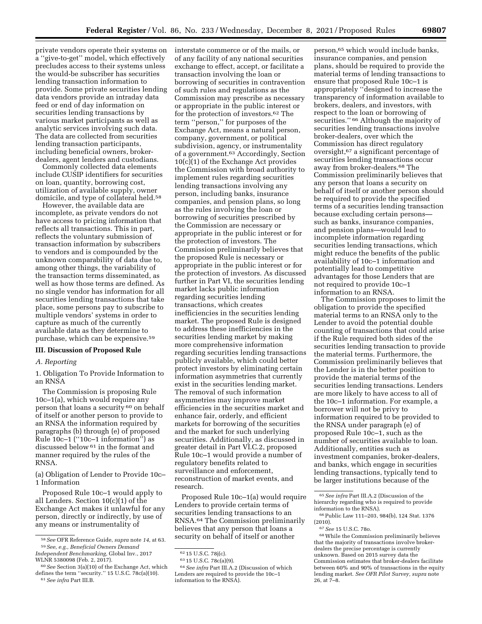private vendors operate their systems on a ''give-to-get'' model, which effectively precludes access to their systems unless the would-be subscriber has securities lending transaction information to provide. Some private securities lending data vendors provide an intraday data feed or end of day information on securities lending transactions by various market participants as well as analytic services involving such data. The data are collected from securities lending transaction participants, including beneficial owners, brokerdealers, agent lenders and custodians.

Commonly collected data elements include CUSIP identifiers for securities on loan, quantity, borrowing cost, utilization of available supply, owner domicile, and type of collateral held.58

However, the available data are incomplete, as private vendors do not have access to pricing information that reflects all transactions. This in part, reflects the voluntary submission of transaction information by subscribers to vendors and is compounded by the unknown comparability of data due to, among other things, the variability of the transaction terms disseminated, as well as how those terms are defined. As no single vendor has information for all securities lending transactions that take place, some persons pay to subscribe to multiple vendors' systems in order to capture as much of the currently available data as they determine to purchase, which can be expensive.59

#### **III. Discussion of Proposed Rule**

#### *A. Reporting*

1. Obligation To Provide Information to an RNSA

The Commission is proposing Rule 10c–1(a), which would require any person that loans a security 60 on behalf of itself or another person to provide to an RNSA the information required by paragraphs (b) through (e) of proposed Rule  $10c-1$  (" $10c-1$  information") as discussed below 61 in the format and manner required by the rules of the RNSA.

(a) Obligation of Lender to Provide 10c– 1 Information

Proposed Rule 10c–1 would apply to all Lenders. Section 10(c)(1) of the Exchange Act makes it unlawful for any person, directly or indirectly, by use of any means or instrumentality of

interstate commerce or of the mails, or of any facility of any national securities exchange to effect, accept, or facilitate a transaction involving the loan or borrowing of securities in contravention of such rules and regulations as the Commission may prescribe as necessary or appropriate in the public interest or for the protection of investors.62 The term ''person,'' for purposes of the Exchange Act, means a natural person, company, government, or political subdivision, agency, or instrumentality of a government.63 Accordingly, Section 10(c)(1) of the Exchange Act provides the Commission with broad authority to implement rules regarding securities lending transactions involving any person, including banks, insurance companies, and pension plans, so long as the rules involving the loan or borrowing of securities prescribed by the Commission are necessary or appropriate in the public interest or for the protection of investors. The Commission preliminarily believes that the proposed Rule is necessary or appropriate in the public interest or for the protection of investors. As discussed further in Part VI, the securities lending market lacks public information regarding securities lending transactions, which creates inefficiencies in the securities lending market. The proposed Rule is designed to address these inefficiencies in the securities lending market by making more comprehensive information regarding securities lending transactions publicly available, which could better protect investors by eliminating certain information asymmetries that currently exist in the securities lending market. The removal of such information asymmetries may improve market efficiencies in the securities market and enhance fair, orderly, and efficient markets for borrowing of the securities and the market for such underlying securities. Additionally, as discussed in greater detail in Part VI.C.2, proposed Rule 10c–1 would provide a number of regulatory benefits related to surveillance and enforcement, reconstruction of market events, and research.

Proposed Rule 10c–1(a) would require Lenders to provide certain terms of securities lending transactions to an RNSA.64 The Commission preliminarily believes that any person that loans a security on behalf of itself or another

64*See infra* Part III.A.2 (Discussion of which Lenders are required to provide the 10c–1 information to the RNSA).

person,65 which would include banks, insurance companies, and pension plans, should be required to provide the material terms of lending transactions to ensure that proposed Rule 10c–1 is appropriately ''designed to increase the transparency of information available to brokers, dealers, and investors, with respect to the loan or borrowing of securities." <sup>66</sup> Although the majority of securities lending transactions involve broker-dealers, over which the Commission has direct regulatory oversight,67 a significant percentage of securities lending transactions occur away from broker-dealers.68 The Commission preliminarily believes that any person that loans a security on behalf of itself or another person should be required to provide the specified terms of a securities lending transaction because excluding certain persons such as banks, insurance companies, and pension plans—would lead to incomplete information regarding securities lending transactions, which might reduce the benefits of the public availability of 10c–1 information and potentially lead to competitive advantages for those Lenders that are not required to provide 10c–1 information to an RNSA.

The Commission proposes to limit the obligation to provide the specified material terms to an RNSA only to the Lender to avoid the potential double counting of transactions that could arise if the Rule required both sides of the securities lending transaction to provide the material terms. Furthermore, the Commission preliminarily believes that the Lender is in the better position to provide the material terms of the securities lending transactions. Lenders are more likely to have access to all of the 10c–1 information. For example, a borrower will not be privy to information required to be provided to the RNSA under paragraph (e) of proposed Rule 10c–1, such as the number of securities available to loan. Additionally, entities such as investment companies, broker-dealers, and banks, which engage in securities lending transactions, typically tend to be larger institutions because of the

<sup>58</sup>*See* OFR Reference Guide, *supra* note *14,* at 63. 59*See, e.g., Beneficial Owners Demand* 

*Independent Benchmarking,* Global Inv., 2017 WLNR 5380098 (Feb. 2, 2017).

<sup>60</sup>*See* Section 3(a)(10) of the Exchange Act, which defines the term ''security.'' 15 U.S.C. 78c(a)(10). 61*See infra* Part III.B.

<sup>62</sup> 15 U.S.C. 78j(c).

<sup>63</sup> 15 U.S.C. 78c(a)(9).

<sup>65</sup>*See infra* Part III.A.2 (Discussion of the hierarchy regarding who is required to provide information to the RNSA).

<sup>66</sup>Public Law 111–203, 984(b), 124 Stat. 1376 (2010).

<sup>67</sup>*See* 15 U.S.C. 78o.

<sup>68</sup>While the Commission preliminarily believes that the majority of transactions involve brokerdealers the precise percentage is currently unknown. Based on 2015 survey data the Commission estimates that broker-dealers facilitate between 60% and 90% of transactions in the equity lending market. *See OFR Pilot Survey, supra* note 26, at 7–8.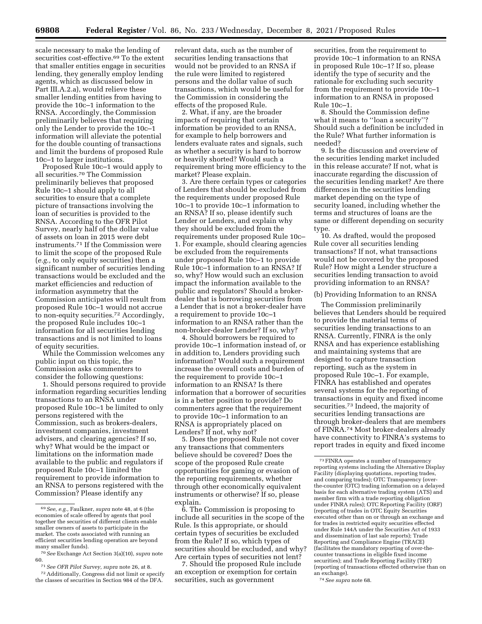scale necessary to make the lending of securities cost-effective.69 To the extent that smaller entities engage in securities lending, they generally employ lending agents, which as discussed below in Part III.A.2.a), would relieve these smaller lending entities from having to provide the 10c–1 information to the RNSA. Accordingly, the Commission preliminarily believes that requiring only the Lender to provide the 10c–1 information will alleviate the potential for the double counting of transactions and limit the burdens of proposed Rule 10c–1 to larger institutions.

Proposed Rule 10c–1 would apply to all securities.70 The Commission preliminarily believes that proposed Rule 10c–1 should apply to all securities to ensure that a complete picture of transactions involving the loan of securities is provided to the RNSA. According to the OFR Pilot Survey, nearly half of the dollar value of assets on loan in 2015 were debt instruments.71 If the Commission were to limit the scope of the proposed Rule (*e.g.,* to only equity securities) then a significant number of securities lending transactions would be excluded and the market efficiencies and reduction of information asymmetry that the Commission anticipates will result from proposed Rule 10c–1 would not accrue to non-equity securities.72 Accordingly, the proposed Rule includes 10c–1 information for all securities lending transactions and is not limited to loans of equity securities.

While the Commission welcomes any public input on this topic, the Commission asks commenters to consider the following questions:

1. Should persons required to provide information regarding securities lending transactions to an RNSA under proposed Rule 10c–1 be limited to only persons registered with the Commission, such as brokers-dealers, investment companies, investment advisers, and clearing agencies? If so, why? What would be the impact or limitations on the information made available to the public and regulators if proposed Rule 10c–1 limited the requirement to provide information to an RNSA to persons registered with the Commission? Please identify any

relevant data, such as the number of securities lending transactions that would not be provided to an RNSA if the rule were limited to registered persons and the dollar value of such transactions, which would be useful for the Commission in considering the effects of the proposed Rule.

2. What, if any, are the broader impacts of requiring that certain information be provided to an RNSA, for example to help borrowers and lenders evaluate rates and signals, such as whether a security is hard to borrow or heavily shorted? Would such a requirement bring more efficiency to the market? Please explain.

3. Are there certain types or categories of Lenders that should be excluded from the requirements under proposed Rule 10c–1 to provide 10c–1 information to an RNSA? If so, please identify such Lender or Lenders, and explain why they should be excluded from the requirements under proposed Rule 10c– 1. For example, should clearing agencies be excluded from the requirements under proposed Rule 10c–1 to provide Rule 10c–1 information to an RNSA? If so, why? How would such an exclusion impact the information available to the public and regulators? Should a brokerdealer that is borrowing securities from a Lender that is not a broker-dealer have a requirement to provide 10c–1 information to an RNSA rather than the non-broker-dealer Lender? If so, why?

4. Should borrowers be required to provide 10c–1 information instead of, or in addition to, Lenders providing such information? Would such a requirement increase the overall costs and burden of the requirement to provide 10c–1 information to an RNSA? Is there information that a borrower of securities is in a better position to provide? Do commenters agree that the requirement to provide 10c–1 information to an RNSA is appropriately placed on Lenders? If not, why not?

5. Does the proposed Rule not cover any transactions that commenters believe should be covered? Does the scope of the proposed Rule create opportunities for gaming or evasion of the reporting requirements, whether through other economically equivalent instruments or otherwise? If so, please explain.

6. The Commission is proposing to include all securities in the scope of the Rule. Is this appropriate, or should certain types of securities be excluded from the Rule? If so, which types of securities should be excluded, and why? Are certain types of securities not lent?

7. Should the proposed Rule include an exception or exemption for certain securities, such as government

securities, from the requirement to provide 10c–1 information to an RNSA in proposed Rule 10c–1? If so, please identify the type of security and the rationale for excluding such security from the requirement to provide 10c–1 information to an RNSA in proposed Rule 10c–1.

8. Should the Commission define what it means to ''loan a security''? Should such a definition be included in the Rule? What further information is needed?

9. Is the discussion and overview of the securities lending market included in this release accurate? If not, what is inaccurate regarding the discussion of the securities lending market? Are there differences in the securities lending market depending on the type of security loaned, including whether the terms and structures of loans are the same or different depending on security type.

10. As drafted, would the proposed Rule cover all securities lending transactions? If not, what transactions would not be covered by the proposed Rule? How might a Lender structure a securities lending transaction to avoid providing information to an RNSA?

### (b) Providing Information to an RNSA

The Commission preliminarily believes that Lenders should be required to provide the material terms of securities lending transactions to an RNSA. Currently, FINRA is the only RNSA and has experience establishing and maintaining systems that are designed to capture transaction reporting, such as the system in proposed Rule 10c–1. For example, FINRA has established and operates several systems for the reporting of transactions in equity and fixed income securities.73 Indeed, the majority of securities lending transactions are through broker-dealers that are members of FINRA.74 Most broker-dealers already have connectivity to FINRA's systems to report trades in equity and fixed income

74*See supra* note 68.

<sup>69</sup>*See, e.g.,* Faulkner, *supra* note 48, at 6 (the economies of scale offered by agents that pool together the securities of different clients enable smaller owners of assets to participate in the market. The costs associated with running an efficient securities lending operation are beyond many smaller funds).

<sup>70</sup>*See* Exchange Act Section 3(a)(10), *supra* note 60.

<sup>71</sup>*See OFR Pilot Survey, supra* note 26, at 8.

<sup>72</sup>Additionally, Congress did not limit or specify the classes of securities in Section 984 of the DFA.

<sup>73</sup>FINRA operates a number of transparency reporting systems including the Alternative Display Facility (displaying quotations, reporting trades, and comparing trades); OTC Transparency (overthe-counter (OTC) trading information on a delayed basis for each alternative trading system (ATS) and member firm with a trade reporting obligation under FINRA rules); OTC Reporting Facility (ORF) (reporting of trades in OTC Equity Securities executed other than on or through an exchange and for trades in restricted equity securities effected under Rule 144A under the Securities Act of 1933 and dissemination of last sale reports); Trade Reporting and Compliance Engine (TRACE) (facilitates the mandatory reporting of over-thecounter transactions in eligible fixed income securities); and Trade Reporting Facility (TRF) (reporting of transactions effected otherwise than on an exchange).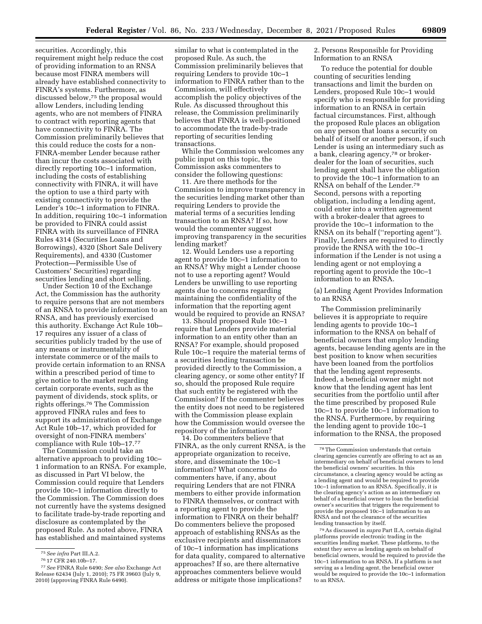securities. Accordingly, this requirement might help reduce the cost of providing information to an RNSA because most FINRA members will already have established connectivity to FINRA's systems. Furthermore, as discussed below,75 the proposal would allow Lenders, including lending agents, who are not members of FINRA to contract with reporting agents that have connectivity to FINRA. The Commission preliminarily believes that this could reduce the costs for a non-FINRA-member Lender because rather than incur the costs associated with directly reporting 10c–1 information, including the costs of establishing connectivity with FINRA, it will have the option to use a third party with existing connectivity to provide the Lender's 10c–1 information to FINRA. In addition, requiring 10c–1 information be provided to FINRA could assist FINRA with its surveillance of FINRA Rules 4314 (Securities Loans and Borrowings), 4320 (Short Sale Delivery Requirements), and 4330 (Customer Protection—Permissible Use of Customers' Securities) regarding securities lending and short selling.

Under Section 10 of the Exchange Act, the Commission has the authority to require persons that are not members of an RNSA to provide information to an RNSA, and has previously exercised this authority. Exchange Act Rule 10b– 17 requires any issuer of a class of securities publicly traded by the use of any means or instrumentality of interstate commerce or of the mails to provide certain information to an RNSA within a prescribed period of time to give notice to the market regarding certain corporate events, such as the payment of dividends, stock splits, or rights offerings.76 The Commission approved FINRA rules and fees to support its administration of Exchange Act Rule 10b–17, which provided for oversight of non-FINRA members' compliance with Rule 10b–17.77

The Commission could take an alternative approach to providing 10c– 1 information to an RNSA. For example, as discussed in Part VI below, the Commission could require that Lenders provide 10c–1 information directly to the Commission. The Commission does not currently have the systems designed to facilitate trade-by-trade reporting and disclosure as contemplated by the proposed Rule. As noted above, FINRA has established and maintained systems

similar to what is contemplated in the proposed Rule. As such, the Commission preliminarily believes that requiring Lenders to provide 10c–1 information to FINRA rather than to the Commission, will effectively accomplish the policy objectives of the Rule. As discussed throughout this release, the Commission preliminarily believes that FINRA is well-positioned to accommodate the trade-by-trade reporting of securities lending transactions.

While the Commission welcomes any public input on this topic, the Commission asks commenters to consider the following questions:

11. Are there methods for the Commission to improve transparency in the securities lending market other than requiring Lenders to provide the material terms of a securities lending transaction to an RNSA? If so, how would the commenter suggest improving transparency in the securities lending market?

12. Would Lenders use a reporting agent to provide 10c–1 information to an RNSA? Why might a Lender choose not to use a reporting agent? Would Lenders be unwilling to use reporting agents due to concerns regarding maintaining the confidentiality of the information that the reporting agent would be required to provide an RNSA?

13. Should proposed Rule 10c–1 require that Lenders provide material information to an entity other than an RNSA? For example, should proposed Rule 10c–1 require the material terms of a securities lending transaction be provided directly to the Commission, a clearing agency, or some other entity? If so, should the proposed Rule require that such entity be registered with the Commission? If the commenter believes the entity does not need to be registered with the Commission please explain how the Commission would oversee the repository of the information?

14. Do commenters believe that FINRA, as the only current RNSA, is the appropriate organization to receive, store, and disseminate the 10c–1 information? What concerns do commenters have, if any, about requiring Lenders that are not FINRA members to either provide information to FINRA themselves, or contract with a reporting agent to provide the information to FINRA on their behalf? Do commenters believe the proposed approach of establishing RNSAs as the exclusive recipients and disseminators of 10c–1 information has implications for data quality, compared to alternative approaches? If so, are there alternative approaches commenters believe would address or mitigate those implications?

2. Persons Responsible for Providing Information to an RNSA

To reduce the potential for double counting of securities lending transactions and limit the burden on Lenders, proposed Rule 10c–1 would specify who is responsible for providing information to an RNSA in certain factual circumstances. First, although the proposed Rule places an obligation on any person that loans a security on behalf of itself or another person, if such Lender is using an intermediary such as a bank, clearing agency,78 or brokerdealer for the loan of securities, such lending agent shall have the obligation to provide the 10c–1 information to an RNSA on behalf of the Lender.79 Second, persons with a reporting obligation, including a lending agent, could enter into a written agreement with a broker-dealer that agrees to provide the 10c–1 information to the RNSA on its behalf (''reporting agent''). Finally, Lenders are required to directly provide the RNSA with the 10c–1 information if the Lender is not using a lending agent or not employing a reporting agent to provide the 10c–1 information to an RNSA.

(a) Lending Agent Provides Information to an RNSA

The Commission preliminarily believes it is appropriate to require lending agents to provide 10c–1 information to the RNSA on behalf of beneficial owners that employ lending agents, because lending agents are in the best position to know when securities have been loaned from the portfolios that the lending agent represents. Indeed, a beneficial owner might not know that the lending agent has lent securities from the portfolio until after the time prescribed by proposed Rule 10c–1 to provide 10c–1 information to the RNSA. Furthermore, by requiring the lending agent to provide 10c–1 information to the RNSA, the proposed

79As discussed in *supra* Part II.A, certain digital platforms provide electronic trading in the securities lending market. These platforms, to the extent they serve as lending agents on behalf of beneficial owners, would be required to provide the 10c–1 information to an RNSA. If a platform is not serving as a lending agent, the beneficial owner would be required to provide the 10c–1 information to an RNSA.

<sup>75</sup>*See infra* Part III.A.2.

<sup>76</sup> 17 CFR 240.10b–17.

<sup>77</sup>*See* FINRA Rule 6490; *See also* Exchange Act Release 62434 (July 1, 2010); 75 FR 39603 (July 9, 2010) (approving FINRA Rule 6490).

<sup>78</sup>The Commission understands that certain clearing agencies currently are offering to act as an intermediary on behalf of beneficial owners to lend the beneficial owners' securities. In this circumstance, a clearing agency would be acting as a lending agent and would be required to provide 10c–1 information to an RNSA. Specifically, it is the clearing agency's action as an intermediary on behalf of a beneficial owner to loan the beneficial owner's securities that triggers the requirement to provide the proposed 10c–1 information to an RNSA and not the clearance of the securities lending transaction by itself.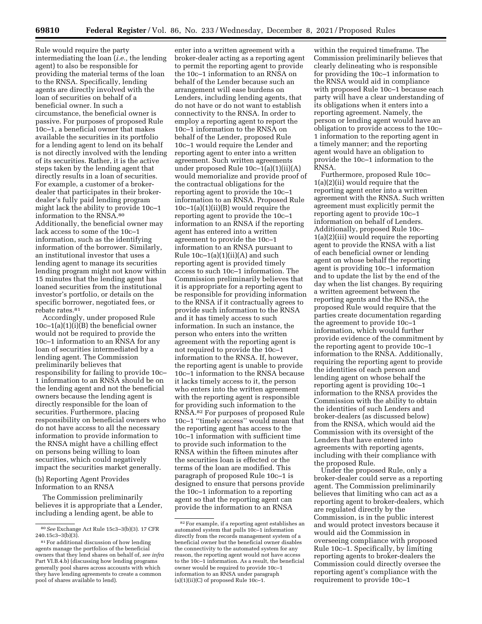Rule would require the party intermediating the loan (*i.e.,* the lending agent) to also be responsible for providing the material terms of the loan to the RNSA. Specifically, lending agents are directly involved with the loan of securities on behalf of a beneficial owner. In such a circumstance, the beneficial owner is passive. For purposes of proposed Rule 10c–1, a beneficial owner that makes available the securities in its portfolio for a lending agent to lend on its behalf is not directly involved with the lending of its securities. Rather, it is the active steps taken by the lending agent that directly results in a loan of securities. For example, a customer of a brokerdealer that participates in their brokerdealer's fully paid lending program might lack the ability to provide 10c–1 information to the RNSA.80 Additionally, the beneficial owner may lack access to some of the 10c–1 information, such as the identifying information of the borrower. Similarly, an institutional investor that uses a lending agent to manage its securities lending program might not know within 15 minutes that the lending agent has loaned securities from the institutional investor's portfolio, or details on the specific borrower, negotiated fees, or rebate rates.81

Accordingly, under proposed Rule  $10c-1(a)(1)(i)(B)$  the beneficial owner would not be required to provide the 10c–1 information to an RNSA for any loan of securities intermediated by a lending agent. The Commission preliminarily believes that responsibility for failing to provide 10c– 1 information to an RNSA should be on the lending agent and not the beneficial owners because the lending agent is directly responsible for the loan of securities. Furthermore, placing responsibility on beneficial owners who do not have access to all the necessary information to provide information to the RNSA might have a chilling effect on persons being willing to loan securities, which could negatively impact the securities market generally.

(b) Reporting Agent Provides Information to an RNSA

The Commission preliminarily believes it is appropriate that a Lender, including a lending agent, be able to

enter into a written agreement with a broker-dealer acting as a reporting agent to permit the reporting agent to provide the 10c–1 information to an RNSA on behalf of the Lender because such an arrangement will ease burdens on Lenders, including lending agents, that do not have or do not want to establish connectivity to the RNSA. In order to employ a reporting agent to report the 10c–1 information to the RNSA on behalf of the Lender, proposed Rule 10c–1 would require the Lender and reporting agent to enter into a written agreement. Such written agreements under proposed Rule 10c–1(a)(1)(ii)(A) would memorialize and provide proof of the contractual obligations for the reporting agent to provide the 10c–1 information to an RNSA. Proposed Rule  $10c-1(a)(1)(ii)(B)$  would require the reporting agent to provide the 10c–1 information to an RNSA if the reporting agent has entered into a written agreement to provide the 10c–1 information to an RNSA pursuant to Rule  $10c-1(a)(1)(ii)(A)$  and such reporting agent is provided timely access to such 10c–1 information. The Commission preliminarily believes that it is appropriate for a reporting agent to be responsible for providing information to the RNSA if it contractually agrees to provide such information to the RNSA and it has timely access to such information. In such an instance, the person who enters into the written agreement with the reporting agent is not required to provide the 10c–1 information to the RNSA. If, however, the reporting agent is unable to provide 10c–1 information to the RNSA because it lacks timely access to it, the person who enters into the written agreement with the reporting agent is responsible for providing such information to the RNSA.82 For purposes of proposed Rule 10c–1 ''timely access'' would mean that the reporting agent has access to the 10c–1 information with sufficient time to provide such information to the RNSA within the fifteen minutes after the securities loan is effected or the terms of the loan are modified. This paragraph of proposed Rule 10c–1 is designed to ensure that persons provide the 10c–1 information to a reporting agent so that the reporting agent can provide the information to an RNSA

within the required timeframe. The Commission preliminarily believes that clearly delineating who is responsible for providing the 10c–1 information to the RNSA would aid in compliance with proposed Rule 10c–1 because each party will have a clear understanding of its obligations when it enters into a reporting agreement. Namely, the person or lending agent would have an obligation to provide access to the 10c– 1 information to the reporting agent in a timely manner; and the reporting agent would have an obligation to provide the 10c–1 information to the RNSA.

Furthermore, proposed Rule 10c– 1(a)(2)(ii) would require that the reporting agent enter into a written agreement with the RNSA. Such written agreement must explicitly permit the reporting agent to provide 10c–1 information on behalf of Lenders. Additionally, proposed Rule 10c– 1(a)(2)(iii) would require the reporting agent to provide the RNSA with a list of each beneficial owner or lending agent on whose behalf the reporting agent is providing 10c–1 information and to update the list by the end of the day when the list changes. By requiring a written agreement between the reporting agents and the RNSA, the proposed Rule would require that the parties create documentation regarding the agreement to provide 10c–1 information, which would further provide evidence of the commitment by the reporting agent to provide 10c–1 information to the RNSA. Additionally, requiring the reporting agent to provide the identities of each person and lending agent on whose behalf the reporting agent is providing 10c–1 information to the RNSA provides the Commission with the ability to obtain the identities of such Lenders and broker-dealers (as discussed below) from the RNSA, which would aid the Commission with its oversight of the Lenders that have entered into agreements with reporting agents, including with their compliance with the proposed Rule.

Under the proposed Rule, only a broker-dealer could serve as a reporting agent. The Commission preliminarily believes that limiting who can act as a reporting agent to broker-dealers, which are regulated directly by the Commission, is in the public interest and would protect investors because it would aid the Commission in overseeing compliance with proposed Rule 10c–1. Specifically, by limiting reporting agents to broker-dealers the Commission could directly oversee the reporting agent's compliance with the requirement to provide 10c–1

<sup>80</sup>*See* Exchange Act Rule 15c3–3(b)(3). 17 CFR 240.15c3–3(b)(3).

<sup>81</sup>For additional discussion of how lending agents manage the portfolios of the beneficial owners that they lend shares on behalf of, *see infra*  Part VI.B.4.b) (discussing how lending programs generally pool shares across accounts with which they have lending agreements to create a common pool of shares available to lend).

<sup>82</sup>For example, if a reporting agent establishes an automated system that pulls 10c–1 information directly from the records management system of a beneficial owner but the beneficial owner disables the connectivity to the automated system for any reason, the reporting agent would not have access to the 10c–1 information. As a result, the beneficial owner would be required to provide 10c–1 information to an RNSA under paragraph (a)(1)(ii)(C) of proposed Rule  $10c-1$ .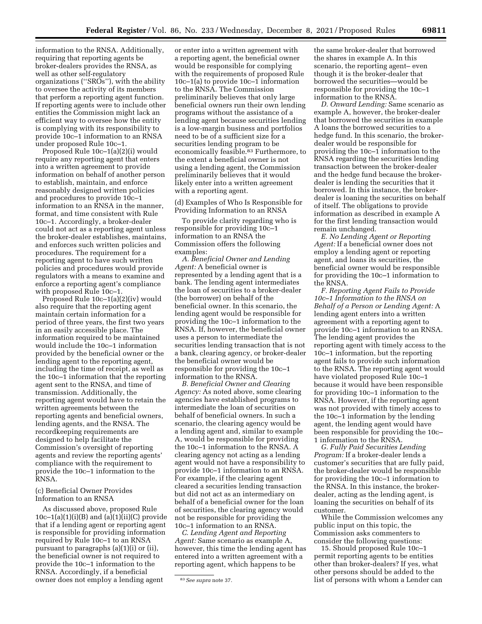information to the RNSA. Additionally, requiring that reporting agents be broker-dealers provides the RNSA, as well as other self-regulatory organizations ("SROs"), with the ability to oversee the activity of its members that perform a reporting agent function. If reporting agents were to include other entities the Commission might lack an efficient way to oversee how the entity is complying with its responsibility to provide 10c–1 information to an RNSA under proposed Rule 10c–1.

Proposed Rule 10c–1(a)(2)(i) would require any reporting agent that enters into a written agreement to provide information on behalf of another person to establish, maintain, and enforce reasonably designed written policies and procedures to provide 10c–1 information to an RNSA in the manner, format, and time consistent with Rule 10c–1. Accordingly, a broker-dealer could not act as a reporting agent unless the broker-dealer establishes, maintains, and enforces such written policies and procedures. The requirement for a reporting agent to have such written policies and procedures would provide regulators with a means to examine and enforce a reporting agent's compliance with proposed Rule 10c–1.

Proposed Rule 10c–1(a)(2)(iv) would also require that the reporting agent maintain certain information for a period of three years, the first two years in an easily accessible place. The information required to be maintained would include the 10c–1 information provided by the beneficial owner or the lending agent to the reporting agent, including the time of receipt, as well as the 10c–1 information that the reporting agent sent to the RNSA, and time of transmission. Additionally, the reporting agent would have to retain the written agreements between the reporting agents and beneficial owners, lending agents, and the RNSA. The recordkeeping requirements are designed to help facilitate the Commission's oversight of reporting agents and review the reporting agents' compliance with the requirement to provide the 10c–1 information to the RNSA.

(c) Beneficial Owner Provides Information to an RNSA

As discussed above, proposed Rule 10c–1(a)(1)(i)(B) and (a)(1)(ii)(C) provide that if a lending agent or reporting agent is responsible for providing information required by Rule 10c–1 to an RNSA pursuant to paragraphs (a)(1)(i) or (ii), the beneficial owner is not required to provide the 10c–1 information to the RNSA. Accordingly, if a beneficial owner does not employ a lending agent

or enter into a written agreement with a reporting agent, the beneficial owner would be responsible for complying with the requirements of proposed Rule 10c–1(a) to provide 10c–1 information to the RNSA. The Commission preliminarily believes that only large beneficial owners run their own lending programs without the assistance of a lending agent because securities lending is a low-margin business and portfolios need to be of a sufficient size for a securities lending program to be economically feasible.83 Furthermore, to the extent a beneficial owner is not using a lending agent, the Commission preliminarily believes that it would likely enter into a written agreement with a reporting agent.

(d) Examples of Who Is Responsible for Providing Information to an RNSA

To provide clarity regarding who is responsible for providing 10c–1 information to an RNSA the Commission offers the following examples:

*A. Beneficial Owner and Lending Agent:* A beneficial owner is represented by a lending agent that is a bank. The lending agent intermediates the loan of securities to a broker-dealer (the borrower) on behalf of the beneficial owner. In this scenario, the lending agent would be responsible for providing the 10c–1 information to the RNSA. If, however, the beneficial owner uses a person to intermediate the securities lending transaction that is not a bank, clearing agency, or broker-dealer the beneficial owner would be responsible for providing the 10c–1 information to the RNSA.

*B. Beneficial Owner and Clearing Agency:* As noted above, some clearing agencies have established programs to intermediate the loan of securities on behalf of beneficial owners. In such a scenario, the clearing agency would be a lending agent and, similar to example A, would be responsible for providing the 10c–1 information to the RNSA. A clearing agency not acting as a lending agent would not have a responsibility to provide 10c–1 information to an RNSA. For example, if the clearing agent cleared a securities lending transaction but did not act as an intermediary on behalf of a beneficial owner for the loan of securities, the clearing agency would not be responsible for providing the 10c–1 information to an RNSA.

*C. Lending Agent and Reporting Agent:* Same scenario as example A, however, this time the lending agent has entered into a written agreement with a reporting agent, which happens to be

the same broker-dealer that borrowed the shares in example A. In this scenario, the reporting agent– even though it is the broker-dealer that borrowed the securities—would be responsible for providing the 10c–1 information to the RNSA.

*D. Onward Lending:* Same scenario as example A, however, the broker-dealer that borrowed the securities in example A loans the borrowed securities to a hedge fund. In this scenario, the brokerdealer would be responsible for providing the 10c–1 information to the RNSA regarding the securities lending transaction between the broker-dealer and the hedge fund because the brokerdealer is lending the securities that it borrowed. In this instance, the brokerdealer is loaning the securities on behalf of itself. The obligations to provide information as described in example A for the first lending transaction would remain unchanged.

*E. No Lending Agent or Reporting Agent:* If a beneficial owner does not employ a lending agent or reporting agent, and loans its securities, the beneficial owner would be responsible for providing the 10c–1 information to the RNSA.

*F. Reporting Agent Fails to Provide 10c–1 Information to the RNSA on Behalf of a Person or Lending Agent:* A lending agent enters into a written agreement with a reporting agent to provide 10c–1 information to an RNSA. The lending agent provides the reporting agent with timely access to the 10c–1 information, but the reporting agent fails to provide such information to the RNSA. The reporting agent would have violated proposed Rule 10c-1 because it would have been responsible for providing 10c–1 information to the RNSA. However, if the reporting agent was not provided with timely access to the 10c–1 information by the lending agent, the lending agent would have been responsible for providing the 10c– 1 information to the RNSA.

*G. Fully Paid Securities Lending Program:* If a broker-dealer lends a customer's securities that are fully paid, the broker-dealer would be responsible for providing the 10c–1 information to the RNSA. In this instance, the brokerdealer, acting as the lending agent, is loaning the securities on behalf of its customer.

While the Commission welcomes any public input on this topic, the Commission asks commenters to consider the following questions:

15. Should proposed Rule 10c–1 permit reporting agents to be entities other than broker-dealers? If yes, what other persons should be added to the list of persons with whom a Lender can

<sup>83</sup>*See supra* note 37.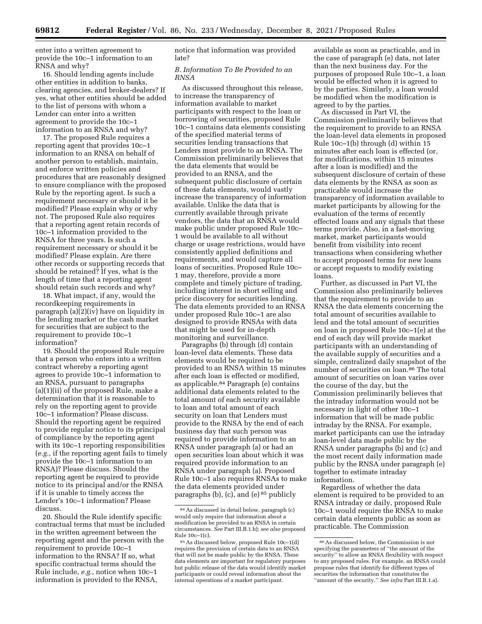enter into a written agreement to provide the 10c–1 information to an RNSA and why?

16. Should lending agents include other entities in addition to banks, clearing agencies, and broker-dealers? If yes, what other entities should be added to the list of persons with whom a Lender can enter into a written agreement to provide the 10c–1 information to an RNSA and why?

17. The proposed Rule requires a reporting agent that provides 10c–1 information to an RNSA on behalf of another person to establish, maintain, and enforce written policies and procedures that are reasonably designed to ensure compliance with the proposed Rule by the reporting agent. Is such a requirement necessary or should it be modified? Please explain why or why not. The proposed Rule also requires that a reporting agent retain records of 10c–1 information provided to the RNSA for three years. Is such a requirement necessary or should it be modified? Please explain. Are there other records or supporting records that should be retained? If yes, what is the length of time that a reporting agent should retain such records and why?

18. What impact, if any, would the recordkeeping requirements in paragraph (a)(2)(iv) have on liquidity in the lending market or the cash market for securities that are subject to the requirement to provide 10c–1 information?

19. Should the proposed Rule require that a person who enters into a written contract whereby a reporting agent agrees to provide 10c–1 information to an RNSA, pursuant to paragraphs (a)(1)(ii) of the proposed Rule, make a determination that it is reasonable to rely on the reporting agent to provide 10c–1 information? Please discuss. Should the reporting agent be required to provide regular notice to its principal of compliance by the reporting agent with its 10c–1 reporting responsibilities (*e.g.,* if the reporting agent fails to timely provide the 10c–1 information to an RNSA)? Please discuss. Should the reporting agent be required to provide notice to its principal and/or the RNSA if it is unable to timely access the Lender's 10c–1 information? Please discuss.

20. Should the Rule identify specific contractual terms that must be included in the written agreement between the reporting agent and the person with the requirement to provide 10c–1 information to the RNSA? If so, what specific contractual terms should the Rule include, *e.g.,* notice when 10c–1 information is provided to the RNSA,

notice that information was provided late?

### *B. Information To Be Provided to an RNSA*

As discussed throughout this release, to increase the transparency of information available to market participants with respect to the loan or borrowing of securities, proposed Rule 10c–1 contains data elements consisting of the specified material terms of securities lending transactions that Lenders must provide to an RNSA. The Commission preliminarily believes that the data elements that would be provided to an RNSA, and the subsequent public disclosure of certain of these data elements, would vastly increase the transparency of information available. Unlike the data that is currently available through private vendors, the data that an RNSA would make public under proposed Rule 10c– 1 would be available to all without charge or usage restrictions, would have consistently applied definitions and requirements, and would capture all loans of securities. Proposed Rule 10c– 1 may, therefore, provide a more complete and timely picture of trading, including interest in short selling and price discovery for securities lending. The data elements provided to an RNSA under proposed Rule 10c–1 are also designed to provide RNSAs with data that might be used for in-depth monitoring and surveillance.

Paragraphs (b) through (d) contain loan-level data elements. These data elements would be required to be provided to an RNSA within 15 minutes after each loan is effected or modified, as applicable.84 Paragraph (e) contains additional data elements related to the total amount of each security available to loan and total amount of each security on loan that Lenders must provide to the RNSA by the end of each business day that such person was required to provide information to an RNSA under paragraph (a) or had an open securities loan about which it was required provide information to an RNSA under paragraph (a). Proposed Rule 10c–1 also requires RNSAs to make the data elements provided under paragraphs (b), (c), and (e)  $85$  publicly

available as soon as practicable, and in the case of paragraph (e) data, not later than the next business day. For the purposes of proposed Rule 10c–1, a loan would be effected when it is agreed to by the parties. Similarly, a loan would be modified when the modification is agreed to by the parties.

As discussed in Part VI, the Commission preliminarily believes that the requirement to provide to an RNSA the loan-level data elements in proposed Rule 10c–1(b) through (d) within 15 minutes after each loan is effected (or, for modifications, within 15 minutes after a loan is modified) and the subsequent disclosure of certain of these data elements by the RNSA as soon as practicable would increase the transparency of information available to market participants by allowing for the evaluation of the terms of recently effected loans and any signals that these terms provide. Also, in a fast-moving market, market participants would benefit from visibility into recent transactions when considering whether to accept proposed terms for new loans or accept requests to modify existing loans.

Further, as discussed in Part VI, the Commission also preliminarily believes that the requirement to provide to an RNSA the data elements concerning the total amount of securities available to lend and the total amount of securities on loan in proposed Rule 10c–1(e) at the end of each day will provide market participants with an understanding of the available supply of securities and a simple, centralized daily snapshot of the number of securities on loan.86 The total amount of securities on loan varies over the course of the day, but the Commission preliminarily believes that the intraday information would not be necessary in light of other 10c–1 information that will be made public intraday by the RNSA. For example, market participants can use the intraday loan-level data made public by the RNSA under paragraphs (b) and (c) and the most recent daily information made public by the RNSA under paragraph (e) together to estimate intraday information.

Regardless of whether the data element is required to be provided to an RNSA intraday or daily, proposed Rule 10c–1 would require the RNSA to make certain data elements public as soon as practicable. The Commission

<sup>84</sup>As discussed in detail below, paragraph (c) would only require that information about a modification be provided to an RNSA in certain circumstances. *See* Part III.B.1.b); *see also* proposed Rule 10c–1(c).

<sup>85</sup>As discussed below, proposed Rule 10c–1(d) requires the provision of certain data to an RNSA that will not be made public by the RNSA. These data elements are important for regulatory purposes but public release of the data would identify market participants or could reveal information about the internal operations of a market participant.

<sup>86</sup>As discussed below, the Commission is not specifying the parameters of ''the amount of the security'' to allow an RNSA flexibility with respect to any proposed rules. For example, an RNSA could propose rules that identify for different types of securities the information that constitutes the ''amount of the security.'' *See infra* Part III.B.1.a).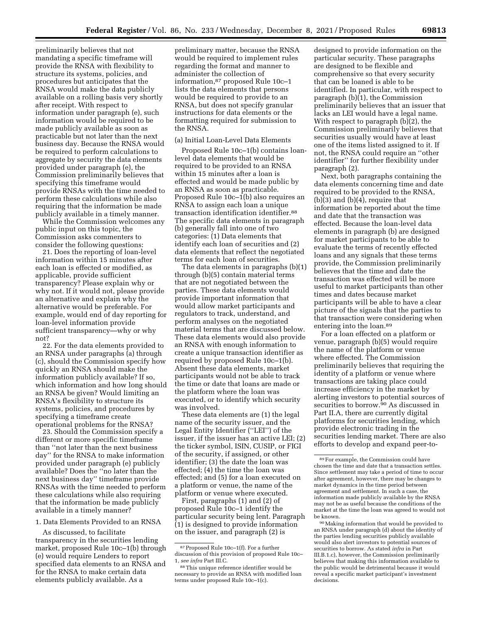preliminarily believes that not mandating a specific timeframe will provide the RNSA with flexibility to structure its systems, policies, and procedures but anticipates that the RNSA would make the data publicly available on a rolling basis very shortly after receipt. With respect to information under paragraph (e), such information would be required to be made publicly available as soon as practicable but not later than the next business day. Because the RNSA would be required to perform calculations to aggregate by security the data elements provided under paragraph (e), the Commission preliminarily believes that specifying this timeframe would provide RNSAs with the time needed to perform these calculations while also requiring that the information be made publicly available in a timely manner.

While the Commission welcomes any public input on this topic, the Commission asks commenters to consider the following questions:

21. Does the reporting of loan-level information within 15 minutes after each loan is effected or modified, as applicable, provide sufficient transparency? Please explain why or why not. If it would not, please provide an alternative and explain why the alternative would be preferable. For example, would end of day reporting for loan-level information provide sufficient transparency—why or why not?

22. For the data elements provided to an RNSA under paragraphs (a) through (c), should the Commission specify how quickly an RNSA should make the information publicly available? If so, which information and how long should an RNSA be given? Would limiting an RNSA's flexibility to structure its systems, policies, and procedures by specifying a timeframe create operational problems for the RNSA?

23. Should the Commission specify a different or more specific timeframe than ''not later than the next business day'' for the RNSA to make information provided under paragraph (e) publicly available? Does the ''no later than the next business day'' timeframe provide RNSAs with the time needed to perform these calculations while also requiring that the information be made publicly available in a timely manner?

### 1. Data Elements Provided to an RNSA

As discussed, to facilitate transparency in the securities lending market, proposed Rule 10c–1(b) through (e) would require Lenders to report specified data elements to an RNSA and for the RNSA to make certain data elements publicly available. As a

preliminary matter, because the RNSA would be required to implement rules regarding the format and manner to administer the collection of information,87 proposed Rule 10c–1 lists the data elements that persons would be required to provide to an RNSA, but does not specify granular instructions for data elements or the formatting required for submission to the RNSA.

### (a) Initial Loan-Level Data Elements

Proposed Rule 10c–1(b) contains loanlevel data elements that would be required to be provided to an RNSA within 15 minutes after a loan is effected and would be made public by an RNSA as soon as practicable. Proposed Rule 10c–1(b) also requires an RNSA to assign each loan a unique transaction identification identifier.88 The specific data elements in paragraph (b) generally fall into one of two categories: (1) Data elements that identify each loan of securities and (2) data elements that reflect the negotiated terms for each loan of securities.

The data elements in paragraphs (b)(1) through (b)(5) contain material terms that are not negotiated between the parties. These data elements would provide important information that would allow market participants and regulators to track, understand, and perform analyses on the negotiated material terms that are discussed below. These data elements would also provide an RNSA with enough information to create a unique transaction identifier as required by proposed Rule 10c–1(b). Absent these data elements, market participants would not be able to track the time or date that loans are made or the platform where the loan was executed, or to identify which security was involved.

These data elements are (1) the legal name of the security issuer, and the Legal Entity Identifier (''LEI'') of the issuer, if the issuer has an active LEI; (2) the ticker symbol, ISIN, CUSIP, or FIGI of the security, if assigned, or other identifier; (3) the date the loan was effected; (4) the time the loan was effected; and (5) for a loan executed on a platform or venue, the name of the platform or venue where executed.

First, paragraphs (1) and (2) of proposed Rule 10c–1 identify the particular security being lent. Paragraph (1) is designed to provide information on the issuer, and paragraph (2) is

designed to provide information on the particular security. These paragraphs are designed to be flexible and comprehensive so that every security that can be loaned is able to be identified. In particular, with respect to paragraph (b)(1), the Commission preliminarily believes that an issuer that lacks an LEI would have a legal name. With respect to paragraph (b)(2), the Commission preliminarily believes that securities usually would have at least one of the items listed assigned to it. If not, the RNSA could require an ''other identifier'' for further flexibility under paragraph (2).

Next, both paragraphs containing the data elements concerning time and date required to be provided to the RNSA,  $(b)$ (3) and  $(b)$ (4), require that information be reported about the time and date that the transaction was effected. Because the loan-level data elements in paragraph (b) are designed for market participants to be able to evaluate the terms of recently effected loans and any signals that these terms provide, the Commission preliminarily believes that the time and date the transaction was effected will be more useful to market participants than other times and dates because market participants will be able to have a clear picture of the signals that the parties to that transaction were considering when entering into the loan.89

For a loan effected on a platform or venue, paragraph (b)(5) would require the name of the platform or venue where effected. The Commission preliminarily believes that requiring the identity of a platform or venue where transactions are taking place could increase efficiency in the market by alerting investors to potential sources of securities to borrow.90 As discussed in Part II.A, there are currently digital platforms for securities lending, which provide electronic trading in the securities lending market. There are also efforts to develop and expand peer-to-

90Making information that would be provided to an RNSA under paragraph (d) about the identity of the parties lending securities publicly available would also alert investors to potential sources of securities to borrow. As stated *infra* in Part III.B.1.c), however, the Commission preliminarily believes that making this information available to the public would be detrimental because it would reveal a specific market participant's investment decisions.

<sup>87</sup>Proposed Rule 10c–1(f). For a further discussion of this provision of proposed Rule 10c– 1, *see infra* Part III.C.

<sup>88</sup>This unique reference identifier would be necessary to provide an RNSA with modified loan terms under proposed Rule 10c–1(c).

<sup>89</sup>For example, the Commission could have chosen the time and date that a transaction settles. Since settlement may take a period of time to occur after agreement, however, there may be changes to market dynamics in the time period between agreement and settlement. In such a case, the information made publicly available by the RNSA may not be as useful because the conditions of the market at the time the loan was agreed to would not be known.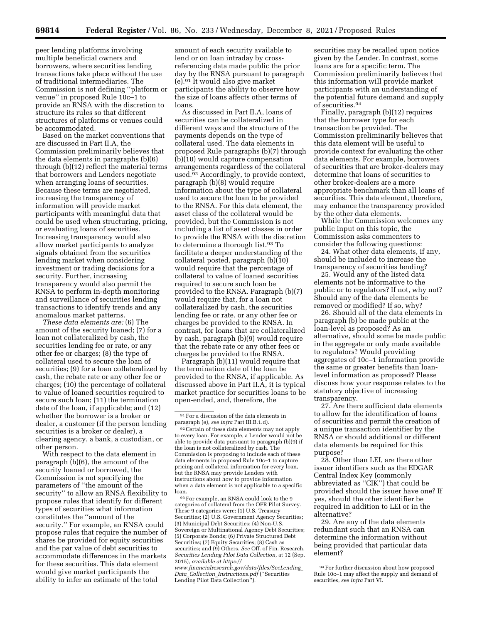peer lending platforms involving multiple beneficial owners and borrowers, where securities lending transactions take place without the use of traditional intermediaries. The Commission is not defining ''platform or venue'' in proposed Rule 10c–1 to provide an RNSA with the discretion to structure its rules so that different structures of platforms or venues could be accommodated.

Based on the market conventions that are discussed in Part II.A, the Commission preliminarily believes that the data elements in paragraphs (b)(6) through (b)(12) reflect the material terms that borrowers and Lenders negotiate when arranging loans of securities. Because these terms are negotiated, increasing the transparency of information will provide market participants with meaningful data that could be used when structuring, pricing, or evaluating loans of securities. Increasing transparency would also allow market participants to analyze signals obtained from the securities lending market when considering investment or trading decisions for a security. Further, increasing transparency would also permit the RNSA to perform in-depth monitoring and surveillance of securities lending transactions to identify trends and any anomalous market patterns.

*These data elements are:* (6) The amount of the security loaned; (7) for a loan not collateralized by cash, the securities lending fee or rate, or any other fee or charges; (8) the type of collateral used to secure the loan of securities; (9) for a loan collateralized by cash, the rebate rate or any other fee or charges; (10) the percentage of collateral to value of loaned securities required to secure such loan; (11) the termination date of the loan, if applicable; and (12) whether the borrower is a broker or dealer, a customer (if the person lending securities is a broker or dealer), a clearing agency, a bank, a custodian, or other person.

With respect to the data element in paragraph (b)(6), the amount of the security loaned or borrowed, the Commission is not specifying the parameters of ''the amount of the security'' to allow an RNSA flexibility to propose rules that identify for different types of securities what information constitutes the ''amount of the security.'' For example, an RNSA could propose rules that require the number of shares be provided for equity securities and the par value of debt securities to accommodate differences in the markets for these securities. This data element would give market participants the ability to infer an estimate of the total

amount of each security available to lend or on loan intraday by crossreferencing data made public the prior day by the RNSA pursuant to paragraph (e).91 It would also give market participants the ability to observe how the size of loans affects other terms of loans.

As discussed in Part II.A, loans of securities can be collateralized in different ways and the structure of the payments depends on the type of collateral used. The data elements in proposed Rule paragraphs (b)(7) through (b)(10) would capture compensation arrangements regardless of the collateral used.<sup>92</sup> Accordingly, to provide context, paragraph (b)(8) would require information about the type of collateral used to secure the loan to be provided to the RNSA. For this data element, the asset class of the collateral would be provided, but the Commission is not including a list of asset classes in order to provide the RNSA with the discretion to determine a thorough list.93 To facilitate a deeper understanding of the collateral posted, paragraph (b)(10) would require that the percentage of collateral to value of loaned securities required to secure such loan be provided to the RNSA. Paragraph (b)(7) would require that, for a loan not collateralized by cash, the securities lending fee or rate, or any other fee or charges be provided to the RNSA. In contrast, for loans that are collateralized by cash, paragraph (b)(9) would require that the rebate rate or any other fees or charges be provided to the RNSA.

Paragraph (b)(11) would require that the termination date of the loan be provided to the RNSA, if applicable. As discussed above in Part II.A, it is typical market practice for securities loans to be open-ended, and, therefore, the

91For a discussion of the data elements in paragraph (e), *see infra* Part III.B.1.d).

92Certain of these data elements may not apply to every loan. For example, a Lender would not be able to provide data pursuant to paragraph (b)(9) if the loan is not collateralized by cash. The Commission is proposing to include each of these data elements in proposed Rule 10c–1 to capture pricing and collateral information for every loan, but the RNSA may provide Lenders with instructions about how to provide information when a data element is not applicable to a specific loan.

93For example, an RNSA could look to the 9 categories of collateral from the OFR Pilot Survey. These 9 categories were: (1) U.S. Treasury Securities; (2) U.S. Government Agency Securities; (3) Municipal Debt Securities; (4) Non-U.S. Sovereign or Multinational Agency Debt Securities; (5) Corporate Bonds; (6) Private Structured Debt Securities; (7) Equity Securities; (8) Cash as securities; and (9) Others. *See* Off. of Fin. Research, *Securities Lending Pilot Data Collection,* at 12 (Sep. 2015), *available at [https://](https://www.financialresearch.gov/data/files/SecLending_Data_Collection_Instructions.pdf)*

*[www.financialresearch.gov/data/files/SecLending](https://www.financialresearch.gov/data/files/SecLending_Data_Collection_Instructions.pdf)*\_ *Data*\_*Collection*\_*[Instructions.pdf](https://www.financialresearch.gov/data/files/SecLending_Data_Collection_Instructions.pdf)* (''Securities Lending Pilot Data Collection'').

securities may be recalled upon notice given by the Lender. In contrast, some loans are for a specific term. The Commission preliminarily believes that this information will provide market participants with an understanding of the potential future demand and supply of securities.94

Finally, paragraph (b)(12) requires that the borrower type for each transaction be provided. The Commission preliminarily believes that this data element will be useful to provide context for evaluating the other data elements. For example, borrowers of securities that are broker-dealers may determine that loans of securities to other broker-dealers are a more appropriate benchmark than all loans of securities. This data element, therefore, may enhance the transparency provided by the other data elements.

While the Commission welcomes any public input on this topic, the Commission asks commenters to consider the following questions:

24. What other data elements, if any, should be included to increase the transparency of securities lending?

25. Would any of the listed data elements not be informative to the public or to regulators? If not, why not? Should any of the data elements be removed or modified? If so, why?

26. Should all of the data elements in paragraph (b) be made public at the loan-level as proposed? As an alternative, should some be made public in the aggregate or only made available to regulators? Would providing aggregates of 10c–1 information provide the same or greater benefits than loanlevel information as proposed? Please discuss how your response relates to the statutory objective of increasing transparency.

27. Are there sufficient data elements to allow for the identification of loans of securities and permit the creation of a unique transaction identifier by the RNSA or should additional or different data elements be required for this purpose?

28. Other than LEI, are there other issuer identifiers such as the EDGAR Central Index Key (commonly abbreviated as ''CIK'') that could be provided should the issuer have one? If yes, should the other identifier be required in addition to LEI or in the alternative?

29. Are any of the data elements redundant such that an RNSA can determine the information without being provided that particular data element?

<sup>94</sup>For further discussion about how proposed Rule 10c–1 may affect the supply and demand of securities, *see infra* Part VI.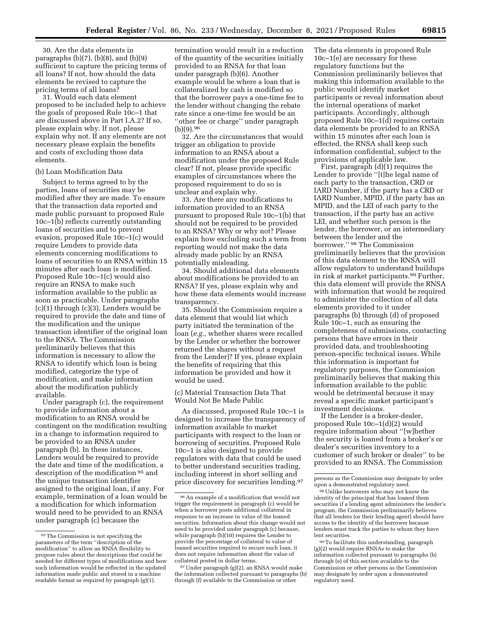30. Are the data elements in paragraphs  $(b)(7)$ ,  $(b)(8)$ , and  $(b)(9)$ sufficient to capture the pricing terms of all loans? If not, how should the data elements be revised to capture the pricing terms of all loans?

31. Would each data element proposed to be included help to achieve the goals of proposed Rule 10c–1 that are discussed above in Part I.A.2? If so, please explain why. If not, please explain why not. If any elements are not necessary please explain the benefits and costs of excluding those data elements.

### (b) Loan Modification Data

Subject to terms agreed to by the parties, loans of securities may be modified after they are made. To ensure that the transaction data reported and made public pursuant to proposed Rule 10c–1(b) reflects currently outstanding loans of securities and to prevent evasion, proposed Rule 10c–1(c) would require Lenders to provide data elements concerning modifications to loans of securities to an RNSA within 15 minutes after each loan is modified. Proposed Rule 10c–1(c) would also require an RNSA to make such information available to the public as soon as practicable. Under paragraphs (c)(1) through (c)(3), Lenders would be required to provide the date and time of the modification and the unique transaction identifier of the original loan to the RNSA. The Commission preliminarily believes that this information is necessary to allow the RNSA to identify which loan is being modified, categorize the type of modification, and make information about the modification publicly available.

Under paragraph (c), the requirement to provide information about a modification to an RNSA would be contingent on the modification resulting in a change to information required to be provided to an RNSA under paragraph (b). In these instances, Lenders would be required to provide the date and time of the modification, a description of the modification 95 and the unique transaction identifier assigned to the original loan, if any. For example, termination of a loan would be a modification for which information would need to be provided to an RNSA under paragraph (c) because the

termination would result in a reduction of the quantity of the securities initially provided to an RNSA for that loan under paragraph (b)(6). Another example would be where a loan that is collateralized by cash is modified so that the borrower pays a one-time fee to the lender without changing the rebate rate since a one-time fee would be an ''other fee or charge'' under paragraph (b)(9).96

32. Are the circumstances that would trigger an obligation to provide information to an RNSA about a modification under the proposed Rule clear? If not, please provide specific examples of circumstances where the proposed requirement to do so is unclear and explain why.

33. Are there any modifications to information provided to an RNSA pursuant to proposed Rule 10c–1(b) that should not be required to be provided to an RNSA? Why or why not? Please explain how excluding such a term from reporting would not make the data already made public by an RNSA potentially misleading.

34. Should additional data elements about modifications be provided to an RNSA? If yes, please explain why and how these data elements would increase transparency.

35. Should the Commission require a data element that would list which party initiated the termination of the loan (*e.g.,* whether shares were recalled by the Lender or whether the borrower returned the shares without a request from the Lender)? If yes, please explain the benefits of requiring that this information be provided and how it would be used.

(c) Material Transaction Data That Would Not Be Made Public

As discussed, proposed Rule 10c–1 is designed to increase the transparency of information available to market participants with respect to the loan or borrowing of securities. Proposed Rule 10c–1 is also designed to provide regulators with data that could be used to better understand securities trading, including interest in short selling and price discovery for securities lending.97

The data elements in proposed Rule 10c–1(e) are necessary for these regulatory functions but the Commission preliminarily believes that making this information available to the public would identify market participants or reveal information about the internal operations of market participants. Accordingly, although proposed Rule 10c–1(d) requires certain data elements be provided to an RNSA within 15 minutes after each loan is effected, the RNSA shall keep such information confidential, subject to the provisions of applicable law.

First, paragraph (d)(1) requires the Lender to provide ''[t]he legal name of each party to the transaction, CRD or IARD Number, if the party has a CRD or IARD Number, MPID, if the party has an MPID, and the LEI of each party to the transaction, if the party has an active LEI, and whether such person is the lender, the borrower, or an intermediary between the lender and the borrower.'' 98 The Commission preliminarily believes that the provision of this data element to the RNSA will allow regulators to understand buildups in risk at market participants.99 Further, this data element will provide the RNSA with information that would be required to administer the collection of all data elements provided to it under paragraphs (b) through (d) of proposed Rule 10c–1, such as ensuring the completeness of submissions, contacting persons that have errors in their provided data, and troubleshooting person-specific technical issues. While this information is important for regulatory purposes, the Commission preliminarily believes that making this information available to the public would be detrimental because it may reveal a specific market participant's investment decisions.

If the Lender is a broker-dealer, proposed Rule 10c–1(d)(2) would require information about ''[w]hether the security is loaned from a broker's or dealer's securities inventory to a customer of such broker or dealer'' to be provided to an RNSA. The Commission

<sup>95</sup>The Commission is not specifying the parameters of the term ''description of the modification'' to allow an RNSA flexibility to propose rules about the descriptions that could be needed for different types of modifications and how such information would be reflected in the updated information made public and stored in a machine readable format as required by paragraph (g)(1).

<sup>96</sup>An example of a modification that would not trigger the requirement in paragraph (c) would be when a borrower posts additional collateral in response to an increase in value of the loaned securities. Information about this change would not need to be provided under paragraph (c) because, while paragraph (b)(10) requires the Lender to provide the percentage of collateral to value of loaned securities required to secure such loan, it does not require information about the value of collateral posted in dollar terms.

<sup>97</sup>Under paragraph (g)(2), an RNSA would make the information collected pursuant to paragraphs (b) through (f) available to the Commission or other

persons as the Commission may designate by order upon a demonstrated regulatory need.

<sup>98</sup> Unlike borrowers who may not know the identity of the principal that has loaned them securities if a lending agent administers the lender's program, the Commission preliminarily believes that all lenders (or their lending agent) should have access to the identity of the borrower because lenders must track the parties to whom they have lent securities.

<sup>99</sup>To facilitate this understanding, paragraph (g)(2) would require RNSAs to make the information collected pursuant to paragraphs (b) through (e) of this section available to the Commission or other persons as the Commission may designate by order upon a demonstrated regulatory need.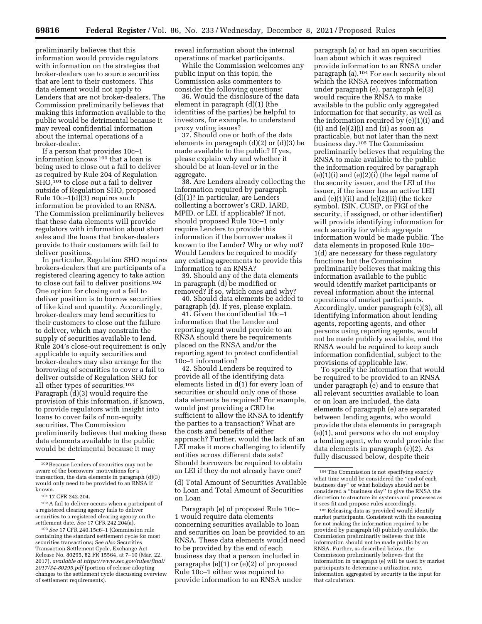preliminarily believes that this information would provide regulators with information on the strategies that broker-dealers use to source securities that are lent to their customers. This data element would not apply to Lenders that are not broker-dealers. The Commission preliminarily believes that making this information available to the public would be detrimental because it may reveal confidential information about the internal operations of a broker-dealer.

If a person that provides 10c–1 information knows 100 that a loan is being used to close out a fail to deliver as required by Rule 204 of Regulation SHO,<sup>101</sup> to close out a fail to deliver outside of Regulation SHO, proposed Rule 10c–1(d)(3) requires such information be provided to an RNSA. The Commission preliminarily believes that these data elements will provide regulators with information about short sales and the loans that broker-dealers provide to their customers with fail to deliver positions.

In particular, Regulation SHO requires brokers-dealers that are participants of a registered clearing agency to take action to close out fail to deliver positions.102 One option for closing out a fail to deliver position is to borrow securities of like kind and quantity. Accordingly, broker-dealers may lend securities to their customers to close out the failure to deliver, which may constrain the supply of securities available to lend. Rule 204's close-out requirement is only applicable to equity securities and broker-dealers may also arrange for the borrowing of securities to cover a fail to deliver outside of Regulation SHO for all other types of securities.103 Paragraph (d)(3) would require the provision of this information, if known, to provide regulators with insight into loans to cover fails of non-equity securities. The Commission preliminarily believes that making these data elements available to the public would be detrimental because it may

103*See* 17 CFR 240.15c6–1 (Commission rule containing the standard settlement cycle for most securities transactions; *See also* Securities Transaction Settlement Cycle, Exchange Act Release No. 80295, 82 FR 15564, at 7–10 (Mar. 22, 2017), *available at [https://www.sec.gov/rules/final/](https://www.sec.gov/rules/final/2017/34-80295.pdf)  [2017/34-80295.pdf](https://www.sec.gov/rules/final/2017/34-80295.pdf)* (portion of release adopting changes to the settlement cycle discussing overview of settlement requirements).

reveal information about the internal operations of market participants.

While the Commission welcomes any public input on this topic, the Commission asks commenters to consider the following questions:

36. Would the disclosure of the data element in paragraph (d)(1) (the identities of the parties) be helpful to investors, for example, to understand proxy voting issues?

37. Should one or both of the data elements in paragraph (d)(2) or (d)(3) be made available to the public? If yes, please explain why and whether it should be at loan-level or in the aggregate.

38. Are Lenders already collecting the information required by paragraph (d)(1)? In particular, are Lenders collecting a borrower's CRD, IARD, MPID, or LEI, if applicable? If not, should proposed Rule 10c–1 only require Lenders to provide this information if the borrower makes it known to the Lender? Why or why not? Would Lenders be required to modify any existing agreements to provide this information to an RNSA?

39. Should any of the data elements in paragraph (d) be modified or removed? If so, which ones and why?

40. Should data elements be added to paragraph (d). If yes, please explain.

41. Given the confidential 10c–1 information that the Lender and reporting agent would provide to an RNSA should there be requirements placed on the RNSA and/or the reporting agent to protect confidential 10c–1 information?

42. Should Lenders be required to provide all of the identifying data elements listed in d(1) for every loan of securities or should only one of those data elements be required? For example, would just providing a CRD be sufficient to allow the RNSA to identify the parties to a transaction? What are the costs and benefits of either approach? Further, would the lack of an LEI make it more challenging to identify entities across different data sets? Should borrowers be required to obtain an LEI if they do not already have one?

(d) Total Amount of Securities Available to Loan and Total Amount of Securities on Loan

Paragraph (e) of proposed Rule 10c– 1 would require data elements concerning securities available to loan and securities on loan be provided to an RNSA. These data elements would need to be provided by the end of each business day that a person included in paragraphs (e)(1) or (e)(2) of proposed Rule 10c–1 either was required to provide information to an RNSA under

paragraph (a) or had an open securities loan about which it was required provide information to an RNSA under paragraph (a).104 For each security about which the RNSA receives information under paragraph (e), paragraph (e)(3) would require the RNSA to make available to the public only aggregated information for that security, as well as the information required by (e)(1)(i) and (ii) and  $(e)(2)(i)$  and  $(ii)$  as soon as practicable, but not later than the next business day.105 The Commission preliminarily believes that requiring the RNSA to make available to the public the information required by paragraph  $(e)(1)(i)$  and  $(e)(2)(i)$  (the legal name of the security issuer, and the LEI of the issuer, if the issuer has an active LEI) and  $(e)(1)(ii)$  and  $(e)(2)(ii)$  (the ticker symbol, ISIN, CUSIP, or FIGI of the security, if assigned, or other identifier) will provide identifying information for each security for which aggregate information would be made public. The data elements in proposed Rule 10c– 1(d) are necessary for these regulatory functions but the Commission preliminarily believes that making this information available to the public would identify market participants or reveal information about the internal operations of market participants. Accordingly, under paragraph (e)(3), all identifying information about lending agents, reporting agents, and other persons using reporting agents, would not be made publicly available, and the RNSA would be required to keep such information confidential, subject to the provisions of applicable law.

To specify the information that would be required to be provided to an RNSA under paragraph (e) and to ensure that all relevant securities available to loan or on loan are included, the data elements of paragraph (e) are separated between lending agents, who would provide the data elements in paragraph (e)(1), and persons who do not employ a lending agent, who would provide the data elements in paragraph (e)(2). As fully discussed below, despite their

105Releasing data as provided would identify market participants. Consistent with the reasoning for not making the information required to be provided by paragraph (d) publicly available, the Commission preliminarily believes that this information should not be made public by an RNSA. Further, as described below, the Commission preliminarily believes that the information in paragraph (e) will be used by market participants to determine a utilization rate. Information aggregated by security is the input for that calculation.

<sup>100</sup>Because Lenders of securities may not be aware of the borrowers' motivations for a transaction, the data elements in paragraph (d)(3) would only need to be provided to an RNSA if known.

<sup>101</sup> 17 CFR 242.204.

<sup>102</sup>A fail to deliver occurs when a participant of a registered clearing agency fails to deliver securities to a registered clearing agency on the settlement date. *See* 17 CFR 242.204(a).

<sup>104</sup>The Commission is not specifying exactly what time would be considered the ''end of each business day'' or what holidays should not be considered a ''business day'' to give the RNSA the discretion to structure its systems and processes as it sees fit and propose rules accordingly.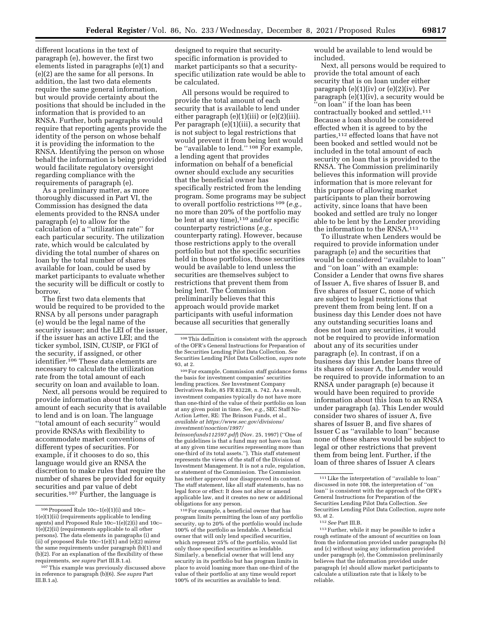different locations in the text of paragraph (e), however, the first two elements listed in paragraphs (e)(1) and (e)(2) are the same for all persons. In addition, the last two data elements require the same general information, but would provide certainty about the positions that should be included in the information that is provided to an RNSA. Further, both paragraphs would require that reporting agents provide the identity of the person on whose behalf it is providing the information to the RNSA. Identifying the person on whose behalf the information is being provided would facilitate regulatory oversight regarding compliance with the requirements of paragraph (e).

As a preliminary matter, as more thoroughly discussed in Part VI, the Commission has designed the data elements provided to the RNSA under paragraph (e) to allow for the calculation of a ''utilization rate'' for each particular security. The utilization rate, which would be calculated by dividing the total number of shares on loan by the total number of shares available for loan, could be used by market participants to evaluate whether the security will be difficult or costly to borrow.

The first two data elements that would be required to be provided to the RNSA by all persons under paragraph (e) would be the legal name of the security issuer; and the LEI of the issuer, if the issuer has an active LEI; and the ticker symbol, ISIN, CUSIP, or FIGI of the security, if assigned, or other identifier.<sup>106</sup> These data elements are necessary to calculate the utilization rate from the total amount of each security on loan and available to loan.

Next, all persons would be required to provide information about the total amount of each security that is available to lend and is on loan. The language ''total amount of each security'' would provide RNSAs with flexibility to accommodate market conventions of different types of securities. For example, if it chooses to do so, this language would give an RNSA the discretion to make rules that require the number of shares be provided for equity securities and par value of debt securities.<sup>107</sup> Further, the language is

designed to require that securityspecific information is provided to market participants so that a securityspecific utilization rate would be able to be calculated.

All persons would be required to provide the total amount of each security that is available to lend under either paragraph (e)(1)(iii) or (e)(2)(iii). Per paragraph (e)(1)(iii), a security that is not subject to legal restrictions that would prevent it from being lent would be "available to lend."<sup>108</sup> For example, a lending agent that provides information on behalf of a beneficial owner should exclude any securities that the beneficial owner has specifically restricted from the lending program. Some programs may be subject to overall portfolio restrictions 109 (*e.g.,*  no more than 20% of the portfolio may be lent at any time),<sup>110</sup> and/or specific counterparty restrictions (*e.g.,*  counterparty rating). However, because those restrictions apply to the overall portfolio but not the specific securities held in those portfolios, those securities would be available to lend unless the securities are themselves subject to restrictions that prevent them from being lent. The Commission preliminarily believes that this approach would provide market participants with useful information because all securities that generally

109For example, Commission staff guidance forms the basis for investment companies' securities lending practices. *See* Investment Company Derivatives Rule, 85 FR 83228, n. 742. As a result, investment companies typically do not have more than one-third of the value of their portfolio on loan at any given point in time. *See, e.g.,* SEC Staff No-Action Letter, RE: The Brinson Funds, et al., *available at [https://www.sec.gov/divisions/](https://www.sec.gov/divisions/investment/noaction/1997/brinsonfunds112597.pdf) [investment/noaction/1997/](https://www.sec.gov/divisions/investment/noaction/1997/brinsonfunds112597.pdf) [brinsonfunds112597.pdf](https://www.sec.gov/divisions/investment/noaction/1997/brinsonfunds112597.pdf)*) (Nov. 25, 1997) (''One of the guidelines is that a fund may not have on loan at any given time securities representing more than one-third of its total assets.''). This staff statement represents the views of the staff of the Division of Investment Management. It is not a rule, regulation, or statement of the Commission. The Commission has neither approved nor disapproved its content.

The staff statement, like all staff statements, has no legal force or effect: It does not alter or amend applicable law, and it creates no new or additional obligations for any person. 110For example, a beneficial owner that has

would be available to lend would be included.

Next, all persons would be required to provide the total amount of each security that is on loan under either paragraph  $(e)(1)(iv)$  or  $(e)(2)(iv)$ . Per paragraph (e)(1)(iv), a security would be 'on loan'' if the loan has been contractually booked and settled.111 Because a loan should be considered effected when it is agreed to by the parties,112 effected loans that have not been booked and settled would not be included in the total amount of each security on loan that is provided to the RNSA. The Commission preliminarily believes this information will provide information that is more relevant for this purpose of allowing market participants to plan their borrowing activity, since loans that have been booked and settled are truly no longer able to be lent by the Lender providing the information to the RNSA.<sup>113</sup>

To illustrate when Lenders would be required to provide information under paragraph (e) and the securities that would be considered ''available to loan'' and ''on loan'' with an example: Consider a Lender that owns five shares of Issuer A, five shares of Issuer B, and five shares of Issuer C, none of which are subject to legal restrictions that prevent them from being lent. If on a business day this Lender does not have any outstanding securities loans and does not loan any securities, it would not be required to provide information about any of its securities under paragraph (e). In contrast, if on a business day this Lender loans three of its shares of issuer A, the Lender would be required to provide information to an RNSA under paragraph (e) because it would have been required to provide information about this loan to an RNSA under paragraph (a). This Lender would consider two shares of issuer A, five shares of Issuer B, and five shares of Issuer C as ''available to loan'' because none of these shares would be subject to legal or other restrictions that prevent them from being lent. Further, if the loan of three shares of Issuer A clears

<sup>106</sup>Proposed Rule 10c–1(e)(1)(i) and 10c– 1(e)(1)(ii) (requirements applicable to lending agents) and Proposed Rule 10c–1(e)(2)(i) and 10c– 1(e)(2)(ii) (requirements applicable to all other persons). The data elements in paragraphs (i) and (ii) of proposed Rule 10c–1(e)(1) and (e)(2) mirror the same requirements under paragraph (b)(1) and (b)(2). For an explanation of the flexibility of these requirements, *see supra* Part III.B.1.a).

<sup>&</sup>lt;sup>107</sup>This example was previously discussed above in reference to paragraph (b)(6). *See supra* Part III.B.1.a).

<sup>108</sup>This definition is consistent with the approach of the OFR's General Instructions for Preparation of the Securities Lending Pilot Data Collection. *See*  Securities Lending Pilot Data Collection, *supra* note 93, at 2.

program limits permitting the loan of any portfolio security, up to 20% of the portfolio would include 100% of the portfolio as lendable. A beneficial owner that will only lend specified securities, which represent 25% of the portfolio, would list only those specified securities as lendable. Similarly, a beneficial owner that will lend any security in its portfolio but has program limits in place to avoid loaning more than one-third of the value of their portfolio at any time would report 100% of its securities as available to lend.

<sup>111</sup>Like the interpretation of ''available to loan'' discussed in note 108, the interpretation of ''on loan'' is consistent with the approach of the OFR's General Instructions for Preparation of the Securities Lending Pilot Data Collection. *See*  Securities Lending Pilot Data Collection, *supra* note 93, at 2.

<sup>112</sup>*See* Part III.B.

<sup>113</sup>Further, while it may be possible to infer a rough estimate of the amount of securities on loan from the information provided under paragraphs (b) and (c) without using any information provided under paragraph (e), the Commission preliminarily believes that the information provided under paragraph (e) should allow market participants to calculate a utilization rate that is likely to be reliable.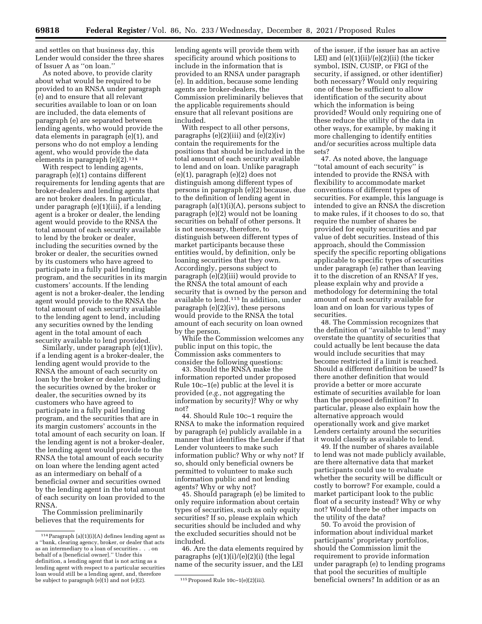and settles on that business day, this Lender would consider the three shares of Issuer A as ''on loan.''

As noted above, to provide clarity about what would be required to be provided to an RNSA under paragraph (e) and to ensure that all relevant securities available to loan or on loan are included, the data elements of paragraph (e) are separated between lending agents, who would provide the data elements in paragraph (e)(1), and persons who do not employ a lending agent, who would provide the data elements in paragraph  $(e)(2)$ .<sup>114</sup>

With respect to lending agents, paragraph (e)(1) contains different requirements for lending agents that are broker-dealers and lending agents that are not broker dealers. In particular, under paragraph (e)(1)(iii), if a lending agent is a broker or dealer, the lending agent would provide to the RNSA the total amount of each security available to lend by the broker or dealer, including the securities owned by the broker or dealer, the securities owned by its customers who have agreed to participate in a fully paid lending program, and the securities in its margin customers' accounts. If the lending agent is not a broker-dealer, the lending agent would provide to the RNSA the total amount of each security available to the lending agent to lend, including any securities owned by the lending agent in the total amount of each security available to lend provided.

Similarly, under paragraph (e)(1)(iv), if a lending agent is a broker-dealer, the lending agent would provide to the RNSA the amount of each security on loan by the broker or dealer, including the securities owned by the broker or dealer, the securities owned by its customers who have agreed to participate in a fully paid lending program, and the securities that are in its margin customers' accounts in the total amount of each security on loan. If the lending agent is not a broker-dealer, the lending agent would provide to the RNSA the total amount of each security on loan where the lending agent acted as an intermediary on behalf of a beneficial owner and securities owned by the lending agent in the total amount of each security on loan provided to the RNSA.

The Commission preliminarily believes that the requirements for lending agents will provide them with specificity around which positions to include in the information that is provided to an RNSA under paragraph (e). In addition, because some lending agents are broker-dealers, the Commission preliminarily believes that the applicable requirements should ensure that all relevant positions are included.

With respect to all other persons, paragraphs  $(e)(2)(iii)$  and  $(e)(2)(iv)$ contain the requirements for the positions that should be included in the total amount of each security available to lend and on loan. Unlike paragraph (e)(1), paragraph (e)(2) does not distinguish among different types of persons in paragraph (e)(2) because, due to the definition of lending agent in paragraph  $(a)(1)(i)(A)$ , persons subject to paragraph (e)(2) would not be loaning securities on behalf of other persons. It is not necessary, therefore, to distinguish between different types of market participants because these entities would, by definition, only be loaning securities that they own. Accordingly, persons subject to paragraph (e)(2)(iii) would provide to the RNSA the total amount of each security that is owned by the person and available to lend.115 In addition, under paragraph (e)(2)(iv), these persons would provide to the RNSA the total amount of each security on loan owned by the person.

While the Commission welcomes any public input on this topic, the Commission asks commenters to consider the following questions:

43. Should the RNSA make the information reported under proposed Rule 10c–1(e) public at the level it is provided (*e.g.,* not aggregating the information by security)? Why or why not?

44. Should Rule 10c–1 require the RNSA to make the information required by paragraph (e) publicly available in a manner that identifies the Lender if that Lender volunteers to make such information public? Why or why not? If so, should only beneficial owners be permitted to volunteer to make such information public and not lending agents? Why or why not?

45. Should paragraph (e) be limited to only require information about certain types of securities, such as only equity securities? If so, please explain which securities should be included and why the excluded securities should not be included.

46. Are the data elements required by paragraphs (e)(1)(i)/(e)(2)(i) (the legal name of the security issuer, and the LEI

of the issuer, if the issuer has an active LEI) and  $(e)(1)(ii)/(e)(2)(ii)$  (the ticker symbol, ISIN, CUSIP, or FIGI of the security, if assigned, or other identifier) both necessary? Would only requiring one of these be sufficient to allow identification of the security about which the information is being provided? Would only requiring one of these reduce the utility of the data in other ways, for example, by making it more challenging to identify entities and/or securities across multiple data sets?

47. As noted above, the language ''total amount of each security'' is intended to provide the RNSA with flexibility to accommodate market conventions of different types of securities. For example, this language is intended to give an RNSA the discretion to make rules, if it chooses to do so, that require the number of shares be provided for equity securities and par value of debt securities. Instead of this approach, should the Commission specify the specific reporting obligations applicable to specific types of securities under paragraph (e) rather than leaving it to the discretion of an RNSA? If yes, please explain why and provide a methodology for determining the total amount of each security available for loan and on loan for various types of securities.

48. The Commission recognizes that the definition of ''available to lend'' may overstate the quantity of securities that could actually be lent because the data would include securities that may become restricted if a limit is reached. Should a different definition be used? Is there another definition that would provide a better or more accurate estimate of securities available for loan than the proposed definition? In particular, please also explain how the alternative approach would operationally work and give market Lenders certainty around the securities it would classify as available to lend.

49. If the number of shares available to lend was not made publicly available, are there alternative data that market participants could use to evaluate whether the security will be difficult or costly to borrow? For example, could a market participant look to the public float of a security instead? Why or why not? Would there be other impacts on the utility of the data?

50. To avoid the provision of information about individual market participants' proprietary portfolios, should the Commission limit the requirement to provide information under paragraph (e) to lending programs that pool the securities of multiple beneficial owners? In addition or as an

 $^{114}\rm{Paragraph}$  (a)(1)(i)(A) defines lending agent as a ''bank, clearing agency, broker, or dealer that acts as an intermediary to a loan of securities . . behalf of a [beneficial owner].'' Under this definition, a lending agent that is not acting as a lending agent with respect to a particular securities loan would still be a lending agent, and, therefore be subject to paragraph  $(e)(1)$  and not  $(e)(2)$ .  $115$  Proposed Rule 10c–1 $(e)(2)(iii)$ .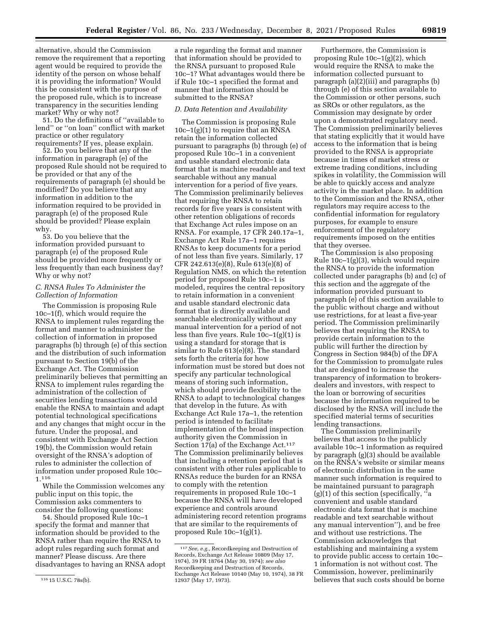alternative, should the Commission remove the requirement that a reporting agent would be required to provide the identity of the person on whose behalf it is providing the information? Would this be consistent with the purpose of the proposed rule, which is to increase transparency in the securities lending market? Why or why not?

51. Do the definitions of ''available to lend'' or ''on loan'' conflict with market practice or other regulatory requirements? If yes, please explain.

52. Do you believe that any of the information in paragraph (e) of the proposed Rule should not be required to be provided or that any of the requirements of paragraph (e) should be modified? Do you believe that any information in addition to the information required to be provided in paragraph (e) of the proposed Rule should be provided? Please explain why.

53. Do you believe that the information provided pursuant to paragraph (e) of the proposed Rule should be provided more frequently or less frequently than each business day? Why or why not?

### *C. RNSA Rules To Administer the Collection of Information*

The Commission is proposing Rule 10c–1(f), which would require the RNSA to implement rules regarding the format and manner to administer the collection of information in proposed paragraphs (b) through (e) of this section and the distribution of such information pursuant to Section 19(b) of the Exchange Act. The Commission preliminarily believes that permitting an RNSA to implement rules regarding the administration of the collection of securities lending transactions would enable the RNSA to maintain and adapt potential technological specifications and any changes that might occur in the future. Under the proposal, and consistent with Exchange Act Section 19(b), the Commission would retain oversight of the RNSA's adoption of rules to administer the collection of information under proposed Rule 10c– 1.116

While the Commission welcomes any public input on this topic, the Commission asks commenters to consider the following questions:

54. Should proposed Rule 10c–1 specify the format and manner that information should be provided to the RNSA rather than require the RNSA to adopt rules regarding such format and manner? Please discuss. Are there disadvantages to having an RNSA adopt

a rule regarding the format and manner that information should be provided to the RNSA pursuant to proposed Rule 10c–1? What advantages would there be if Rule 10c–1 specified the format and manner that information should be submitted to the RNSA?

#### *D. Data Retention and Availability*

The Commission is proposing Rule 10c–1(g)(1) to require that an RNSA retain the information collected pursuant to paragraphs (b) through (e) of proposed Rule 10c–1 in a convenient and usable standard electronic data format that is machine readable and text searchable without any manual intervention for a period of five years. The Commission preliminarily believes that requiring the RNSA to retain records for five years is consistent with other retention obligations of records that Exchange Act rules impose on an RNSA. For example, 17 CFR 240.17a–1, Exchange Act Rule 17a–1 requires RNSAs to keep documents for a period of not less than five years. Similarly, 17 CFR 242.613(e)(8), Rule 613(e)(8) of Regulation NMS, on which the retention period for proposed Rule 10c–1 is modeled, requires the central repository to retain information in a convenient and usable standard electronic data format that is directly available and searchable electronically without any manual intervention for a period of not less than five years. Rule 10c–1(g)(1) is using a standard for storage that is similar to Rule 613(e)(8). The standard sets forth the criteria for how information must be stored but does not specify any particular technological means of storing such information, which should provide flexibility to the RNSA to adapt to technological changes that develop in the future. As with Exchange Act Rule 17a–1, the retention period is intended to facilitate implementation of the broad inspection authority given the Commission in Section  $17(a)$  of the Exchange Act.<sup>117</sup> The Commission preliminarily believes that including a retention period that is consistent with other rules applicable to RNSAs reduce the burden for an RNSA to comply with the retention requirements in proposed Rule 10c–1 because the RNSA will have developed experience and controls around administering record retention programs that are similar to the requirements of proposed Rule 10c–1(g)(1).

Furthermore, the Commission is proposing Rule 10c–1(g)(2), which would require the RNSA to make the information collected pursuant to paragraph (a)(2)(iii) and paragraphs (b) through (e) of this section available to the Commission or other persons, such as SROs or other regulators, as the Commission may designate by order upon a demonstrated regulatory need. The Commission preliminarily believes that stating explicitly that it would have access to the information that is being provided to the RNSA is appropriate because in times of market stress or extreme trading conditions, including spikes in volatility, the Commission will be able to quickly access and analyze activity in the market place. In addition to the Commission and the RNSA, other regulators may require access to the confidential information for regulatory purposes, for example to ensure enforcement of the regulatory requirements imposed on the entities that they oversee.

The Commission is also proposing Rule 10c–1(g)(3), which would require the RNSA to provide the information collected under paragraphs (b) and (c) of this section and the aggregate of the information provided pursuant to paragraph (e) of this section available to the public without charge and without use restrictions, for at least a five-year period. The Commission preliminarily believes that requiring the RNSA to provide certain information to the public will further the direction by Congress in Section 984(b) of the DFA for the Commission to promulgate rules that are designed to increase the transparency of information to brokersdealers and investors, with respect to the loan or borrowing of securities because the information required to be disclosed by the RNSA will include the specified material terms of securities lending transactions.

The Commission preliminarily believes that access to the publicly available 10c–1 information as required by paragraph (g)(3) should be available on the RNSA's website or similar means of electronic distribution in the same manner such information is required to be maintained pursuant to paragraph (g)(1) of this section (specifically, ''a convenient and usable standard electronic data format that is machine readable and text searchable without any manual intervention''), and be free and without use restrictions. The Commission acknowledges that establishing and maintaining a system to provide public access to certain 10c– 1 information is not without cost. The Commission, however, preliminarily believes that such costs should be borne

<sup>116</sup> 15 U.S.C. 78s(b).

<sup>117</sup>*See, e.g.,* Recordkeeping and Destruction of Records, Exchange Act Release 10809 (May 17, 1974), 39 FR 18764 (May 30, 1974); *see also*  Recordkeeping and Destruction of Records, Exchange Act Release 10140 (May 10, 1974), 38 FR 12937 (May 17, 1973).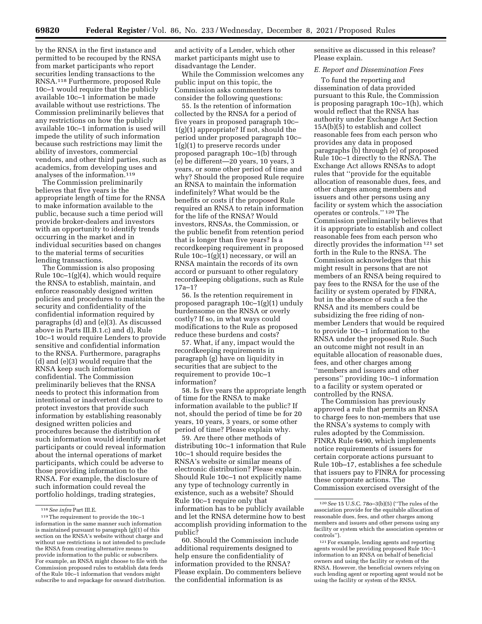by the RNSA in the first instance and permitted to be recouped by the RNSA from market participants who report securities lending transactions to the RNSA.118 Furthermore, proposed Rule 10c–1 would require that the publicly available 10c–1 information be made available without use restrictions. The Commission preliminarily believes that any restrictions on how the publicly available 10c–1 information is used will impede the utility of such information because such restrictions may limit the ability of investors, commercial vendors, and other third parties, such as academics, from developing uses and analyses of the information.119

The Commission preliminarily believes that five years is the appropriate length of time for the RNSA to make information available to the public, because such a time period will provide broker-dealers and investors with an opportunity to identify trends occurring in the market and in individual securities based on changes to the material terms of securities lending transactions.

The Commission is also proposing Rule 10c–1(g)(4), which would require the RNSA to establish, maintain, and enforce reasonably designed written policies and procedures to maintain the security and confidentiality of the confidential information required by paragraphs (d) and (e)(3). As discussed above in Parts III.B.1.c) and d), Rule 10c–1 would require Lenders to provide sensitive and confidential information to the RNSA. Furthermore, paragraphs (d) and (e)(3) would require that the RNSA keep such information confidential. The Commission preliminarily believes that the RNSA needs to protect this information from intentional or inadvertent disclosure to protect investors that provide such information by establishing reasonably designed written policies and procedures because the distribution of such information would identify market participants or could reveal information about the internal operations of market participants, which could be adverse to those providing information to the RNSA. For example, the disclosure of such information could reveal the portfolio holdings, trading strategies,

and activity of a Lender, which other market participants might use to disadvantage the Lender.

While the Commission welcomes any public input on this topic, the Commission asks commenters to consider the following questions:

55. Is the retention of information collected by the RNSA for a period of five years in proposed paragraph 10c– 1(g)(1) appropriate? If not, should the period under proposed paragraph 10c– 1(g)(1) to preserve records under proposed paragraph 10c–1(b) through (e) be different—20 years, 10 years, 3 years, or some other period of time and why? Should the proposed Rule require an RNSA to maintain the information indefinitely? What would be the benefits or costs if the proposed Rule required an RNSA to retain information for the life of the RNSA? Would investors, RNSAs, the Commission, or the public benefit from retention period that is longer than five years? Is a recordkeeping requirement in proposed Rule 10c–1(g)(1) necessary, or will an RNSA maintain the records of its own accord or pursuant to other regulatory recordkeeping obligations, such as Rule 17a–1?

56. Is the retention requirement in proposed paragraph 10c–1(g)(1) unduly burdensome on the RNSA or overly costly? If so, in what ways could modifications to the Rule as proposed reduce these burdens and costs?

57. What, if any, impact would the recordkeeping requirements in paragraph (g) have on liquidity in securities that are subject to the requirement to provide 10c–1 information?

58. Is five years the appropriate length of time for the RNSA to make information available to the public? If not, should the period of time be for 20 years, 10 years, 3 years, or some other period of time? Please explain why.

59. Are there other methods of distributing 10c–1 information that Rule 10c–1 should require besides the RNSA's website or similar means of electronic distribution? Please explain. Should Rule 10c–1 not explicitly name any type of technology currently in existence, such as a website? Should Rule 10c–1 require only that information has to be publicly available and let the RNSA determine how to best accomplish providing information to the public?

60. Should the Commission include additional requirements designed to help ensure the confidentiality of information provided to the RNSA? Please explain. Do commenters believe the confidential information is as

sensitive as discussed in this release? Please explain.

#### *E. Report and Dissemination Fees*

To fund the reporting and dissemination of data provided pursuant to this Rule, the Commission is proposing paragraph 10c–1(h), which would reflect that the RNSA has authority under Exchange Act Section 15A(b)(5) to establish and collect reasonable fees from each person who provides any data in proposed paragraphs (b) through (e) of proposed Rule 10c–1 directly to the RNSA. The Exchange Act allows RNSAs to adopt rules that ''provide for the equitable allocation of reasonable dues, fees, and other charges among members and issuers and other persons using any facility or system which the association operates or controls.'' 120 The Commission preliminarily believes that it is appropriate to establish and collect reasonable fees from each person who directly provides the information 121 set forth in the Rule to the RNSA. The Commission acknowledges that this might result in persons that are not members of an RNSA being required to pay fees to the RNSA for the use of the facility or system operated by FINRA, but in the absence of such a fee the RNSA and its members could be subsidizing the free riding of nonmember Lenders that would be required to provide 10c–1 information to the RNSA under the proposed Rule. Such an outcome might not result in an equitable allocation of reasonable dues, fees, and other charges among ''members and issuers and other persons'' providing 10c–1 information to a facility or system operated or controlled by the RNSA.

The Commission has previously approved a rule that permits an RNSA to charge fees to non-members that use the RNSA's systems to comply with rules adopted by the Commission. FINRA Rule 6490, which implements notice requirements of issuers for certain corporate actions pursuant to Rule 10b–17, establishes a fee schedule that issuers pay to FINRA for processing these corporate actions. The Commission exercised oversight of the

<sup>118</sup>*See infra* Part III.E.

<sup>119</sup>The requirement to provide the 10c–1 information in the same manner such information is maintained pursuant to paragraph (g)(1) of this section on the RNSA's website without charge and without use restrictions is not intended to preclude the RNSA from creating alternative means to provide information to the public or subscribers. For example, an RNSA might choose to file with the Commission proposed rules to establish data feeds of the Rule 10c–1 information that vendors might subscribe to and repackage for onward distribution.

<sup>120</sup>*See* 15 U.S.C. 78o–3(b)(5) (''The rules of the association provide for the equitable allocation of reasonable dues, fees, and other charges among members and issuers and other persons using any facility or system which the association operates or controls'').

<sup>121</sup>For example, lending agents and reporting agents would be providing proposed Rule 10c–1 information to an RNSA on behalf of beneficial owners and using the facility or system of the RNSA. However, the beneficial owners relying on such lending agent or reporting agent would not be using the facility or system of the RNSA.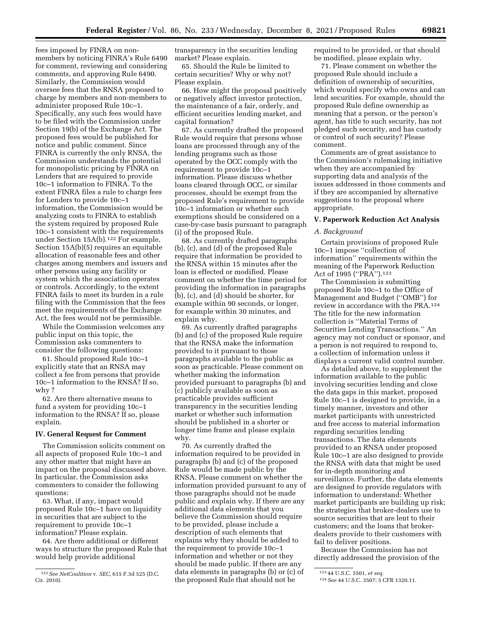fees imposed by FINRA on nonmembers by noticing FINRA's Rule 6490 for comment, reviewing and considering comments, and approving Rule 6490. Similarly, the Commission would oversee fees that the RNSA proposed to charge by members and non-members to administer proposed Rule 10c–1. Specifically, any such fees would have to be filed with the Commission under Section 19(b) of the Exchange Act. The proposed fees would be published for notice and public comment. Since FINRA is currently the only RNSA, the Commission understands the potential for monopolistic pricing by FINRA on Lenders that are required to provide 10c–1 information to FINRA. To the extent FINRA files a rule to charge fees for Lenders to provide 10c–1 information, the Commission would be analyzing costs to FINRA to establish the system required by proposed Rule 10c–1 consistent with the requirements under Section 15A(b).<sup>122</sup> For example, Section 15A(b)(5) requires an equitable allocation of reasonable fees and other charges among members and issuers and other persons using any facility or system which the association operates or controls. Accordingly, to the extent FINRA fails to meet its burden in a rule filing with the Commission that the fees meet the requirements of the Exchange Act, the fees would not be permissible.

While the Commission welcomes any public input on this topic, the Commission asks commenters to consider the following questions:

61. Should proposed Rule 10c–1 explicitly state that an RNSA may collect a fee from persons that provide 10c–1 information to the RNSA? If so, why ?

62. Are there alternative means to fund a system for providing 10c–1 information to the RNSA? If so, please explain.

### **IV. General Request for Comment**

The Commission solicits comment on all aspects of proposed Rule 10c–1 and any other matter that might have an impact on the proposal discussed above. In particular, the Commission asks commenters to consider the following questions:

63. What, if any, impact would proposed Rule 10c–1 have on liquidity in securities that are subject to the requirement to provide 10c–1 information? Please explain.

64. Are there additional or different ways to structure the proposed Rule that would help provide additional

transparency in the securities lending market? Please explain.

65. Should the Rule be limited to certain securities? Why or why not? Please explain.

66. How might the proposal positively or negatively affect investor protection, the maintenance of a fair, orderly, and efficient securities lending market, and capital formation?

67. As currently drafted the proposed Rule would require that persons whose loans are processed through any of the lending programs such as those operated by the OCC comply with the requirement to provide 10c–1 information. Please discuss whether loans cleared through OCC, or similar processes, should be exempt from the proposed Rule's requirement to provide 10c–1 information or whether such exemptions should be considered on a case-by-case basis pursuant to paragraph (i) of the proposed Rule.

68. As currently drafted paragraphs (b), (c), and (d) of the proposed Rule require that information be provided to the RNSA within 15 minutes after the loan is effected or modified. Please comment on whether the time period for providing the information in paragraphs (b), (c), and (d) should be shorter, for example within 90 seconds, or longer, for example within 30 minutes, and explain why.

69. As currently drafted paragraphs (b) and (c) of the proposed Rule require that the RNSA make the information provided to it pursuant to those paragraphs available to the public as soon as practicable. Please comment on whether making the information provided pursuant to paragraphs (b) and (c) publicly available as soon as practicable provides sufficient transparency in the securities lending market or whether such information should be published in a shorter or longer time frame and please explain why.

70. As currently drafted the information required to be provided in paragraphs (b) and (c) of the proposed Rule would be made public by the RNSA. Please comment on whether the information provided pursuant to any of those paragraphs should not be made public and explain why. If there are any additional data elements that you believe the Commission should require to be provided, please include a description of such elements that explains why they should be added to the requirement to provide 10c–1 information and whether or not they should be made public. If there are any data elements in paragraphs (b) or (c) of the proposed Rule that should not be

required to be provided, or that should be modified, please explain why.

71. Please comment on whether the proposed Rule should include a definition of ownership of securities, which would specify who owns and can lend securities. For example, should the proposed Rule define ownership as meaning that a person, or the person's agent, has title to such security, has not pledged such security, and has custody or control of such security? Please comment.

Comments are of great assistance to the Commission's rulemaking initiative when they are accompanied by supporting data and analysis of the issues addressed in those comments and if they are accompanied by alternative suggestions to the proposal where appropriate.

### **V. Paperwork Reduction Act Analysis**

#### *A. Background*

Certain provisions of proposed Rule 10c–1 impose ''collection of information'' requirements within the meaning of the Paperwork Reduction Act of 1995 (''PRA'').123

The Commission is submitting proposed Rule 10c–1 to the Office of Management and Budget (''OMB'') for review in accordance with the PRA.124 The title for the new information collection is ''Material Terms of Securities Lending Transactions.'' An agency may not conduct or sponsor, and a person is not required to respond to, a collection of information unless it displays a current valid control number.

As detailed above, to supplement the information available to the public involving securities lending and close the data gaps in this market, proposed Rule 10c–1 is designed to provide, in a timely manner, investors and other market participants with unrestricted and free access to material information regarding securities lending transactions. The data elements provided to an RNSA under proposed Rule 10c–1 are also designed to provide the RNSA with data that might be used for in-depth monitoring and surveillance. Further, the data elements are designed to provide regulators with information to understand: Whether market participants are building up risk; the strategies that broker-dealers use to source securities that are lent to their customers; and the loans that brokerdealers provide to their customers with fail to deliver positions.

Because the Commission has not directly addressed the provision of the

<sup>122</sup>*See NetCoalition* v. *SEC,* 615 F.3d 525 (D.C. Cir. 2010).

<sup>123</sup> 44 U.S.C. 3501, *et seq.* 

<sup>124</sup>*See* 44 U.S.C. 3507; 5 CFR 1320.11.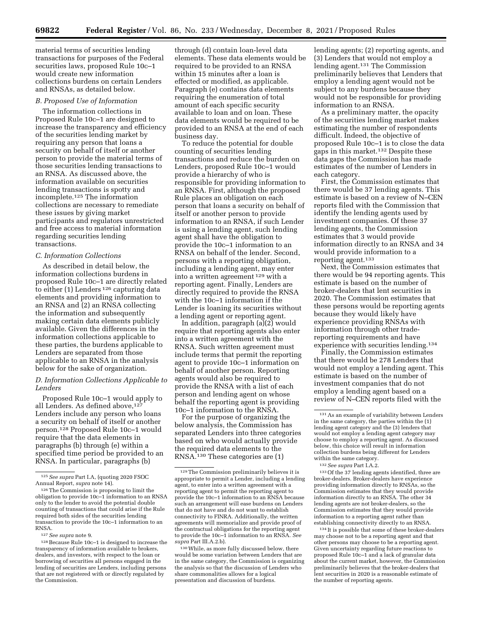material terms of securities lending transactions for purposes of the Federal securities laws, proposed Rule 10c–1 would create new information collections burdens on certain Lenders and RNSAs, as detailed below.

### *B. Proposed Use of Information*

The information collections in Proposed Rule 10c–1 are designed to increase the transparency and efficiency of the securities lending market by requiring any person that loans a security on behalf of itself or another person to provide the material terms of those securities lending transactions to an RNSA. As discussed above, the information available on securities lending transactions is spotty and incomplete.125 The information collections are necessary to remediate these issues by giving market participants and regulators unrestricted and free access to material information regarding securities lending transactions.

### *C. Information Collections*

As described in detail below, the information collections burdens in proposed Rule 10c–1 are directly related to either (1) Lenders<sup>126</sup> capturing data elements and providing information to an RNSA and (2) an RNSA collecting the information and subsequently making certain data elements publicly available. Given the differences in the information collections applicable to these parties, the burdens applicable to Lenders are separated from those applicable to an RNSA in the analysis below for the sake of organization.

### *D. Information Collections Applicable to Lenders*

Proposed Rule 10c–1 would apply to all Lenders. As defined above, 127 Lenders include any person who loans a security on behalf of itself or another person.128 Proposed Rule 10c–1 would require that the data elements in paragraphs (b) through (e) within a specified time period be provided to an RNSA. In particular, paragraphs (b)

through (d) contain loan-level data elements. These data elements would be required to be provided to an RNSA within 15 minutes after a loan is effected or modified, as applicable. Paragraph (e) contains data elements requiring the enumeration of total amount of each specific security available to loan and on loan. These data elements would be required to be provided to an RNSA at the end of each business day.

To reduce the potential for double counting of securities lending transactions and reduce the burden on Lenders, proposed Rule 10c–1 would provide a hierarchy of who is responsible for providing information to an RNSA. First, although the proposed Rule places an obligation on each person that loans a security on behalf of itself or another person to provide information to an RNSA, if such Lender is using a lending agent, such lending agent shall have the obligation to provide the 10c–1 information to an RNSA on behalf of the lender. Second, persons with a reporting obligation, including a lending agent, may enter into a written agreement 129 with a reporting agent. Finally, Lenders are directly required to provide the RNSA with the 10c–1 information if the Lender is loaning its securities without a lending agent or reporting agent.

In addition, paragraph (a)(2) would require that reporting agents also enter into a written agreement with the RNSA. Such written agreement must include terms that permit the reporting agent to provide 10c–1 information on behalf of another person. Reporting agents would also be required to provide the RNSA with a list of each person and lending agent on whose behalf the reporting agent is providing 10c–1 information to the RNSA.

For the purpose of organizing the below analysis, the Commission has separated Lenders into three categories based on who would actually provide the required data elements to the RNSA.130 These categories are (1)

lending agents; (2) reporting agents, and (3) Lenders that would not employ a lending agent.131 The Commission preliminarily believes that Lenders that employ a lending agent would not be subject to any burdens because they would not be responsible for providing information to an RNSA.

As a preliminary matter, the opacity of the securities lending market makes estimating the number of respondents difficult. Indeed, the objective of proposed Rule 10c–1 is to close the data gaps in this market.132 Despite these data gaps the Commission has made estimates of the number of Lenders in each category.

First, the Commission estimates that there would be 37 lending agents. This estimate is based on a review of N–CEN reports filed with the Commission that identify the lending agents used by investment companies. Of these 37 lending agents, the Commission estimates that 3 would provide information directly to an RNSA and 34 would provide information to a reporting agent.133

Next, the Commission estimates that there would be 94 reporting agents. This estimate is based on the number of broker-dealers that lent securities in 2020. The Commission estimates that these persons would be reporting agents because they would likely have experience providing RNSAs with information through other tradereporting requirements and have experience with securities lending.134

Finally, the Commission estimates that there would be 278 Lenders that would not employ a lending agent. This estimate is based on the number of investment companies that do not employ a lending agent based on a review of N–CEN reports filed with the

133Of the 37 lending agents identified, three are broker-dealers. Broker-dealers have experience providing information directly to RNSAs, so the Commission estimates that they would provide information directly to an RNSA. The other 34 lending agents are not broker-dealers, so the Commission estimates that they would provide information to a reporting agent rather than establishing connectivity directly to an RNSA.

134 It is possible that some of these broker-dealers may choose not to be a reporting agent and that other persons may choose to be a reporting agent. Given uncertainty regarding future reactions to proposed Rule 10c–1 and a lack of granular data about the current market, however, the Commission preliminarily believes that the broker-dealers that lent securities in 2020 is a reasonable estimate of the number of reporting agents.

<sup>125</sup>*See supra* Part I.A, (quoting 2020 FSOC Annual Report, *supra* note 14).

<sup>126</sup>The Commission is proposing to limit the obligation to provide 10c–1 information to an RNSA only to the lender to avoid the potential double counting of transactions that could arise if the Rule required both sides of the securities lending transaction to provide the 10c–1 information to an RNSA.

<sup>127</sup>*See supra* note 9.

<sup>128</sup>Because Rule 10c–1 is designed to increase the transparency of information available to brokers, dealers, and investors, with respect to the loan or borrowing of securities all persons engaged in the lending of securities are Lenders, including persons that are not registered with or directly regulated by the Commission.

<sup>129</sup>The Commission preliminarily believes it is appropriate to permit a Lender, including a lending agent, to enter into a written agreement with a reporting agent to permit the reporting agent to provide the 10c–1 information to an RNSA because such an arrangement will ease burdens on Lenders that do not have and do not want to establish connectivity to FINRA. Additionally, the written agreements will memorialize and provide proof of the contractual obligations for the reporting agent to provide the 10c–1 information to an RNSA. *See supra* Part III.A.2.b).

<sup>130</sup>While, as more fully discussed below, there would be some variation between Lenders that are in the same category, the Commission is organizing the analysis so that the discussion of Lenders who share commonalities allows for a logical presentation and discussion of burdens.

<sup>131</sup>As an example of variability between Lenders in the same category, the parties within the (1) lending agent category and the (3) lenders that would not employ a lending agent category may choose to employ a reporting agent. As discussed below, this choice will result in information collection burdens being different for Lenders within the same category.

<sup>132</sup>*See supra* Part I.A.2.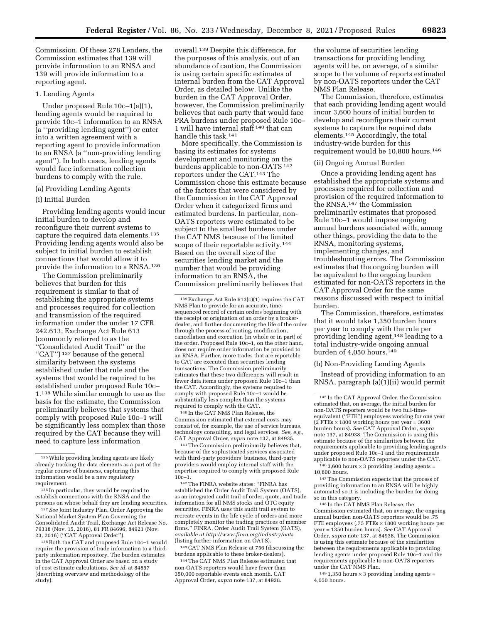Commission. Of these 278 Lenders, the Commission estimates that 139 will provide information to an RNSA and 139 will provide information to a reporting agent.

### 1. Lending Agents

Under proposed Rule 10c–1(a)(1), lending agents would be required to provide 10c–1 information to an RNSA (a ''providing lending agent'') or enter into a written agreement with a reporting agent to provide information to an RNSA (a ''non-providing lending agent''). In both cases, lending agents would face information collection burdens to comply with the rule.

### (a) Providing Lending Agents

### (i) Initial Burden

Providing lending agents would incur initial burden to develop and reconfigure their current systems to capture the required data elements.135 Providing lending agents would also be subject to initial burden to establish connections that would allow it to provide the information to a RNSA.136

The Commission preliminarily believes that burden for this requirement is similar to that of establishing the appropriate systems and processes required for collection and transmission of the required information under the under 17 CFR 242.613, Exchange Act Rule 613 (commonly referred to as the ''Consolidated Audit Trail'' or the "CAT")<sup>137</sup> because of the general similarity between the systems established under that rule and the systems that would be required to be established under proposed Rule 10c– 1.138 While similar enough to use as the basis for the estimate, the Commission preliminarily believes that systems that comply with proposed Rule 10c–1 will be significantly less complex than those required by the CAT because they will need to capture less information

138Both the CAT and proposed Rule 10c–1 would require the provision of trade information to a thirdparty information repository. The burden estimates in the CAT Approval Order are based on a study of cost estimate calculations. *See id.* at 84857 (describing overview and methodology of the study).

overall.139 Despite this difference, for the purposes of this analysis, out of an abundance of caution, the Commission is using certain specific estimates of internal burden from the CAT Approval Order, as detailed below. Unlike the burden in the CAT Approval Order, however, the Commission preliminarily believes that each party that would face PRA burdens under proposed Rule 10c– 1 will have internal staff 140 that can handle this task.141

More specifically, the Commission is basing its estimates for systems development and monitoring on the burdens applicable to non-OATS 142 reporters under the CAT.143 The Commission chose this estimate because of the factors that were considered by the Commission in the CAT Approval Order when it categorized firms and estimated burdens. In particular, non-OATS reporters were estimated to be subject to the smallest burdens under the CAT NMS because of the limited scope of their reportable activity.144 Based on the overall size of the securities lending market and the number that would be providing information to an RNSA, the Commission preliminarily believes that

140 In the CAT NMS Plan Release, the Commission estimated that external costs may consist of, for example, the use of service bureaus, technology consulting, and legal services. *See, e.g.,*  CAT Approval Order, *supra* note 137, at 84935.

141The Commission preliminarily believes that, because of the sophisticated services associated with third-party providers' business, third-party providers would employ internal staff with the expertise required to comply with proposed Rule 10c–1.

142The FINRA website states: ''FINRA has established the Order Audit Trail System (OATS), as an integrated audit trail of order, quote, and trade information for all NMS stocks and OTC equity securities. FINRA uses this audit trail system to recreate events in the life cycle of orders and more completely monitor the trading practices of member firms.'' FINRA, Order Audit Trail System (OATS), *available at<http://www.finra.org/industry/oats>* (listing further information on OATS).

143CAT NMS Plan Release at 756 (discussing the burdens applicable to these broker-dealers).

144The CAT NMS Plan Release estimated that non-OATS reporters would have fewer than 350,000 reportable events each month. CAT Approval Order, *supra* note 137, at 84928.

the volume of securities lending transactions for providing lending agents will be, on average, of a similar scope to the volume of reports estimated by non-OATS reporters under the CAT NMS Plan Release.

The Commission, therefore, estimates that each providing lending agent would incur 3,600 hours of initial burden to develop and reconfigure their current systems to capture the required data elements.145 Accordingly, the total industry-wide burden for this requirement would be 10,800 hours.146

### (ii) Ongoing Annual Burden

Once a providing lending agent has established the appropriate systems and processes required for collection and provision of the required information to the RNSA,147 the Commission preliminarily estimates that proposed Rule 10c–1 would impose ongoing annual burdens associated with, among other things, providing the data to the RNSA, monitoring systems, implementing changes, and troubleshooting errors. The Commission estimates that the ongoing burden will be equivalent to the ongoing burden estimated for non-OATS reporters in the CAT Approval Order for the same reasons discussed with respect to initial burden.

The Commission, therefore, estimates that it would take 1,350 burden hours per year to comply with the rule per providing lending agent,148 leading to a total industry-wide ongoing annual burden of  $4,050$  hours.<sup>149</sup>

(b) Non-Providing Lending Agents

Instead of providing information to an RNSA, paragraph (a)(1)(ii) would permit

 $1463,600$  hours  $\times$  3 providing lending agents = 10,800 hours.

<sup>147</sup>The Commission expects that the process of providing information to an RNSA will be highly automated so it is including the burden for doing so in this category.

148 In the CAT NMS Plan Release, the Commission estimated that, on average, the ongoing annual burden non-OATS reporters would be .75 FTE employees (.75 FTEs  $\times$  1800 working hours per year = 1350 burden hours). *See* CAT Approval Order, *supra* note 137, at 84938. The Commission is using this estimate because of the similarities between the requirements applicable to providing lending agents under proposed Rule 10c–1 and the requirements applicable to non-OATS reporters under the CAT NMS Plan.

 $149$  1,350 hours  $\times$  3 providing lending agents = 4,050 hours.

<sup>135</sup>While providing lending agents are likely already tracking the data elements as a part of the regular course of business, capturing this information would be a new regulatory requirement.

<sup>136</sup> In particular, they would be required to establish connections with the RNSA and the persons on whose behalf they are lending securities.

<sup>137</sup>*See* Joint Industry Plan, Order Approving the National Market System Plan Governing the Consolidated Audit Trail, Exchange Act Release No. 79318 (Nov. 15, 2016), 81 FR 84696, 84921 (Nov. 23, 2016) (''CAT Approval Order'').

<sup>139</sup>Exchange Act Rule 613(c)(1) requires the CAT NMS Plan to provide for an accurate, timesequenced record of certain orders beginning with the receipt or origination of an order by a brokerdealer, and further documenting the life of the order through the process of routing, modification, cancellation and execution (in whole or in part) of the order. Proposed Rule 10c–1, on the other hand, does not require order information be provided to an RNSA. Further, more trades that are reportable to CAT are executed than securities lending transactions. The Commission preliminarily estimates that these two differences will result in fewer data items under proposed Rule 10c–1 than the CAT. Accordingly, the systems required to comply with proposed Rule 10c–1 would be substantially less complex than the systems required to comply with the CAT.

<sup>145</sup> In the CAT Approval Order, the Commission estimated that, on average, the initial burden for non-OATS reporters would be two full-timeequivalent (''FTE'') employees working for one year  $(2$  FTEs  $\times$  1800 working hours per year = 3600 burden hours). *See* CAT Approval Order, *supra*  note 137, at 84938. The Commission is using this estimate because of the similarities between the requirements applicable to providing lending agents under proposed Rule 10c–1 and the requirements applicable to non-OATS reporters under the CAT.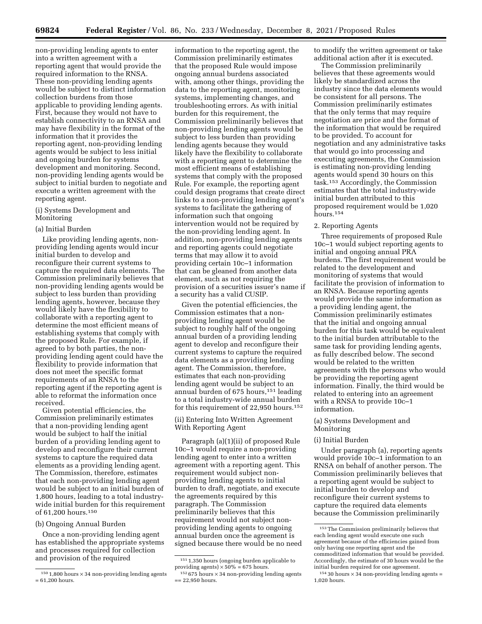non-providing lending agents to enter into a written agreement with a reporting agent that would provide the required information to the RNSA. These non-providing lending agents would be subject to distinct information collection burdens from those applicable to providing lending agents. First, because they would not have to establish connectivity to an RNSA and may have flexibility in the format of the information that it provides the reporting agent, non-providing lending agents would be subject to less initial and ongoing burden for systems development and monitoring. Second, non-providing lending agents would be subject to initial burden to negotiate and execute a written agreement with the reporting agent.

(i) Systems Development and Monitoring

## (a) Initial Burden

Like providing lending agents, nonproviding lending agents would incur initial burden to develop and reconfigure their current systems to capture the required data elements. The Commission preliminarily believes that non-providing lending agents would be subject to less burden than providing lending agents, however, because they would likely have the flexibility to collaborate with a reporting agent to determine the most efficient means of establishing systems that comply with the proposed Rule. For example, if agreed to by both parties, the nonproviding lending agent could have the flexibility to provide information that does not meet the specific format requirements of an RNSA to the reporting agent if the reporting agent is able to reformat the information once received.

Given potential efficiencies, the Commission preliminarily estimates that a non-providing lending agent would be subject to half the initial burden of a providing lending agent to develop and reconfigure their current systems to capture the required data elements as a providing lending agent. The Commission, therefore, estimates that each non-providing lending agent would be subject to an initial burden of 1,800 hours, leading to a total industrywide initial burden for this requirement of 61,200 hours.150

### (b) Ongoing Annual Burden

Once a non-providing lending agent has established the appropriate systems and processes required for collection and provision of the required

information to the reporting agent, the Commission preliminarily estimates that the proposed Rule would impose ongoing annual burdens associated with, among other things, providing the data to the reporting agent, monitoring systems, implementing changes, and troubleshooting errors. As with initial burden for this requirement, the Commission preliminarily believes that non-providing lending agents would be subject to less burden than providing lending agents because they would likely have the flexibility to collaborate with a reporting agent to determine the most efficient means of establishing systems that comply with the proposed Rule. For example, the reporting agent could design programs that create direct links to a non-providing lending agent's systems to facilitate the gathering of information such that ongoing intervention would not be required by the non-providing lending agent. In addition, non-providing lending agents and reporting agents could negotiate terms that may allow it to avoid providing certain 10c–1 information that can be gleaned from another data element, such as not requiring the provision of a securities issuer's name if a security has a valid CUSIP.

Given the potential efficiencies, the Commission estimates that a nonproviding lending agent would be subject to roughly half of the ongoing annual burden of a providing lending agent to develop and reconfigure their current systems to capture the required data elements as a providing lending agent. The Commission, therefore, estimates that each non-providing lending agent would be subject to an annual burden of 675 hours,151 leading to a total industry-wide annual burden for this requirement of 22,950 hours.152

(ii) Entering Into Written Agreement With Reporting Agent

Paragraph (a)(1)(ii) of proposed Rule 10c–1 would require a non-providing lending agent to enter into a written agreement with a reporting agent. This requirement would subject nonproviding lending agents to initial burden to draft, negotiate, and execute the agreements required by this paragraph. The Commission preliminarily believes that this requirement would not subject nonproviding lending agents to ongoing annual burden once the agreement is signed because there would be no need to modify the written agreement or take additional action after it is executed.

The Commission preliminarily believes that these agreements would likely be standardized across the industry since the data elements would be consistent for all persons. The Commission preliminarily estimates that the only terms that may require negotiation are price and the format of the information that would be required to be provided. To account for negotiation and any administrative tasks that would go into processing and executing agreements, the Commission is estimating non-providing lending agents would spend 30 hours on this task.153 Accordingly, the Commission estimates that the total industry-wide initial burden attributed to this proposed requirement would be 1,020 hours.154

#### 2. Reporting Agents

Three requirements of proposed Rule 10c–1 would subject reporting agents to initial and ongoing annual PRA burdens. The first requirement would be related to the development and monitoring of systems that would facilitate the provision of information to an RNSA. Because reporting agents would provide the same information as a providing lending agent, the Commission preliminarily estimates that the initial and ongoing annual burden for this task would be equivalent to the initial burden attributable to the same task for providing lending agents, as fully described below. The second would be related to the written agreements with the persons who would be providing the reporting agent information. Finally, the third would be related to entering into an agreement with a RNSA to provide 10c–1 information.

### (a) Systems Development and Monitoring

#### (i) Initial Burden

Under paragraph (a), reporting agents would provide 10c–1 information to an RNSA on behalf of another person. The Commission preliminarily believes that a reporting agent would be subject to initial burden to develop and reconfigure their current systems to capture the required data elements because the Commission preliminarily

 $150$  1,800 hours  $\times$  34 non-providing lending agents = 61,200 hours.

<sup>151</sup> 1,350 hours (ongoing burden applicable to providing agents)  $\times 50\% = 675$  hours.

 $152675$  hours  $\times 34$  non-providing lending agents  $== 22.950 hours.$ 

<sup>153</sup>The Commission preliminarily believes that each lending agent would execute one such agreement because of the efficiencies gained from only having one reporting agent and the commoditized information that would be provided. Accordingly, the estimate of 30 hours would be the initial burden required for one agreement.

 $154$  30 hours  $\times$  34 non-providing lending agents = 1,020 hours.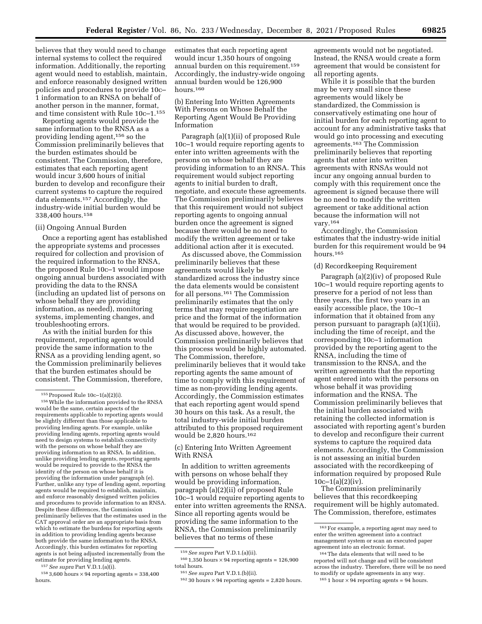believes that they would need to change internal systems to collect the required information. Additionally, the reporting agent would need to establish, maintain, and enforce reasonably designed written policies and procedures to provide 10c– 1 information to an RNSA on behalf of another person in the manner, format, and time consistent with Rule 10c–1.155

Reporting agents would provide the same information to the RNSA as a providing lending agent,156 so the Commission preliminarily believes that the burden estimates should be consistent. The Commission, therefore, estimates that each reporting agent would incur 3,600 hours of initial burden to develop and reconfigure their current systems to capture the required data elements.157 Accordingly, the industry-wide initial burden would be 338,400 hours.158

### (ii) Ongoing Annual Burden

Once a reporting agent has established the appropriate systems and processes required for collection and provision of the required information to the RNSA, the proposed Rule 10c–1 would impose ongoing annual burdens associated with providing the data to the RNSA (including an updated list of persons on whose behalf they are providing information, as needed), monitoring systems, implementing changes, and troubleshooting errors.

As with the initial burden for this requirement, reporting agents would provide the same information to the RNSA as a providing lending agent, so the Commission preliminarily believes that the burden estimates should be consistent. The Commission, therefore,

157*See supra* Part V.D.1.(a)(i).

 $^{158}\,3{,}600$  hours  $\times\,94$  reporting agents =  $338{,}400$ hours.

estimates that each reporting agent would incur 1,350 hours of ongoing annual burden on this requirement.159 Accordingly, the industry-wide ongoing annual burden would be 126,900 hours.160

(b) Entering Into Written Agreements With Persons on Whose Behalf the Reporting Agent Would Be Providing Information

Paragraph (a)(1)(ii) of proposed Rule 10c–1 would require reporting agents to enter into written agreements with the persons on whose behalf they are providing information to an RNSA. This requirement would subject reporting agents to initial burden to draft, negotiate, and execute these agreements. The Commission preliminarily believes that this requirement would not subject reporting agents to ongoing annual burden once the agreement is signed because there would be no need to modify the written agreement or take additional action after it is executed.

As discussed above, the Commission preliminarily believes that these agreements would likely be standardized across the industry since the data elements would be consistent for all persons.161 The Commission preliminarily estimates that the only terms that may require negotiation are price and the format of the information that would be required to be provided. As discussed above, however, the Commission preliminarily believes that this process would be highly automated. The Commission, therefore, preliminarily believes that it would take reporting agents the same amount of time to comply with this requirement of time as non-providing lending agents. Accordingly, the Commission estimates that each reporting agent would spend 30 hours on this task. As a result, the total industry-wide initial burden attributed to this proposed requirement would be 2,820 hours.162

(c) Entering Into Written Agreement With RNSA

In addition to written agreements with persons on whose behalf they would be providing information, paragraph (a)(2)(ii) of proposed Rule 10c–1 would require reporting agents to enter into written agreements the RNSA. Since all reporting agents would be providing the same information to the RNSA, the Commission preliminarily believes that no terms of these

agreements would not be negotiated. Instead, the RNSA would create a form agreement that would be consistent for all reporting agents.

While it is possible that the burden may be very small since these agreements would likely be standardized, the Commission is conservatively estimating one hour of initial burden for each reporting agent to account for any administrative tasks that would go into processing and executing agreements.163 The Commission preliminarily believes that reporting agents that enter into written agreements with RNSAs would not incur any ongoing annual burden to comply with this requirement once the agreement is signed because there will be no need to modify the written agreement or take additional action because the information will not vary.164

Accordingly, the Commission estimates that the industry-wide initial burden for this requirement would be 94 hours.165

### (d) Recordkeeping Requirement

Paragraph (a)(2)(iv) of proposed Rule 10c–1 would require reporting agents to preserve for a period of not less than three years, the first two years in an easily accessible place, the 10c–1 information that it obtained from any person pursuant to paragraph (a)(1)(ii), including the time of receipt, and the corresponding 10c–1 information provided by the reporting agent to the RNSA, including the time of transmission to the RNSA, and the written agreements that the reporting agent entered into with the persons on whose behalf it was providing information and the RNSA. The Commission preliminarily believes that the initial burden associated with retaining the collected information is associated with reporting agent's burden to develop and reconfigure their current systems to capture the required data elements. Accordingly, the Commission is not assessing an initial burden associated with the recordkeeping of information required by proposed Rule  $10c-1(a)(2)(iv)$ .

The Commission preliminarily believes that this recordkeeping requirement will be highly automated. The Commission, therefore, estimates

<sup>155</sup>Proposed Rule 10c–1(a)(2)(i).

<sup>156</sup>While the information provided to the RNSA would be the same, certain aspects of the requirements applicable to reporting agents would be slightly different than those applicable to providing lending agents. For example, unlike providing lending agents, reporting agents would need to design systems to establish connectivity with the persons on whose behalf they are providing information to an RNSA. In addition, unlike providing lending agents, reporting agents would be required to provide to the RNSA the identity of the person on whose behalf it is providing the information under paragraph (e). Further, unlike any type of lending agent, reporting agents would be required to establish, maintain, and enforce reasonably designed written policies and procedures to provide information to an RNSA. Despite these differences, the Commission preliminarily believes that the estimates used in the CAT approval order are an appropriate basis from which to estimate the burdens for reporting agents in addition to providing lending agents because both provide the same information to the RNSA. Accordingly, this burden estimates for reporting agents is not being adjusted incrementally from the estimate for providing lending agents.

<sup>159</sup>*See supra* Part V.D.1.(a)(ii).

 $^{160}$  1,350 hours  $\times\,94$  reporting agents = 126,900 total hours.

<sup>161</sup>*See supra* Part V.D.1.(b)(ii).

 $16230$  hours  $\times$  94 reporting agents = 2,820 hours.

<sup>163</sup>For example, a reporting agent may need to enter the written agreement into a contract management system or scan an executed paper agreement into an electronic format.

<sup>164</sup>The data elements that will need to be reported will not change and will be consistent across the industry. Therefore, there will be no need to modify or update agreements in any way.

 $1651$  hour  $\times$  94 reporting agents = 94 hours.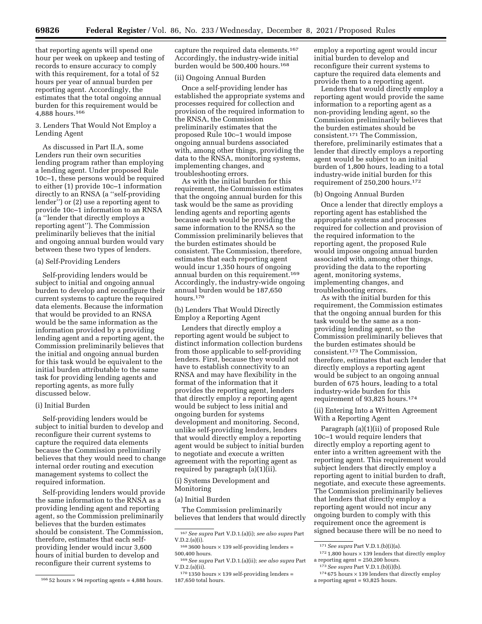that reporting agents will spend one hour per week on upkeep and testing of records to ensure accuracy to comply with this requirement, for a total of 52 hours per year of annual burden per reporting agent. Accordingly, the estimates that the total ongoing annual burden for this requirement would be 4,888 hours.166

3. Lenders That Would Not Employ a Lending Agent

As discussed in Part II.A, some Lenders run their own securities lending program rather than employing a lending agent. Under proposed Rule 10c–1, these persons would be required to either (1) provide 10c–1 information directly to an RNSA (a ''self-providing lender'') or (2) use a reporting agent to provide 10c–1 information to an RNSA (a ''lender that directly employs a reporting agent''). The Commission preliminarily believes that the initial and ongoing annual burden would vary between these two types of lenders.

#### (a) Self-Providing Lenders

Self-providing lenders would be subject to initial and ongoing annual burden to develop and reconfigure their current systems to capture the required data elements. Because the information that would be provided to an RNSA would be the same information as the information provided by a providing lending agent and a reporting agent, the Commission preliminarily believes that the initial and ongoing annual burden for this task would be equivalent to the initial burden attributable to the same task for providing lending agents and reporting agents, as more fully discussed below.

#### (i) Initial Burden

Self-providing lenders would be subject to initial burden to develop and reconfigure their current systems to capture the required data elements because the Commission preliminarily believes that they would need to change internal order routing and execution management systems to collect the required information.

Self-providing lenders would provide the same information to the RNSA as a providing lending agent and reporting agent, so the Commission preliminarily believes that the burden estimates should be consistent. The Commission, therefore, estimates that each selfproviding lender would incur 3,600 hours of initial burden to develop and reconfigure their current systems to

capture the required data elements.167 Accordingly, the industry-wide initial burden would be 500,400 hours.168

### (ii) Ongoing Annual Burden

Once a self-providing lender has established the appropriate systems and processes required for collection and provision of the required information to the RNSA, the Commission preliminarily estimates that the proposed Rule 10c–1 would impose ongoing annual burdens associated with, among other things, providing the data to the RNSA, monitoring systems, implementing changes, and troubleshooting errors.

As with the initial burden for this requirement, the Commission estimates that the ongoing annual burden for this task would be the same as providing lending agents and reporting agents because each would be providing the same information to the RNSA so the Commission preliminarily believes that the burden estimates should be consistent. The Commission, therefore, estimates that each reporting agent would incur 1,350 hours of ongoing annual burden on this requirement.169 Accordingly, the industry-wide ongoing annual burden would be 187,650 hours.170

(b) Lenders That Would Directly Employ a Reporting Agent

Lenders that directly employ a reporting agent would be subject to distinct information collection burdens from those applicable to self-providing lenders. First, because they would not have to establish connectivity to an RNSA and may have flexibility in the format of the information that it provides the reporting agent, lenders that directly employ a reporting agent would be subject to less initial and ongoing burden for systems development and monitoring. Second, unlike self-providing lenders, lenders that would directly employ a reporting agent would be subject to initial burden to negotiate and execute a written agreement with the reporting agent as required by paragraph (a)(1)(ii).

(i) Systems Development and Monitoring

#### (a) Initial Burden

The Commission preliminarily believes that lenders that would directly

employ a reporting agent would incur initial burden to develop and reconfigure their current systems to capture the required data elements and provide them to a reporting agent.

Lenders that would directly employ a reporting agent would provide the same information to a reporting agent as a non-providing lending agent, so the Commission preliminarily believes that the burden estimates should be consistent.171 The Commission, therefore, preliminarily estimates that a lender that directly employs a reporting agent would be subject to an initial burden of 1,800 hours, leading to a total industry-wide initial burden for this requirement of 250,200 hours.172

### (b) Ongoing Annual Burden

Once a lender that directly employs a reporting agent has established the appropriate systems and processes required for collection and provision of the required information to the reporting agent, the proposed Rule would impose ongoing annual burden associated with, among other things, providing the data to the reporting agent, monitoring systems, implementing changes, and troubleshooting errors.

As with the initial burden for this requirement, the Commission estimates that the ongoing annual burden for this task would be the same as a nonproviding lending agent, so the Commission preliminarily believes that the burden estimates should be consistent.173 The Commission, therefore, estimates that each lender that directly employs a reporting agent would be subject to an ongoing annual burden of 675 hours, leading to a total industry-wide burden for this requirement of 93,825 hours.174

(ii) Entering Into a Written Agreement With a Reporting Agent

Paragraph (a)(1)(ii) of proposed Rule 10c–1 would require lenders that directly employ a reporting agent to enter into a written agreement with the reporting agent. This requirement would subject lenders that directly employ a reporting agent to initial burden to draft, negotiate, and execute these agreements. The Commission preliminarily believes that lenders that directly employ a reporting agent would not incur any ongoing burden to comply with this requirement once the agreement is signed because there will be no need to

 $16652$  hours  $\times$  94 reporting agents = 4,888 hours.

<sup>167</sup>*See supra* Part V.D.1.(a)(i); *see also supra* Part V.D.2.(a)(i).

 $1683600$  hours  $\times$  139 self-providing lenders = 500,400 hours.

<sup>169</sup>*See supra* Part V.D.1.(a)(ii); *see also supra* Part V.D.2.(a)(ii).

 $170 1350$  hours  $\times 139$  self-providing lenders = 187,650 total hours.

<sup>171</sup>*See supra* Part V.D.1.(b)(i)(a).

 $172$  1,800 hours  $\times$  139 lenders that directly employ a reporting agent = 250,200 hours.

<sup>173</sup>*See supra* Part V.D.1.(b)(i)(b).

 $174675$  hours  $\times$  139 lenders that directly employ a reporting agent = 93,825 hours.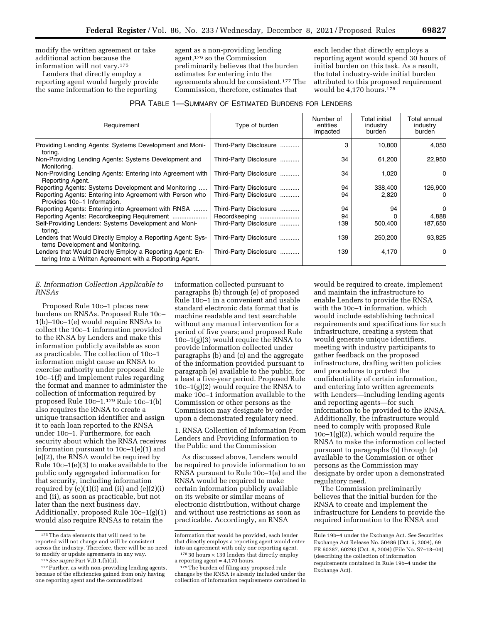modify the written agreement or take additional action because the information will not vary.175

Lenders that directly employ a reporting agent would largely provide the same information to the reporting

agent as a non-providing lending agent,176 so the Commission preliminarily believes that the burden estimates for entering into the agreements should be consistent.177 The Commission, therefore, estimates that

each lender that directly employs a reporting agent would spend 30 hours of initial burden on this task. As a result, the total industry-wide initial burden attributed to this proposed requirement would be 4,170 hours.178

| Requirement                                                                                                          | Type of burden         | Number of<br>entities<br>impacted | Total initial<br>industry<br>burden | Total annual<br>industry<br>burden |
|----------------------------------------------------------------------------------------------------------------------|------------------------|-----------------------------------|-------------------------------------|------------------------------------|
| Providing Lending Agents: Systems Development and Moni-<br>toring.                                                   | Third-Party Disclosure | 3                                 | 10,800                              | 4,050                              |
| Non-Providing Lending Agents: Systems Development and<br>Monitoring.                                                 | Third-Party Disclosure | 34                                | 61,200                              | 22,950                             |
| Non-Providing Lending Agents: Entering into Agreement with<br>Reporting Agent.                                       | Third-Party Disclosure | 34                                | 1,020                               | 0                                  |
| Reporting Agents: Systems Development and Monitoring                                                                 | Third-Party Disclosure | 94                                | 338,400                             | 126,900                            |
| Reporting Agents: Entering into Agreement with Person who<br>Provides 10c-1 Information.                             | Third-Party Disclosure | 94                                | 2,820                               | $\Omega$                           |
| Reporting Agents: Entering into Agreement with RNSA                                                                  | Third-Party Disclosure | 94                                | 94                                  | 0                                  |
|                                                                                                                      | Recordkeeping          | 94                                |                                     | 4,888                              |
| Self-Providing Lenders: Systems Development and Moni-<br>toring.                                                     | Third-Party Disclosure | 139                               | 500,400                             | 187,650                            |
| Lenders that Would Directly Employ a Reporting Agent: Sys-<br>tems Development and Monitoring.                       | Third-Party Disclosure | 139                               | 250,200                             | 93,825                             |
| Lenders that Would Directly Employ a Reporting Agent: En-<br>tering Into a Written Agreement with a Reporting Agent. | Third-Party Disclosure | 139                               | 4,170                               | 0                                  |

### *E. Information Collection Applicable to RNSAs*

Proposed Rule 10c–1 places new burdens on RNSAs. Proposed Rule 10c– 1(b)–10c–1(e) would require RNSAs to collect the 10c–1 information provided to the RNSA by Lenders and make this information publicly available as soon as practicable. The collection of 10c–1 information might cause an RNSA to exercise authority under proposed Rule 10c–1(f) and implement rules regarding the format and manner to administer the collection of information required by proposed Rule 10c–1.179 Rule 10c–1(b) also requires the RNSA to create a unique transaction identifier and assign it to each loan reported to the RNSA under 10c–1. Furthermore, for each security about which the RNSA receives information pursuant to 10c–1(e)(1) and (e)(2), the RNSA would be required by Rule 10c–1(e)(3) to make available to the public only aggregated information for that security, including information required by  $(e)(1)(i)$  and  $(ii)$  and  $(e)(2)(i)$ and (ii), as soon as practicable, but not later than the next business day. Additionally, proposed Rule 10c–1(g)(1) would also require RNSAs to retain the

information collected pursuant to paragraphs (b) through (e) of proposed Rule 10c–1 in a convenient and usable standard electronic data format that is machine readable and text searchable without any manual intervention for a period of five years; and proposed Rule 10c–1(g)(3) would require the RNSA to provide information collected under paragraphs (b) and (c) and the aggregate of the information provided pursuant to paragraph (e) available to the public, for a least a five-year period. Proposed Rule 10c–1(g)(2) would require the RNSA to make 10c–1 information available to the Commission or other persons as the Commission may designate by order upon a demonstrated regulatory need.

1. RNSA Collection of Information From Lenders and Providing Information to the Public and the Commission

As discussed above, Lenders would be required to provide information to an RNSA pursuant to Rule 10c–1(a) and the RNSA would be required to make certain information publicly available on its website or similar means of electronic distribution, without charge and without use restrictions as soon as practicable. Accordingly, an RNSA

would be required to create, implement and maintain the infrastructure to enable Lenders to provide the RNSA with the 10c–1 information, which would include establishing technical requirements and specifications for such infrastructure, creating a system that would generate unique identifiers, meeting with industry participants to gather feedback on the proposed infrastructure, drafting written policies and procedures to protect the confidentiality of certain information, and entering into written agreements with Lenders—including lending agents and reporting agents—for such information to be provided to the RNSA. Additionally, the infrastructure would need to comply with proposed Rule 10c–1(g)(2), which would require the RNSA to make the information collected pursuant to paragraphs (b) through (e) available to the Commission or other persons as the Commission may designate by order upon a demonstrated regulatory need.

The Commission preliminarily believes that the initial burden for the RNSA to create and implement the infrastructure for Lenders to provide the required information to the RNSA and

<sup>175</sup>The data elements that will need to be reported will not change and will be consistent across the industry. Therefore, there will be no need

<sup>&</sup>lt;sup>176</sup> See supra Part V.D.1.(b)(ii).<br><sup>177</sup> Further, as with non-providing lending agents, because of the efficiencies gained from only having one reporting agent and the commoditized

information that would be provided, each lender that directly employs a reporting agent would enter

into an agreement with only one reporting agent.<br> $17830$  hours  $\times 139$  lenders that directly employ a reporting agent = 4,170 hours.

<sup>&</sup>lt;sup>179</sup> The burden of filing any proposed rule changes by the RNSA is already included under the collection of information requirements contained in

Rule 19b–4 under the Exchange Act. *See* Securities Exchange Act Release No. 50486 (Oct. 5, 2004), 69 FR 60287, 60293 (Oct. 8, 2004) (File No. S7–18–04) (describing the collection of information requirements contained in Rule 19b–4 under the Exchange Act).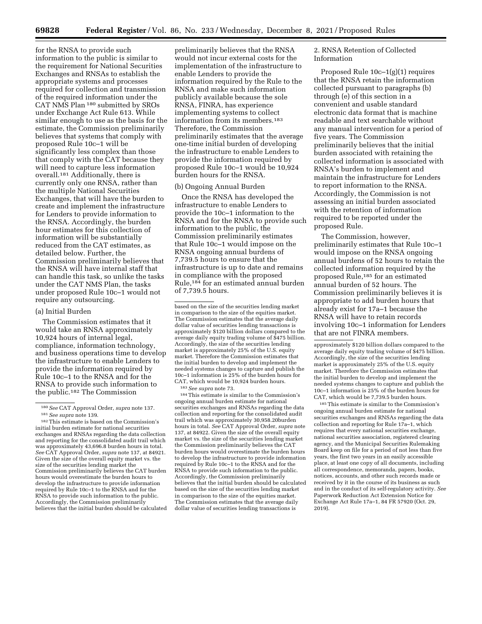for the RNSA to provide such information to the public is similar to the requirement for National Securities Exchanges and RNSAs to establish the appropriate systems and processes required for collection and transmission of the required information under the CAT NMS Plan 180 submitted by SROs under Exchange Act Rule 613. While similar enough to use as the basis for the estimate, the Commission preliminarily believes that systems that comply with proposed Rule 10c–1 will be significantly less complex than those that comply with the CAT because they will need to capture less information overall.181 Additionally, there is currently only one RNSA, rather than the multiple National Securities Exchanges, that will have the burden to create and implement the infrastructure for Lenders to provide information to the RNSA. Accordingly, the burden hour estimates for this collection of information will be substantially reduced from the CAT estimates, as detailed below. Further, the Commission preliminarily believes that the RNSA will have internal staff that can handle this task, so unlike the tasks under the CAT NMS Plan, the tasks under proposed Rule 10c–1 would not require any outsourcing.

#### (a) Initial Burden

The Commission estimates that it would take an RNSA approximately 10,924 hours of internal legal, compliance, information technology, and business operations time to develop the infrastructure to enable Lenders to provide the information required by Rule 10c–1 to the RNSA and for the RNSA to provide such information to the public.182 The Commission

preliminarily believes that the RNSA would not incur external costs for the implementation of the infrastructure to enable Lenders to provide the information required by the Rule to the RNSA and make such information publicly available because the sole RNSA, FINRA, has experience implementing systems to collect information from its members.183 Therefore, the Commission preliminarily estimates that the average one-time initial burden of developing the infrastructure to enable Lenders to provide the information required by proposed Rule 10c–1 would be 10,924 burden hours for the RNSA.

### (b) Ongoing Annual Burden

Once the RNSA has developed the infrastructure to enable Lenders to provide the 10c–1 information to the RNSA and for the RNSA to provide such information to the public, the Commission preliminarily estimates that Rule 10c–1 would impose on the RNSA ongoing annual burdens of 7,739.5 hours to ensure that the infrastructure is up to date and remains in compliance with the proposed Rule,184 for an estimated annual burden of 7,739.5 hours.

184This estimate is similar to the Commission's ongoing annual burden estimate for national securities exchanges and RNSAs regarding the data collection and reporting for the consolidated audit trail which was approximately 30,958.20burden hours in total. *See* CAT Approval Order, *supra* note 137, at 84922. Given the size of the overall equity market vs. the size of the securities lending market the Commission preliminarily believes the CAT burden hours would overestimate the burden hours to develop the infrastructure to provide information required by Rule 10c–1 to the RNSA and for the RNSA to provide such information to the public. Accordingly, the Commission preliminarily believes that the initial burden should be calculated based on the size of the securities lending market in comparison to the size of the equities market. The Commission estimates that the average daily dollar value of securities lending transactions is

2. RNSA Retention of Collected Information

Proposed Rule 10c–1(g)(1) requires that the RNSA retain the information collected pursuant to paragraphs (b) through (e) of this section in a convenient and usable standard electronic data format that is machine readable and text searchable without any manual intervention for a period of five years. The Commission preliminarily believes that the initial burden associated with retaining the collected information is associated with RNSA's burden to implement and maintain the infrastructure for Lenders to report information to the RNSA. Accordingly, the Commission is not assessing an initial burden associated with the retention of information required to be reported under the proposed Rule.

The Commission, however, preliminarily estimates that Rule 10c–1 would impose on the RNSA ongoing annual burdens of 52 hours to retain the collected information required by the proposed Rule,185 for an estimated annual burden of 52 hours. The Commission preliminarily believes it is appropriate to add burden hours that already exist for 17a–1 because the RNSA will have to retain records involving 10c–1 information for Lenders that are not FINRA members.

185This estimate is similar to the Commission's ongoing annual burden estimate for national securities exchanges and RNSAs regarding the data collection and reporting for Rule 17a–1, which requires that every national securities exchange, national securities association, registered clearing agency, and the Municipal Securities Rulemaking Board keep on file for a period of not less than five years, the first two years in an easily accessible place, at least one copy of all documents, including all correspondence, memoranda, papers, books, notices, accounts, and other such records made or received by it in the course of its business as such and in the conduct of its self-regulatory activity. *See*  Paperwork Reduction Act Extension Notice for Exchange Act Rule 17a–1, 84 FR 57920 (Oct. 29, 2019).

<sup>180</sup>*See* CAT Approval Order, *supra* note 137. 181*See supra* note 139. 182This estimate is based on the Commission's

initial burden estimate for national securities exchanges and RNSAs regarding the data collection and reporting for the consolidated audit trail which was approximately 43,696.8 burden hours in total. *See* CAT Approval Order, *supra* note 137, at 84921. Given the size of the overall equity market vs. the size of the securities lending market the Commission preliminarily believes the CAT burden hours would overestimate the burden hours to develop the infrastructure to provide information required by Rule 10c–1 to the RNSA and for the RNSA to provide such information to the public. Accordingly, the Commission preliminarily believes that the initial burden should be calculated

based on the size of the securities lending market in comparison to the size of the equities market. The Commission estimates that the average daily dollar value of securities lending transactions is approximately \$120 billion dollars compared to the average daily equity trading volume of \$475 billion. Accordingly, the size of the securities lending market is approximately 25% of the U.S. equity market. Therefore the Commission estimates that the initial burden to develop and implement the needed systems changes to capture and publish the 10c–1 information is 25% of the burden hours for CAT, which would be 10,924 burden hours. 183*See supra* note 73.

approximately \$120 billion dollars compared to the average daily equity trading volume of \$475 billion. Accordingly, the size of the securities lending market is approximately 25% of the U.S. equity market. Therefore the Commission estimates that the initial burden to develop and implement the needed systems changes to capture and publish the 10c–1 information is 25% of the burden hours for CAT, which would be 7,739.5 burden hours.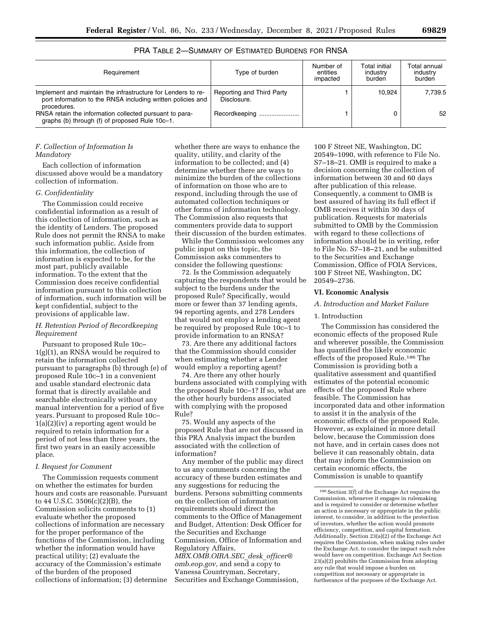| Requirement                                                                                                                                | Type of burden                           | Number of<br>entities<br>impacted | Total initial<br>industry<br>burden | Total annual<br>industry<br>burden |
|--------------------------------------------------------------------------------------------------------------------------------------------|------------------------------------------|-----------------------------------|-------------------------------------|------------------------------------|
| Implement and maintain the infrastructure for Lenders to re-<br>port information to the RNSA including written policies and<br>procedures. | Reporting and Third Party<br>Disclosure. |                                   | 10.924                              | 7.739.5                            |
| RNSA retain the information collected pursuant to para-<br>graphs (b) through (f) of proposed Rule 10c-1.                                  | Recordkeeping                            |                                   |                                     | 52                                 |

PRA TABLE 2—SUMMARY OF ESTIMATED BURDENS FOR RNSA

### *F. Collection of Information Is Mandatory*

Each collection of information discussed above would be a mandatory collection of information.

### *G. Confidentiality*

The Commission could receive confidential information as a result of this collection of information, such as the identity of Lenders. The proposed Rule does not permit the RNSA to make such information public. Aside from this information, the collection of information is expected to be, for the most part, publicly available information. To the extent that the Commission does receive confidential information pursuant to this collection of information, such information will be kept confidential, subject to the provisions of applicable law.

### *H. Retention Period of Recordkeeping Requirement*

Pursuant to proposed Rule 10c– 1(g)(1), an RNSA would be required to retain the information collected pursuant to paragraphs (b) through (e) of proposed Rule 10c–1 in a convenient and usable standard electronic data format that is directly available and searchable electronically without any manual intervention for a period of five years. Pursuant to proposed Rule 10c–  $1(a)(2)(iv)$  a reporting agent would be required to retain information for a period of not less than three years, the first two years in an easily accessible place.

#### *I. Request for Comment*

The Commission requests comment on whether the estimates for burden hours and costs are reasonable. Pursuant to 44 U.S.C. 3506(c)(2)(B), the Commission solicits comments to (1) evaluate whether the proposed collections of information are necessary for the proper performance of the functions of the Commission, including whether the information would have practical utility; (2) evaluate the accuracy of the Commission's estimate of the burden of the proposed collections of information; (3) determine

whether there are ways to enhance the quality, utility, and clarity of the information to be collected; and (4) determine whether there are ways to minimize the burden of the collections of information on those who are to respond, including through the use of automated collection techniques or other forms of information technology. The Commission also requests that commenters provide data to support their discussion of the burden estimates.

While the Commission welcomes any public input on this topic, the Commission asks commenters to consider the following questions:

72. Is the Commission adequately capturing the respondents that would be subject to the burdens under the proposed Rule? Specifically, would more or fewer than 37 lending agents, 94 reporting agents, and 278 Lenders that would not employ a lending agent be required by proposed Rule 10c–1 to provide information to an RNSA?

73. Are there any additional factors that the Commission should consider when estimating whether a Lender would employ a reporting agent?

74. Are there any other hourly burdens associated with complying with the proposed Rule 10c–1? If so, what are the other hourly burdens associated with complying with the proposed Rule?

75. Would any aspects of the proposed Rule that are not discussed in this PRA Analysis impact the burden associated with the collection of information?

Any member of the public may direct to us any comments concerning the accuracy of these burden estimates and any suggestions for reducing the burdens. Persons submitting comments on the collection of information requirements should direct the comments to the Office of Management and Budget, Attention: Desk Officer for the Securities and Exchange Commission, Office of Information and Regulatory Affairs, *[MBX.OMB.OIRA.SEC](mailto:MBX.OMB.OIRA.SEC_desk_officer@omb.eop.gov)*\_*desk*\_*officer@ [omb.eop.gov,](mailto:MBX.OMB.OIRA.SEC_desk_officer@omb.eop.gov)* and send a copy to Vanessa Countryman, Secretary, Securities and Exchange Commission,

100 F Street NE, Washington, DC 20549–1090, with reference to File No. S7–18–21. OMB is required to make a decision concerning the collection of information between 30 and 60 days after publication of this release. Consequently, a comment to OMB is best assured of having its full effect if OMB receives it within 30 days of publication. Requests for materials submitted to OMB by the Commission with regard to these collections of information should be in writing, refer to File No. S7–18–21, and be submitted to the Securities and Exchange Commission, Office of FOIA Services, 100 F Street NE, Washington, DC 20549–2736.

#### **VI. Economic Analysis**

### *A. Introduction and Market Failure*

#### 1. Introduction

The Commission has considered the economic effects of the proposed Rule and wherever possible, the Commission has quantified the likely economic effects of the proposed Rule.186 The Commission is providing both a qualitative assessment and quantified estimates of the potential economic effects of the proposed Rule where feasible. The Commission has incorporated data and other information to assist it in the analysis of the economic effects of the proposed Rule. However, as explained in more detail below, because the Commission does not have, and in certain cases does not believe it can reasonably obtain, data that may inform the Commission on certain economic effects, the Commission is unable to quantify

 $^{186}\,$  Section 3(f) of the Exchange Act requires the Commission, whenever it engages in rulemaking and is required to consider or determine whether an action is necessary or appropriate in the public interest, to consider, in addition to the protection of investors, whether the action would promote efficiency, competition, and capital formation. Additionally, Section 23(a)(2) of the Exchange Act requires the Commission, when making rules under the Exchange Act, to consider the impact such rules would have on competition. Exchange Act Section 23(a)(2) prohibits the Commission from adopting any rule that would impose a burden on competition not necessary or appropriate in furtherance of the purposes of the Exchange Act.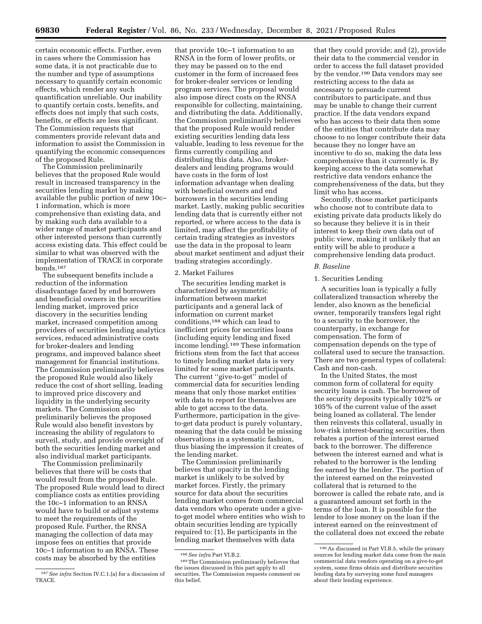certain economic effects. Further, even in cases where the Commission has some data, it is not practicable due to the number and type of assumptions necessary to quantify certain economic effects, which render any such quantification unreliable. Our inability to quantify certain costs, benefits, and effects does not imply that such costs, benefits, or effects are less significant. The Commission requests that commenters provide relevant data and information to assist the Commission in quantifying the economic consequences of the proposed Rule.

The Commission preliminarily believes that the proposed Rule would result in increased transparency in the securities lending market by making available the public portion of new 10c– 1 information, which is more comprehensive than existing data, and by making such data available to a wider range of market participants and other interested persons than currently access existing data. This effect could be similar to what was observed with the implementation of TRACE in corporate bonds.187

The subsequent benefits include a reduction of the information disadvantage faced by end borrowers and beneficial owners in the securities lending market, improved price discovery in the securities lending market, increased competition among providers of securities lending analytics services, reduced administrative costs for broker-dealers and lending programs, and improved balance sheet management for financial institutions. The Commission preliminarily believes the proposed Rule would also likely reduce the cost of short selling, leading to improved price discovery and liquidity in the underlying security markets. The Commission also preliminarily believes the proposed Rule would also benefit investors by increasing the ability of regulators to surveil, study, and provide oversight of both the securities lending market and also individual market participants.

The Commission preliminarily believes that there will be costs that would result from the proposed Rule. The proposed Rule would lead to direct compliance costs as entities providing the 10c–1 information to an RNSA would have to build or adjust systems to meet the requirements of the proposed Rule. Further, the RNSA managing the collection of data may impose fees on entities that provide 10c–1 information to an RNSA. These costs may be absorbed by the entities

that provide 10c–1 information to an RNSA in the form of lower profits, or they may be passed on to the end customer in the form of increased fees for broker-dealer services or lending program services. The proposal would also impose direct costs on the RNSA responsible for collecting, maintaining, and distributing the data. Additionally, the Commission preliminarily believes that the proposed Rule would render existing securities lending data less valuable, leading to less revenue for the firms currently compiling and distributing this data. Also, brokerdealers and lending programs would have costs in the form of lost information advantage when dealing with beneficial owners and end borrowers in the securities lending market. Lastly, making public securities lending data that is currently either not reported, or where access to the data is limited, may affect the profitability of certain trading strategies as investors use the data in the proposal to learn about market sentiment and adjust their trading strategies accordingly.

### 2. Market Failures

The securities lending market is characterized by asymmetric information between market participants and a general lack of information on current market conditions,188 which can lead to inefficient prices for securities loans (including equity lending and fixed income lending).189 These information frictions stem from the fact that access to timely lending market data is very limited for some market participants. The current ''give-to-get'' model of commercial data for securities lending means that only those market entities with data to report for themselves are able to get access to the data. Furthermore, participation in the giveto-get data product is purely voluntary, meaning that the data could be missing observations in a systematic fashion, thus biasing the impression it creates of the lending market.

The Commission preliminarily believes that opacity in the lending market is unlikely to be solved by market forces. Firstly, the primary source for data about the securities lending market comes from commercial data vendors who operate under a giveto-get model where entities who wish to obtain securities lending are typically required to: (1), Be participants in the lending market themselves with data

that they could provide; and (2), provide their data to the commercial vendor in order to access the full dataset provided by the vendor.190 Data vendors may see restricting access to the data as necessary to persuade current contributors to participate, and thus may be unable to change their current practice. If the data vendors expand who has access to their data then some of the entities that contribute data may choose to no longer contribute their data because they no longer have an incentive to do so, making the data less comprehensive than it currently is. By keeping access to the data somewhat restrictive data vendors enhance the comprehensiveness of the data, but they limit who has access.

Secondly, those market participants who choose not to contribute data to existing private data products likely do so because they believe it is in their interest to keep their own data out of public view, making it unlikely that an entity will be able to produce a comprehensive lending data product.

### *B. Baseline*

#### 1. Securities Lending

A securities loan is typically a fully collateralized transaction whereby the lender, also known as the beneficial owner, temporarily transfers legal right to a security to the borrower, the counterparty, in exchange for compensation. The form of compensation depends on the type of collateral used to secure the transaction. There are two general types of collateral: Cash and non-cash.

In the United States, the most common form of collateral for equity security loans is cash. The borrower of the security deposits typically 102% or 105% of the current value of the asset being loaned as collateral. The lender then reinvests this collateral, usually in low-risk interest-bearing securities, then rebates a portion of the interest earned back to the borrower. The difference between the interest earned and what is rebated to the borrower is the lending fee earned by the lender. The portion of the interest earned on the reinvested collateral that is returned to the borrower is called the rebate rate, and is a guaranteed amount set forth in the terms of the loan. It is possible for the lender to lose money on the loan if the interest earned on the reinvestment of the collateral does not exceed the rebate

<sup>187</sup>*See infra* Section IV.C.1.(a) for a discussion of TRACE.

<sup>&</sup>lt;sup>188</sup> See infra Part VI.B.2.<br><sup>189</sup> The Commission preliminarily believes that the issues discussed in this part apply to all securities. The Commission requests comment on this belief.

<sup>190</sup>As discussed in Part VI.B.5, while the primary sources for lending market data come from the main commercial data vendors operating on a give-to-get system, some firms obtain and distribute securities lending data by surveying some fund managers about their lending experience.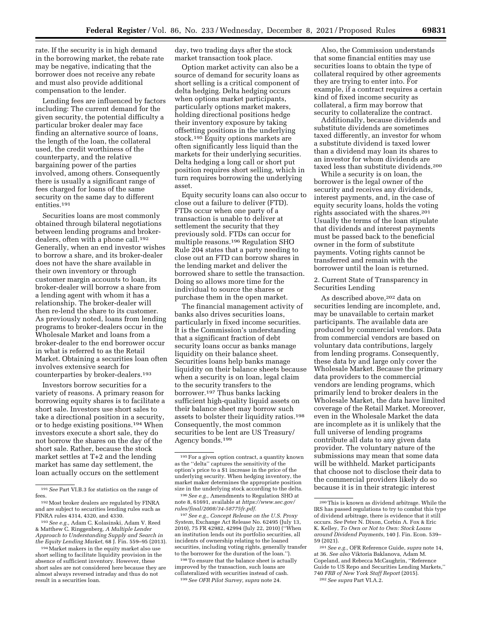rate. If the security is in high demand in the borrowing market, the rebate rate may be negative, indicating that the borrower does not receive any rebate and must also provide additional compensation to the lender.

Lending fees are influenced by factors including: The current demand for the given security, the potential difficulty a particular broker dealer may face finding an alternative source of loans, the length of the loan, the collateral used, the credit worthiness of the counterparty, and the relative bargaining power of the parties involved, among others. Consequently there is usually a significant range of fees charged for loans of the same security on the same day to different entities.191

Securities loans are most commonly obtained through bilateral negotiations between lending programs and brokerdealers, often with a phone call.<sup>192</sup> Generally, when an end investor wishes to borrow a share, and its broker-dealer does not have the share available in their own inventory or through customer margin accounts to loan, its broker-dealer will borrow a share from a lending agent with whom it has a relationship. The broker-dealer will then re-lend the share to its customer. As previously noted, loans from lending programs to broker-dealers occur in the Wholesale Market and loans from a broker-dealer to the end borrower occur in what is referred to as the Retail Market. Obtaining a securities loan often involves extensive search for counterparties by broker-dealers.193

Investors borrow securities for a variety of reasons. A primary reason for borrowing equity shares is to facilitate a short sale. Investors use short sales to take a directional position in a security, or to hedge existing positions.194 When investors execute a short sale, they do not borrow the shares on the day of the short sale. Rather, because the stock market settles at T+2 and the lending market has same day settlement, the loan actually occurs on the settlement

day, two trading days after the stock market transaction took place.

Option market activity can also be a source of demand for security loans as short selling is a critical component of delta hedging. Delta hedging occurs when options market participants, particularly options market makers, holding directional positions hedge their inventory exposure by taking offsetting positions in the underlying stock.195 Equity options markets are often significantly less liquid than the markets for their underlying securities. Delta hedging a long call or short put position requires short selling, which in turn requires borrowing the underlying asset.

Equity security loans can also occur to close out a failure to deliver (FTD). FTDs occur when one party of a transaction is unable to deliver at settlement the security that they previously sold. FTDs can occur for multiple reasons.196 Regulation SHO Rule 204 states that a party needing to close out an FTD can borrow shares in the lending market and deliver the borrowed share to settle the transaction. Doing so allows more time for the individual to source the shares or purchase them in the open market.

The financial management activity of banks also drives securities loans, particularly in fixed income securities. It is the Commission's understanding that a significant fraction of debt security loans occur as banks manage liquidity on their balance sheet. Securities loans help banks manage liquidity on their balance sheets because when a security is on loan, legal claim to the security transfers to the borrower.197 Thus banks lacking sufficient high-quality liquid assets on their balance sheet may borrow such assets to bolster their liquidity ratios.198 Consequently, the most common securities to be lent are US Treasury/ Agency bonds.199

196*See e.g.,* Amendments to Regulation SHO at note 8, 61691, available at *[https://www.sec.gov/](https://www.sec.gov/rules/final/2008/34-58775fr.pdf)  [rules/final/2008/34-58775fr.pdf.](https://www.sec.gov/rules/final/2008/34-58775fr.pdf)* 

197*See e.g., Concept Release on the U.S. Proxy System,* Exchange Act Release No. 62495 (July 13, 2010), 75 FR 42982, 42994 (July 22, 2010) (''When an institution lends out its portfolio securities, all incidents of ownership relating to the loaned securities, including voting rights, generally transfer to the borrower for the duration of the loan.'').

198To ensure that the balance sheet is actually improved by the transaction, such loans are collateralized with securities instead of cash. 199*See OFR Pilot Survey, supra* note 24.

Also, the Commission understands that some financial entities may use securities loans to obtain the type of collateral required by other agreements they are trying to enter into. For example, if a contract requires a certain kind of fixed income security as collateral, a firm may borrow that security to collateralize the contract.

Additionally, because dividends and substitute dividends are sometimes taxed differently, an investor for whom a substitute dividend is taxed lower than a dividend may loan its shares to an investor for whom dividends are taxed less than substitute dividends.200

While a security is on loan, the borrower is the legal owner of the security and receives any dividends, interest payments, and, in the case of equity security loans, holds the voting rights associated with the shares.201 Usually the terms of the loan stipulate that dividends and interest payments must be passed back to the beneficial owner in the form of substitute payments. Voting rights cannot be transferred and remain with the borrower until the loan is returned.

2. Current State of Transparency in Securities Lending

As described above,202 data on securities lending are incomplete, and, may be unavailable to certain market participants. The available data are produced by commercial vendors. Data from commercial vendors are based on voluntary data contributions, largely from lending programs. Consequently, these data by and large only cover the Wholesale Market. Because the primary data providers to the commercial vendors are lending programs, which primarily lend to broker dealers in the Wholesale Market, the data have limited coverage of the Retail Market. Moreover, even in the Wholesale Market the data are incomplete as it is unlikely that the full universe of lending programs contribute all data to any given data provider. The voluntary nature of the submissions may mean that some data will be withheld. Market participants that choose not to disclose their data to the commercial providers likely do so because it is in their strategic interest

<sup>191</sup>*See* Part VI.B.3 for statistics on the range of fees.

<sup>192</sup>Most broker dealers are regulated by FINRA and are subject to securities lending rules such as FINRA rules 4314, 4320, and 4330.

<sup>193</sup>*See e.g.,* Adam C. Kolasinski, Adam V. Reed & Matthew C. Ringgenberg, *A Multiple Lender Approach to Understanding Supply and Search in the Equity Lending Market,* 68 J. Fin. 559–95 (2013).

<sup>194</sup>Market makers in the equity market also use short selling to facilitate liquidity provision in the absence of sufficient inventory. However, these short sales are not considered here because they are almost always reversed intraday and thus do not result in a securities loan.

<sup>195</sup>For a given option contract, a quantity known as the ''delta'' captures the sensitivity of the option's price to a \$1 increase in the price of the underlying security. When hedging inventory, the market maker determines the appropriate position size in the underlying stock according to the delta.

<sup>200</sup>This is known as dividend arbitrage. While the IRS has passed regulations to try to combat this type of dividend arbitrage, there is evidence that it still occurs. *See* Peter N. Dixon, Corbin A. Fox & Eric K. Kelley, *To Own or Not to Own: Stock Loans around Dividend Payments,* 140 J. Fin. Econ. 539– 59 (2021).

<sup>201</sup>*See e.g.,* OFR Reference Guide, *supra* note 14, at 36. *See also* Viktoria Baklanova, Adam M. Copeland, and Rebecca McCaughrin, ''Reference Guide to US Repo and Securities Lending Markets,'' 740 *FRB of New York Staff Report* (2015). 202*See supra* Part VI.A.2.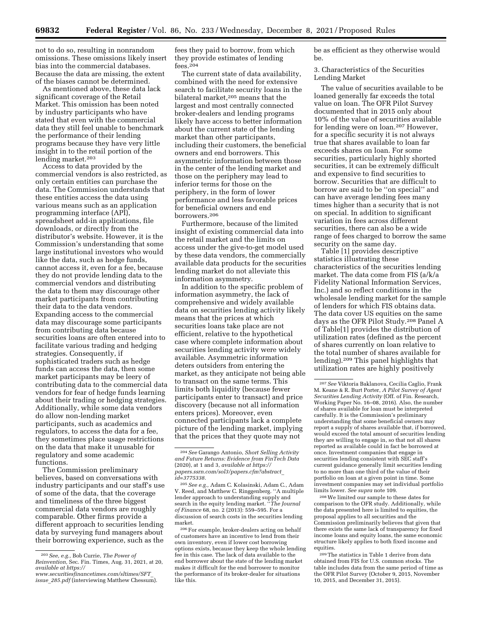not to do so, resulting in nonrandom omissions. These omissions likely insert bias into the commercial databases. Because the data are missing, the extent of the biases cannot be determined.

As mentioned above, these data lack significant coverage of the Retail Market. This omission has been noted by industry participants who have stated that even with the commercial data they still feel unable to benchmark the performance of their lending programs because they have very little insight in to the retail portion of the lending market.<sup>203</sup>

Access to data provided by the commercial vendors is also restricted, as only certain entities can purchase the data. The Commission understands that these entities access the data using various means such as an application programming interface (API), spreadsheet add-in applications, file downloads, or directly from the distributor's website. However, it is the Commission's understanding that some large institutional investors who would like the data, such as hedge funds, cannot access it, even for a fee, because they do not provide lending data to the commercial vendors and distributing the data to them may discourage other market participants from contributing their data to the data vendors. Expanding access to the commercial data may discourage some participants from contributing data because securities loans are often entered into to facilitate various trading and hedging strategies. Consequently, if sophisticated traders such as hedge funds can access the data, then some market participants may be leery of contributing data to the commercial data vendors for fear of hedge funds learning about their trading or hedging strategies. Additionally, while some data vendors do allow non-lending market participants, such as academics and regulators, to access the data for a fee, they sometimes place usage restrictions on the data that make it unusable for regulatory and some academic functions.

The Commission preliminary believes, based on conversations with industry participants and our staff's use of some of the data, that the coverage and timeliness of the three biggest commercial data vendors are roughly comparable. Other firms provide a different approach to securities lending data by surveying fund managers about their borrowing experience, such as the

fees they paid to borrow, from which they provide estimates of lending fees.204

The current state of data availability, combined with the need for extensive search to facilitate security loans in the bilateral market,<sup>205</sup> means that the largest and most centrally connected broker-dealers and lending programs likely have access to better information about the current state of the lending market than other participants, including their customers, the beneficial owners and end borrowers. This asymmetric information between those in the center of the lending market and those on the periphery may lead to inferior terms for those on the periphery, in the form of lower performance and less favorable prices for beneficial owners and end borrowers.206

Furthermore, because of the limited insight of existing commercial data into the retail market and the limits on access under the give-to-get model used by these data vendors, the commercially available data products for the securities lending market do not alleviate this information asymmetry.

In addition to the specific problem of information asymmetry, the lack of comprehensive and widely available data on securities lending activity likely means that the prices at which securities loans take place are not efficient, relative to the hypothetical case where complete information about securities lending activity were widely available. Asymmetric information deters outsiders from entering the market, as they anticipate not being able to transact on the same terms. This limits both liquidity (because fewer participants enter to transact) and price discovery (because not all information enters prices). Moreover, even connected participants lack a complete picture of the lending market, implying that the prices that they quote may not

be as efficient as they otherwise would be.

3. Characteristics of the Securities Lending Market

The value of securities available to be loaned generally far exceeds the total value on loan. The OFR Pilot Survey documented that in 2015 only about 10% of the value of securities available for lending were on loan.207 However, for a specific security it is not always true that shares available to loan far exceeds shares on loan. For some securities, particularly highly shorted securities, it can be extremely difficult and expensive to find securities to borrow. Securities that are difficult to borrow are said to be ''on special'' and can have average lending fees many times higher than a security that is not on special. In addition to significant variation in fees across different securities, there can also be a wide range of fees charged to borrow the same security on the same day.

Table [1] provides descriptive statistics illustrating these characteristics of the securities lending market. The data come from FIS (a/k/a Fidelity National Information Services, Inc.) and so reflect conditions in the wholesale lending market for the sample of lenders for which FIS obtains data. The data cover US equities on the same days as the OFR Pilot Study.208 Panel A of Table[1] provides the distribution of utilization rates (defined as the percent of shares currently on loan relative to the total number of shares available for lending).209 This panel highlights that utilization rates are highly positively

208We limited our sample to these dates for comparison to the OFR study. Additionally, while the data presented here is limited to equities, the proposal applies to all securities and the Commission preliminarily believes that given that there exists the same lack of transparency for fixed income loans and equity loans, the same economic structure likely applies to both fixed income and equities.

<sup>203</sup>*See, e.g.,* Bob Currie, *The Power of Reinvention,* Sec. Fin. Times, Aug. 31, 2021, at 20, *available at [https://](https://www.securitiesfinancetimes.com/sltimes/SFT_issue_285.pdf)*

*[www.securitiesfinancetimes.com/sltimes/SFT](https://www.securitiesfinancetimes.com/sltimes/SFT_issue_285.pdf)*\_ *issue*\_*[285.pdf](https://www.securitiesfinancetimes.com/sltimes/SFT_issue_285.pdf)* (interviewing Matthew Chessum).

<sup>204</sup>*See* Garango Antonio, *Short Selling Activity and Future Returns: Evidence from FinTech Data*  (2020), at 1 and 3, *available at [https://](https://papers.ssrn.com/sol3/papers.cfm?abstract_id=3775338) [papers.ssrn.com/sol3/papers.cfm?abstract](https://papers.ssrn.com/sol3/papers.cfm?abstract_id=3775338)*\_ *[id=3775338.](https://papers.ssrn.com/sol3/papers.cfm?abstract_id=3775338)* 

<sup>205</sup>*See e.g.,* Adam C. Kolasinski, Adam C., Adam V. Reed, and Matthew C. Ringgenberg. ''A multiple lender approach to understanding supply and search in the equity lending market. ''*The Journal of Finance* 68, no. 2 (2013): 559–595. For a discussion of search costs in the securities lending market.

<sup>206</sup>For example, broker-dealers acting on behalf of customers have an incentive to lend from their own inventory, even if lower cost borrowing options exists, because they keep the whole lending fee in this case. The lack of data available to the end borrower about the state of the lending market makes it difficult for the end borrower to monitor the performance of its broker-dealer for situations like this.

<sup>207</sup>*See* Viktoria Baklanova, Cecilia Caglio, Frank M. Keane & R. Burt Porter, *A Pilot Survey of Agent Securities Lending Activity* (Off. of Fin. Research, Working Paper No. 16–08, 2016). Also, the number of shares available for loan must be interpreted carefully. It is the Commission's preliminary understanding that some beneficial owners may report a supply of shares available that, if borrowed, would exceed the total amount of securities lending they are willing to engage in, so that not all shares reported as available could in fact be borrowed at once. Investment companies that engage in securities lending consistent with SEC staff's current guidance generally limit securities lending to no more than one third of the value of their portfolio on loan at a given point in time. Some investment companies may set individual portfolio limits lower. *See supra* note 109.

<sup>209</sup>The statistics in Table 1 derive from data obtained from FIS for U.S. common stocks. The table includes data from the same period of time as the OFR Pilot Survey (October 9, 2015, November 10, 2015, and December 31, 2015).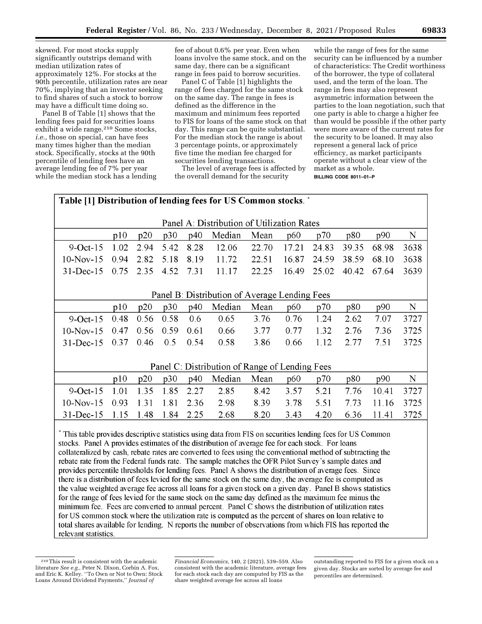skewed. For most stocks supply significantly outstrips demand with median utilization rates of approximately 12%. For stocks at the 90th percentile, utilization rates are near 70%, implying that an investor seeking to find shares of such a stock to borrow may have a difficult time doing so.

Panel B of Table [1] shows that the lending fees paid for securities loans exhibit a wide range.<sup>210</sup> Some stocks, *i.e.,* those on special, can have fees many times higher than the median stock. Specifically, stocks at the 90th percentile of lending fees have an average lending fee of 7% per year while the median stock has a lending

fee of about 0.6% per year. Even when loans involve the same stock, and on the same day, there can be a significant range in fees paid to borrow securities.

Panel C of Table [1] highlights the range of fees charged for the same stock on the same day. The range in fees is defined as the difference in the maximum and minimum fees reported to FIS for loans of the same stock on that day. This range can be quite substantial. For the median stock the range is about 3 percentage points, or approximately five time the median fee charged for securities lending transactions.

The level of average fees is affected by the overall demand for the security

while the range of fees for the same security can be influenced by a number of characteristics: The Credit worthiness of the borrower, the type of collateral used, and the term of the loan. The range in fees may also represent asymmetric information between the parties to the loan negotiation, such that one party is able to charge a higher fee than would be possible if the other party were more aware of the current rates for the security to be loaned. It may also represent a general lack of price efficiency, as market participants operate without a clear view of the market as a whole. **BILLING CODE 8011–01–P** 

| Table [1] Distribution of lending fees for US Common stocks. *                                                                                                                                               |      |      |      |      |                                               |       |       |       |       |       |      |
|--------------------------------------------------------------------------------------------------------------------------------------------------------------------------------------------------------------|------|------|------|------|-----------------------------------------------|-------|-------|-------|-------|-------|------|
| Panel A: Distribution of Utilization Rates                                                                                                                                                                   |      |      |      |      |                                               |       |       |       |       |       |      |
|                                                                                                                                                                                                              | p10  | p20  | p30  | p40  | Median                                        | Mean  | p60   | p70   | p80   | p90   | N    |
| $9-Oct-15$                                                                                                                                                                                                   | 1.02 | 2.94 | 5.42 | 8.28 | 12.06                                         | 22.70 | 17.21 | 24.83 | 39.35 | 68.98 | 3638 |
| $10-Nov-15$                                                                                                                                                                                                  | 0.94 | 2.82 | 5.18 | 8.19 | 11.72                                         | 22.51 | 16.87 | 24.59 | 38.59 | 68.10 | 3638 |
| $31 - Dec-15$                                                                                                                                                                                                | 0.75 | 2.35 | 4.52 | 7.31 | 11.17                                         | 22.25 | 16.49 | 25.02 | 40.42 | 67.64 | 3639 |
|                                                                                                                                                                                                              |      |      |      |      |                                               |       |       |       |       |       |      |
|                                                                                                                                                                                                              |      |      |      |      | Panel B: Distribution of Average Lending Fees |       |       |       |       |       |      |
|                                                                                                                                                                                                              | p10  | p20  | p30  | p40  | Median                                        | Mean  | p60   | p70   | p80   | p90   | N    |
| $9$ -Oct-15                                                                                                                                                                                                  | 0.48 | 0.56 | 0.58 | 0.6  | 0.65                                          | 3.76  | 0.76  | 1.24  | 2.62  | 7.07  | 3727 |
| $10-Nov-15$                                                                                                                                                                                                  | 0.47 | 0.56 | 0.59 | 0.61 | 0.66                                          | 3.77  | 0.77  | 1.32  | 2.76  | 7.36  | 3725 |
| $31$ -Dec-15                                                                                                                                                                                                 | 0.37 | 0.46 | 0.5  | 0.54 | 0.58                                          | 3.86  | 0.66  | 1.12  | 2.77  | 7.51  | 3725 |
|                                                                                                                                                                                                              |      |      |      |      |                                               |       |       |       |       |       |      |
| Panel C: Distribution of Range of Lending Fees                                                                                                                                                               |      |      |      |      |                                               |       |       |       |       |       |      |
|                                                                                                                                                                                                              | p10  | p20  | p30  | p40  | Median                                        | Mean  | p60   | p70   | p80   | p90   | N    |
| $9$ -Oct-15                                                                                                                                                                                                  | 1.01 | 1.35 | 1.85 | 2.27 | 2.85                                          | 8.42  | 3.57  | 5.21  | 7.76  | 10.41 | 3727 |
| $10-Nov-15$                                                                                                                                                                                                  | 0.93 | 1.31 | 1.81 | 2.36 | 2.98                                          | 8.39  | 3.78  | 5.51  | 7.73  | 11.16 | 3725 |
| $31$ -Dec-15                                                                                                                                                                                                 | 1.15 | 1.48 | 1.84 | 2.25 | 2.68                                          | 8.20  | 3.43  | 4.20  | 6.36  | 11.41 | 3725 |
| * This table provides descriptive statistics using data from FIS on securities lending fees for US Common<br>stocks. Panel A provides estimates of the distribution of average fee for each stock. For loans |      |      |      |      |                                               |       |       |       |       |       |      |

stocks. Panel A provides estimates of the distribution of average fee for each stock. For loans collateralized by cash, rebate rates are converted to fees using the conventional method of subtracting the rebate rate from the Federal funds rate. The sample matches the OFR Pilot Survey's sample dates and provides percentile thresholds for lending fees. Panel A shows the distribution of average fees. Since there is a distribution of fees levied for the same stock on the same day, the average fee is computed as the value weighted average fee across all loans for a given stock on a given day. Panel B shows statistics for the range of fees levied for the same stock on the same day defined as the maximum fee minus the minimum fee. Fees are converted to annual percent. Panel C shows the distribution of utilization rates for US common stock where the utilization rate is computed as the percent of shares on loan relative to total shares available for lending. N reports the number of observations from which FIS has reported the relevant statistics.

*Financial Economics,* 140, 2 (2021), 539–559. Also consistent with the academic literature, average fees for each stock each day are computed by FIS as the share weighted average fee across all loans

<sup>210</sup>This result is consistent with the academic literature *See e.g.,* Peter N. Dixon, Corbin A. Fox, and Eric K. Kelley. ''To Own or Not to Own: Stock Loans Around Dividend Payments,'' *Journal of* 

outstanding reported to FIS for a given stock on a given day. Stocks are sorted by average fee and percentiles are determined.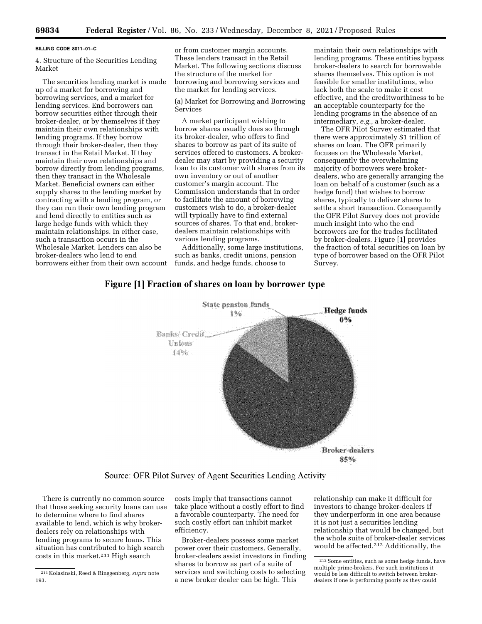#### **BILLING CODE 8011–01–C**

4. Structure of the Securities Lending Market

The securities lending market is made up of a market for borrowing and borrowing services, and a market for lending services. End borrowers can borrow securities either through their broker-dealer, or by themselves if they maintain their own relationships with lending programs. If they borrow through their broker-dealer, then they transact in the Retail Market. If they maintain their own relationships and borrow directly from lending programs, then they transact in the Wholesale Market. Beneficial owners can either supply shares to the lending market by contracting with a lending program, or they can run their own lending program and lend directly to entities such as large hedge funds with which they maintain relationships. In either case, such a transaction occurs in the Wholesale Market. Lenders can also be broker-dealers who lend to end borrowers either from their own account

or from customer margin accounts. These lenders transact in the Retail Market. The following sections discuss the structure of the market for borrowing and borrowing services and the market for lending services.

(a) Market for Borrowing and Borrowing Services

A market participant wishing to borrow shares usually does so through its broker-dealer, who offers to find shares to borrow as part of its suite of services offered to customers. A brokerdealer may start by providing a security loan to its customer with shares from its own inventory or out of another customer's margin account. The Commission understands that in order to facilitate the amount of borrowing customers wish to do, a broker-dealer will typically have to find external sources of shares. To that end, brokerdealers maintain relationships with various lending programs.

Additionally, some large institutions, such as banks, credit unions, pension funds, and hedge funds, choose to

maintain their own relationships with lending programs. These entities bypass broker-dealers to search for borrowable shares themselves. This option is not feasible for smaller institutions, who lack both the scale to make it cost effective, and the creditworthiness to be an acceptable counterparty for the lending programs in the absence of an intermediary, *e.g.,* a broker-dealer.

The OFR Pilot Survey estimated that there were approximately \$1 trillion of shares on loan. The OFR primarily focuses on the Wholesale Market, consequently the overwhelming majority of borrowers were brokerdealers, who are generally arranging the loan on behalf of a customer (such as a hedge fund) that wishes to borrow shares, typically to deliver shares to settle a short transaction. Consequently the OFR Pilot Survey does not provide much insight into who the end borrowers are for the trades facilitated by broker-dealers. Figure [1] provides the fraction of total securities on loan by type of borrower based on the OFR Pilot Survey.

# Figure [1] Fraction of shares on loan by borrower type



### Source: OFR Pilot Survey of Agent Securities Lending Activity

There is currently no common source that those seeking security loans can use to determine where to find shares available to lend, which is why brokerdealers rely on relationships with lending programs to secure loans. This situation has contributed to high search costs in this market.211 High search

costs imply that transactions cannot take place without a costly effort to find a favorable counterparty. The need for such costly effort can inhibit market efficiency.

Broker-dealers possess some market power over their customers. Generally, broker-dealers assist investors in finding shares to borrow as part of a suite of services and switching costs to selecting a new broker dealer can be high. This

relationship can make it difficult for investors to change broker-dealers if they underperform in one area because it is not just a securities lending relationship that would be changed, but the whole suite of broker-dealer services would be affected.212 Additionally, the

<sup>211</sup> Kolasinski, Reed & Ringgenberg, *supra* note 193.

<sup>212</sup>Some entities, such as some hedge funds, have multiple prime-brokers. For such institutions it would be less difficult to switch between brokerdealers if one is performing poorly as they could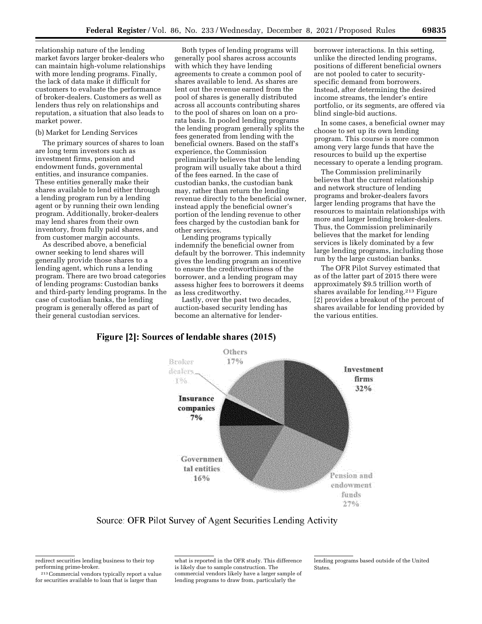relationship nature of the lending market favors larger broker-dealers who can maintain high-volume relationships with more lending programs. Finally, the lack of data make it difficult for customers to evaluate the performance of broker-dealers. Customers as well as lenders thus rely on relationships and reputation, a situation that also leads to market power.

#### (b) Market for Lending Services

The primary sources of shares to loan are long term investors such as investment firms, pension and endowment funds, governmental entities, and insurance companies. These entities generally make their shares available to lend either through a lending program run by a lending agent or by running their own lending program. Additionally, broker-dealers may lend shares from their own inventory, from fully paid shares, and from customer margin accounts.

As described above, a beneficial owner seeking to lend shares will generally provide those shares to a lending agent, which runs a lending program. There are two broad categories of lending programs: Custodian banks and third-party lending programs. In the case of custodian banks, the lending program is generally offered as part of their general custodian services.

Both types of lending programs will generally pool shares across accounts with which they have lending agreements to create a common pool of shares available to lend. As shares are lent out the revenue earned from the pool of shares is generally distributed across all accounts contributing shares to the pool of shares on loan on a prorata basis. In pooled lending programs the lending program generally splits the fees generated from lending with the beneficial owners. Based on the staff's experience, the Commission preliminarily believes that the lending program will usually take about a third of the fees earned. In the case of custodian banks, the custodian bank may, rather than return the lending revenue directly to the beneficial owner, instead apply the beneficial owner's portion of the lending revenue to other fees charged by the custodian bank for other services.

Lending programs typically indemnify the beneficial owner from default by the borrower. This indemnity gives the lending program an incentive to ensure the creditworthiness of the borrower, and a lending program may assess higher fees to borrowers it deems as less creditworthy.

Lastly, over the past two decades, auction-based security lending has become an alternative for lenderborrower interactions. In this setting, unlike the directed lending programs, positions of different beneficial owners are not pooled to cater to securityspecific demand from borrowers. Instead, after determining the desired income streams, the lender's entire portfolio, or its segments, are offered via blind single-bid auctions.

In some cases, a beneficial owner may choose to set up its own lending program. This course is more common among very large funds that have the resources to build up the expertise necessary to operate a lending program.

The Commission preliminarily believes that the current relationship and network structure of lending programs and broker-dealers favors larger lending programs that have the resources to maintain relationships with more and larger lending broker-dealers. Thus, the Commission preliminarily believes that the market for lending services is likely dominated by a few large lending programs, including those run by the large custodian banks.

The OFR Pilot Survey estimated that as of the latter part of 2015 there were approximately \$9.5 trillion worth of shares available for lending.213 Figure [2] provides a breakout of the percent of shares available for lending provided by the various entities.

# Figure [2]: Sources of lendable shares (2015)



Source: OFR Pilot Survey of Agent Securities Lending Activity

213Commercial vendors typically report a value for securities available to loan that is larger than

what is reported in the OFR study. This difference is likely due to sample construction. The commercial vendors likely have a larger sample of lending programs to draw from, particularly the

lending programs based outside of the United **States** 

redirect securities lending business to their top performing prime-broker.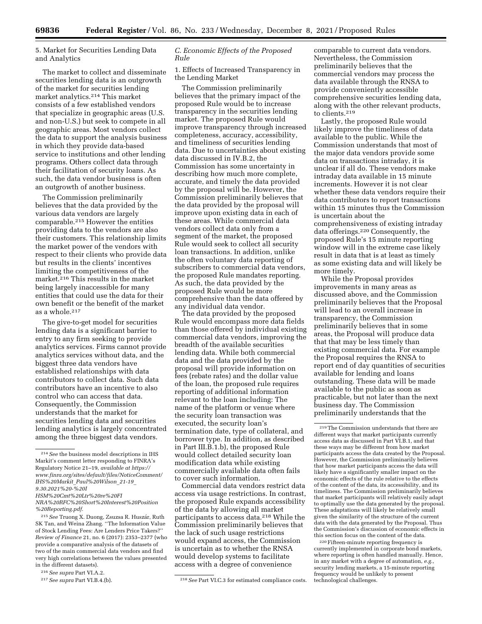5. Market for Securities Lending Data and Analytics

The market to collect and disseminate securities lending data is an outgrowth of the market for securities lending market analytics.214 This market consists of a few established vendors that specialize in geographic areas (U.S. and non-U.S.) but seek to compete in all geographic areas. Most vendors collect the data to support the analysis business in which they provide data-based service to institutions and other lending programs. Others collect data through their facilitation of security loans. As such, the data vendor business is often an outgrowth of another business.

The Commission preliminarily believes that the data provided by the various data vendors are largely comparable.215 However the entities providing data to the vendors are also their customers. This relationship limits the market power of the vendors with respect to their clients who provide data but results in the clients' incentives limiting the competitiveness of the market.216 This results in the market being largely inaccessible for many entities that could use the data for their own benefit or the benefit of the market as a whole.217

The give-to-get model for securities lending data is a significant barrier to entry to any firm seeking to provide analytics services. Firms cannot provide analytics services without data, and the biggest three data vendors have established relationships with data contributors to collect data. Such data contributors have an incentive to also control who can access that data. Consequently, the Commission understands that the market for securities lending data and securities lending analytics is largely concentrated among the three biggest data vendors.

<sup>215</sup> See Truong X. Duong, Zsuzsa R. Huszár, Ruth SK Tan, and Weina Zhang. ''The Information Value of Stock Lending Fees: Are Lenders Price Takers?'' *Review of Finance* 21, no. 6 (2017): 2353–2377 (who provide a comparative analysis of the datasets of two of the main commercial data vendors and find very high correlations between the values presented in the different datasets).

### *C. Economic Effects of the Proposed Rule*

1. Effects of Increased Transparency in the Lending Market

The Commission preliminarily believes that the primary impact of the proposed Rule would be to increase transparency in the securities lending market. The proposed Rule would improve transparency through increased completeness, accuracy, accessibility, and timeliness of securities lending data. Due to uncertainties about existing data discussed in IV.B.2, the Commission has some uncertainty in describing how much more complete, accurate, and timely the data provided by the proposal will be. However, the Commission preliminarily believes that the data provided by the proposal will improve upon existing data in each of these areas. While commercial data vendors collect data only from a segment of the market, the proposed Rule would seek to collect all security loan transactions. In addition, unlike the often voluntary data reporting of subscribers to commercial data vendors, the proposed Rule mandates reporting. As such, the data provided by the proposed Rule would be more comprehensive than the data offered by any individual data vendor.

The data provided by the proposed Rule would encompass more data fields than those offered by individual existing commercial data vendors, improving the breadth of the available securities lending data. While both commercial data and the data provided by the proposal will provide information on fees (rebate rates) and the dollar value of the loan, the proposed rule requires reporting of additional information relevant to the loan including: The name of the platform or venue where the security loan transaction was executed, the security loan's termination date, type of collateral, and borrower type. In addition, as described in Part III.B.1.b), the proposed Rule would collect detailed security loan modification data while existing commercially available data often fails to cover such information.

Commercial data vendors restrict data access via usage restrictions. In contrast, the proposed Rule expands accessibility of the data by allowing all market participants to access data.218 While the Commission preliminarily believes that the lack of such usage restrictions would expand access, the Commission is uncertain as to whether the RNSA would develop systems to facilitate access with a degree of convenience

comparable to current data vendors. Nevertheless, the Commission preliminarily believes that the commercial vendors may process the data available through the RNSA to provide conveniently accessible comprehensive securities lending data, along with the other relevant products, to clients.219

Lastly, the proposed Rule would likely improve the timeliness of data available to the public. While the Commission understands that most of the major data vendors provide some data on transactions intraday, it is unclear if all do. These vendors make intraday data available in 15 minute increments. However it is not clear whether these data vendors require their data contributors to report transactions within 15 minutes thus the Commission is uncertain about the comprehensiveness of existing intraday data offerings.220 Consequently, the proposed Rule's 15 minute reporting window will in the extreme case likely result in data that is at least as timely as some existing data and will likely be more timely.

While the Proposal provides improvements in many areas as discussed above, and the Commission preliminarily believes that the Proposal will lead to an overall increase in transparency, the Commission preliminarily believes that in some areas, the Proposal will produce data that that may be less timely than existing commercial data. For example the Proposal requires the RNSA to report end of day quantities of securities available for lending and loans outstanding. These data will be made available to the public as soon as practicable, but not later than the next business day. The Commission preliminarily understands that the

220Fifteen-minute reporting frequency is currently implemented in corporate bond markets, where reporting is often handled manually. Hence, in any market with a degree of automation, *e.g.,*  security lending markets, a 15-minute reporting frequency would be unlikely to present technological challenges.

<sup>214</sup>*See* the business model descriptions in IHS Markit's comment letter responding to FINRA's Regulatory Notice 21–19, *available at [https://](https://www.finra.org/sites/default/files/NoticeComment/IHS%20Markit_Paul%20Wilson_21-19_9.30.2021%20-%20IHSM%20Cmt%20Ltr%20re%20FINRA%20RFC%20Short%20Interest%20Position%20Reporting.pdf) [www.finra.org/sites/default/files/NoticeComment/](https://www.finra.org/sites/default/files/NoticeComment/IHS%20Markit_Paul%20Wilson_21-19_9.30.2021%20-%20IHSM%20Cmt%20Ltr%20re%20FINRA%20RFC%20Short%20Interest%20Position%20Reporting.pdf) IHS%20Markit*\_*[Paul%20Wilson](https://www.finra.org/sites/default/files/NoticeComment/IHS%20Markit_Paul%20Wilson_21-19_9.30.2021%20-%20IHSM%20Cmt%20Ltr%20re%20FINRA%20RFC%20Short%20Interest%20Position%20Reporting.pdf)*\_*21-19*\_ *[9.30.2021%20-%20I](https://www.finra.org/sites/default/files/NoticeComment/IHS%20Markit_Paul%20Wilson_21-19_9.30.2021%20-%20IHSM%20Cmt%20Ltr%20re%20FINRA%20RFC%20Short%20Interest%20Position%20Reporting.pdf)*

*[HSM%20Cmt%20Ltr%20re%20FI](https://www.finra.org/sites/default/files/NoticeComment/IHS%20Markit_Paul%20Wilson_21-19_9.30.2021%20-%20IHSM%20Cmt%20Ltr%20re%20FINRA%20RFC%20Short%20Interest%20Position%20Reporting.pdf)*

*[NRA%20RFC%20Short%20Interest%20Position](https://www.finra.org/sites/default/files/NoticeComment/IHS%20Markit_Paul%20Wilson_21-19_9.30.2021%20-%20IHSM%20Cmt%20Ltr%20re%20FINRA%20RFC%20Short%20Interest%20Position%20Reporting.pdf) [%20Reporting.pdf.](https://www.finra.org/sites/default/files/NoticeComment/IHS%20Markit_Paul%20Wilson_21-19_9.30.2021%20-%20IHSM%20Cmt%20Ltr%20re%20FINRA%20RFC%20Short%20Interest%20Position%20Reporting.pdf)* 

<sup>216</sup>*See supra* Part VI.A.2.

<sup>217</sup>*See supra* Part VI.B.4.(b). 218*See* Part VI.C.3 for estimated compliance costs.

<sup>219</sup>The Commission understands that there are different ways that market participants currently access data as discussed in Part VI.B.1, and that these ways may be different from how market participants access the data created by the Proposal. However, the Commission preliminarily believes that how market participants access the data will likely have a significantly smaller impact on the economic effects of the rule relative to the effects of the content of the data, its accessibility, and its timeliness. The Commission preliminarily believes that market participants will relatively easily adapt to optimally use the data generated by the proposal. These adaptations will likely be relatively small given the similarity of the structure of the current data with the data generated by the Proposal. Thus the Commission's discussion of economic effects in this section focus on the content of the data.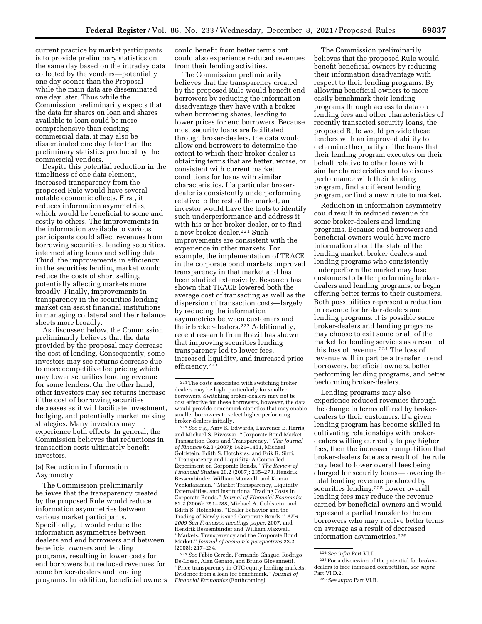current practice by market participants is to provide preliminary statistics on the same day based on the intraday data collected by the vendors—potentially one day sooner than the Proposal while the main data are disseminated one day later. Thus while the Commission preliminarily expects that the data for shares on loan and shares available to loan could be more comprehensive than existing commercial data, it may also be disseminated one day later than the preliminary statistics produced by the commercial vendors.

Despite this potential reduction in the timeliness of one data element, increased transparency from the proposed Rule would have several notable economic effects. First, it reduces information asymmetries, which would be beneficial to some and costly to others. The improvements in the information available to various participants could affect revenues from borrowing securities, lending securities, intermediating loans and selling data. Third, the improvements in efficiency in the securities lending market would reduce the costs of short selling, potentially affecting markets more broadly. Finally, improvements in transparency in the securities lending market can assist financial institutions in managing collateral and their balance sheets more broadly.

As discussed below, the Commission preliminarily believes that the data provided by the proposal may decrease the cost of lending. Consequently, some investors may see returns decrease due to more competitive fee pricing which may lower securities lending revenue for some lenders. On the other hand, other investors may see returns increase if the cost of borrowing securities decreases as it will facilitate investment, hedging, and potentially market making strategies. Many investors may experience both effects. In general, the Commission believes that reductions in transaction costs ultimately benefit investors.

### (a) Reduction in Information Asymmetry

The Commission preliminarily believes that the transparency created by the proposed Rule would reduce information asymmetries between various market participants. Specifically, it would reduce the information asymmetries between dealers and end borrowers and between beneficial owners and lending programs, resulting in lower costs for end borrowers but reduced revenues for some broker-dealers and lending programs. In addition, beneficial owners could benefit from better terms but could also experience reduced revenues from their lending activities.

The Commission preliminarily believes that the transparency created by the proposed Rule would benefit end borrowers by reducing the information disadvantage they have with a broker when borrowing shares, leading to lower prices for end borrowers. Because most security loans are facilitated through broker-dealers, the data would allow end borrowers to determine the extent to which their broker-dealer is obtaining terms that are better, worse, or consistent with current market conditions for loans with similar characteristics. If a particular brokerdealer is consistently underperforming relative to the rest of the market, an investor would have the tools to identify such underperformance and address it with his or her broker dealer, or to find a new broker dealer.221 Such improvements are consistent with the experience in other markets. For example, the implementation of TRACE in the corporate bond markets improved transparency in that market and has been studied extensively. Research has shown that TRACE lowered both the average cost of transacting as well as the dispersion of transaction costs—largely by reducing the information asymmetries between customers and their broker-dealers.222 Additionally, recent research from Brazil has shown that improving securities lending transparency led to lower fees, increased liquidity, and increased price efficiency.223

<sup>223</sup> See Fábio Cereda, Fernando Chague, Rodrigo De-Losso, Alan Genaro, and Bruno Giovannetti. ''Price transparency in OTC equity lending markets: Evidence from a loan fee benchmark.'' *Journal of Financial Economics* (Forthcoming).

The Commission preliminarily believes that the proposed Rule would benefit beneficial owners by reducing their information disadvantage with respect to their lending programs. By allowing beneficial owners to more easily benchmark their lending programs through access to data on lending fees and other characteristics of recently transacted security loans, the proposed Rule would provide these lenders with an improved ability to determine the quality of the loans that their lending program executes on their behalf relative to other loans with similar characteristics and to discuss performance with their lending program, find a different lending program, or find a new route to market.

Reduction in information asymmetry could result in reduced revenue for some broker-dealers and lending programs. Because end borrowers and beneficial owners would have more information about the state of the lending market, broker dealers and lending programs who consistently underperform the market may lose customers to better performing brokerdealers and lending programs, or begin offering better terms to their customers. Both possibilities represent a reduction in revenue for broker-dealers and lending programs. It is possible some broker-dealers and lending programs may choose to exit some or all of the market for lending services as a result of this loss of revenue.224 The loss of revenue will in part be a transfer to end borrowers, beneficial owners, better performing lending programs, and better performing broker-dealers.

Lending programs may also experience reduced revenues through the change in terms offered by brokerdealers to their customers. If a given lending program has become skilled in cultivating relationships with brokerdealers willing currently to pay higher fees, then the increased competition that broker-dealers face as a result of the rule may lead to lower overall fees being charged for security loans—lowering the total lending revenue produced by securities lending.225 Lower overall lending fees may reduce the revenue earned by beneficial owners and would represent a partial transfer to the end borrowers who may receive better terms on average as a result of decreased information asymmetries.<sup>226</sup>

<sup>221</sup>The costs associated with switching broker dealers may be high, particularly for smaller borrowers. Switching broker-dealers may not be cost effective for these borrowers, however, the data would provide benchmark statistics that may enable smaller borrowers to select higher performing broker-dealers initially.

<sup>222</sup>*See e.g.,* Amy K. Edwards, Lawrence E. Harris, and Michael S. Piwowar. ''Corporate Bond Market Transaction Costs and Transparency.'' *The Journal of Finance* 62.3 (2007): 1421–1451, Michael Goldstein, Edith S. Hotchkiss, and Erik R. Sirri. ''Transparency and Liquidity: A Controlled Experiment on Corporate Bonds.'' *The Review of Financial Studies* 20.2 (2007): 235–273, Hendrik Bessembinder, William Maxwell, and Kumar Venkataraman. ''Market Transparency, Liquidity Externalities, and Institutional Trading Costs in Corporate Bonds.'' *Journal of Financial Economics*  82.2 (2006): 251–288, Michael A. Goldstein, and Edith S. Hotchkiss. ''Dealer Behavior and the Trading of Newly issued Corporate Bonds.'' *AFA 2009 San Francisco meetings paper.* 2007, and Hendrik Bessembinder and William Maxwell. ''Markets: Transparency and the Corporate Bond Market.'' *Journal of economic perspectives* 22.2 (2008): 217–234.

<sup>224</sup>*See infra* Part VI.D.

<sup>225</sup>For a discussion of the potential for brokerdealers to face increased competition, *see supra*  Part VI.D.2.

<sup>226</sup>*See supra* Part VI.B.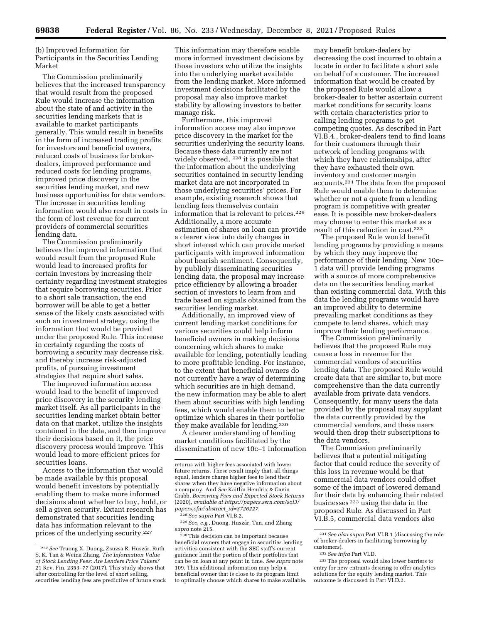(b) Improved Information for Participants in the Securities Lending Market

The Commission preliminarily believes that the increased transparency that would result from the proposed Rule would increase the information about the state of and activity in the securities lending markets that is available to market participants generally. This would result in benefits in the form of increased trading profits for investors and beneficial owners, reduced costs of business for brokerdealers, improved performance and reduced costs for lending programs, improved price discovery in the securities lending market, and new business opportunities for data vendors. The increase in securities lending information would also result in costs in the form of lost revenue for current providers of commercial securities lending data.

The Commission preliminarily believes the improved information that would result from the proposed Rule would lead to increased profits for certain investors by increasing their certainty regarding investment strategies that require borrowing securities. Prior to a short sale transaction, the end borrower will be able to get a better sense of the likely costs associated with such an investment strategy, using the information that would be provided under the proposed Rule. This increase in certainty regarding the costs of borrowing a security may decrease risk, and thereby increase risk-adjusted profits, of pursuing investment strategies that require short sales.

The improved information access would lead to the benefit of improved price discovery in the security lending market itself. As all participants in the securities lending market obtain better data on that market, utilize the insights contained in the data, and then improve their decisions based on it, the price discovery process would improve. This would lead to more efficient prices for securities loans.

Access to the information that would be made available by this proposal would benefit investors by potentially enabling them to make more informed decisions about whether to buy, hold, or sell a given security. Extant research has demonstrated that securities lending data has information relevant to the prices of the underlying security.227

This information may therefore enable more informed investment decisions by those investors who utilize the insights into the underlying market available from the lending market. More informed investment decisions facilitated by the proposal may also improve market stability by allowing investors to better manage risk.

Furthermore, this improved information access may also improve price discovery in the market for the securities underlying the security loans. Because these data currently are not widely observed, 228 it is possible that the information about the underlying securities contained in security lending market data are not incorporated in those underlying securities' prices. For example, existing research shows that lending fees themselves contain information that is relevant to prices.229 Additionally, a more accurate estimation of shares on loan can provide a clearer view into daily changes in short interest which can provide market participants with improved information about bearish sentiment. Consequently, by publicly disseminating securities lending data, the proposal may increase price efficiency by allowing a broader section of investors to learn from and trade based on signals obtained from the securities lending market.

Additionally, an improved view of current lending market conditions for various securities could help inform beneficial owners in making decisions concerning which shares to make available for lending, potentially leading to more profitable lending. For instance, to the extent that beneficial owners do not currently have a way of determining which securities are in high demand, the new information may be able to alert them about securities with high lending fees, which would enable them to better optimize which shares in their portfolio they make available for lending.230

A clearer understanding of lending market conditions facilitated by the dissemination of new 10c–1 information

228*See supra* Part VI.B.2.

<sup>229</sup> See, e.g., Duong, Huszár, Tan, and Zhang *supra* note 215.

may benefit broker-dealers by decreasing the cost incurred to obtain a locate in order to facilitate a short sale on behalf of a customer. The increased information that would be created by the proposed Rule would allow a broker-dealer to better ascertain current market conditions for security loans with certain characteristics prior to calling lending programs to get competing quotes. As described in Part VI.B.4., broker-dealers tend to find loans for their customers through their network of lending programs with which they have relationships, after they have exhausted their own inventory and customer margin accounts.231 The data from the proposed Rule would enable them to determine whether or not a quote from a lending program is competitive with greater ease. It is possible new broker-dealers may choose to enter this market as a result of this reduction in cost.232

The proposed Rule would benefit lending programs by providing a means by which they may improve the performance of their lending. New 10c– 1 data will provide lending programs with a source of more comprehensive data on the securities lending market than existing commercial data. With this data the lending programs would have an improved ability to determine prevailing market conditions as they compete to lend shares, which may improve their lending performance.

The Commission preliminarily believes that the proposed Rule may cause a loss in revenue for the commercial vendors of securities lending data. The proposed Rule would create data that are similar to, but more comprehensive than the data currently available from private data vendors. Consequently, for many users the data provided by the proposal may supplant the data currently provided by the commercial vendors, and these users would then drop their subscriptions to the data vendors.

The Commission preliminarily believes that a potential mitigating factor that could reduce the severity of this loss in revenue would be that commercial data vendors could offset some of the impact of lowered demand for their data by enhancing their related businesses 233 using the data in the proposed Rule. As discussed in Part VI.B.5, commercial data vendors also

<sup>&</sup>lt;sup>227</sup> See Truong X. Duong, Zsuzsa R. Huszár, Ruth S. K. Tan & Weina Zhang, *The Information Value of Stock Lending Fees: Are Lenders Price Takers?*  21 Rev. Fin. 2353–77 (2017). This study shows that after controlling for the level of short selling, securities lending fees are predictive of future stock

returns with higher fees associated with lower future returns. These result imply that, all things equal, lenders charge higher fees to lend their shares when they have negative information about a company. And *See* Kaitlin Hendrix & Gavin Crabb, *Borrowing Fees and Expected Stock Returns*  (2020), *available at [https://papers.ssrn.com/sol3/](https://papers.ssrn.com/sol3/papers.cfm?abstract_id=3726227) [papers.cfm?abstract](https://papers.ssrn.com/sol3/papers.cfm?abstract_id=3726227)*\_*id=3726227.* 

<sup>230</sup>This decision can be important because beneficial owners that engage in securities lending activities consistent with the SEC staff's current guidance limit the portion of their portfolios that can be on loan at any point in time. *See supra* note 109. This additional information may help a beneficial owner that is close to its program limit to optimally choose which shares to make available.

<sup>231</sup>*See also supra* Part VI.B.1 (discussing the role of broker-dealers in facilitating borrowing by customers).

<sup>232</sup>*See infra* Part VI.D.

<sup>233</sup>The proposal would also lower barriers to entry for new entrants desiring to offer analytics solutions for the equity lending market. This outcome is discussed in Part VI.D.2.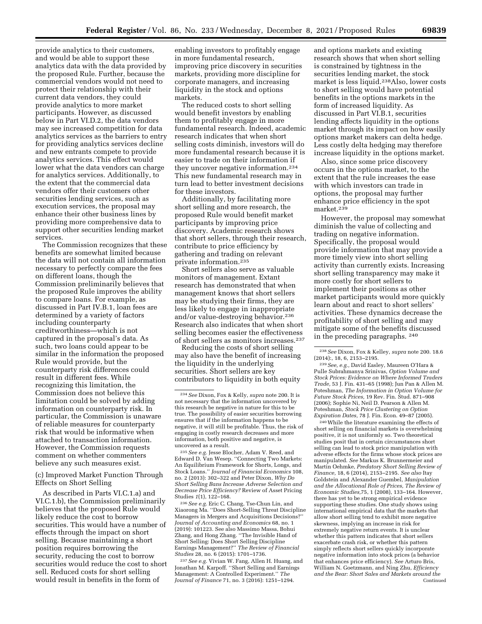provide analytics to their customers, and would be able to support these analytics data with the data provided by the proposed Rule. Further, because the commercial vendors would not need to protect their relationship with their current data vendors, they could provide analytics to more market participants. However, as discussed below in Part VI.D.2, the data vendors may see increased competition for data analytics services as the barriers to entry for providing analytics services decline and new entrants compete to provide analytics services. This effect would lower what the data vendors can charge for analytics services. Additionally, to the extent that the commercial data vendors offer their customers other securities lending services, such as execution services, the proposal may enhance their other business lines by providing more comprehensive data to support other securities lending market services.

The Commission recognizes that these benefits are somewhat limited because the data will not contain all information necessary to perfectly compare the fees on different loans, though the Commission preliminarily believes that the proposed Rule improves the ability to compare loans. For example, as discussed in Part IV.B.1, loan fees are determined by a variety of factors including counterparty creditworthiness—which is not captured in the proposal's data. As such, two loans could appear to be similar in the information the proposed Rule would provide, but the counterparty risk differences could result in different fees. While recognizing this limitation, the Commission does not believe this limitation could be solved by adding information on counterparty risk. In particular, the Commission is unaware of reliable measures for counterparty risk that would be informative when attached to transaction information. However, the Commission requests comment on whether commenters believe any such measures exist.

(c) Improved Market Function Through Effects on Short Selling

As described in Parts VI.C.1.a) and VI.C.1.b), the Commission preliminarily believes that the proposed Rule would likely reduce the cost to borrow securities. This would have a number of effects through the impact on short selling. Because maintaining a short position requires borrowing the security, reducing the cost to borrow securities would reduce the cost to short sell. Reduced costs for short selling would result in benefits in the form of

enabling investors to profitably engage in more fundamental research, improving price discovery in securities markets, providing more discipline for corporate managers, and increasing liquidity in the stock and options markets.

The reduced costs to short selling would benefit investors by enabling them to profitably engage in more fundamental research. Indeed, academic research indicates that when short selling costs diminish, investors will do more fundamental research because it is easier to trade on their information if they uncover negative information.234 This new fundamental research may in turn lead to better investment decisions for these investors.

Additionally, by facilitating more short selling and more research, the proposed Rule would benefit market participants by improving price discovery. Academic research shows that short sellers, through their research, contribute to price efficiency by gathering and trading on relevant private information.235

Short sellers also serve as valuable monitors of management. Extant research has demonstrated that when management knows that short sellers may be studying their firms, they are less likely to engage in inappropriate and/or value-destroying behavior.236 Research also indicates that when short selling becomes easier the effectiveness of short sellers as monitors increases.237

Reducing the costs of short selling may also have the benefit of increasing the liquidity in the underlying securities. Short sellers are key contributors to liquidity in both equity

235*See e.g.* Jesse Blocher, Adam V. Reed, and Edward D. Van Wesep. ''Connecting Two Markets: An Equilibrium Framework for Shorts, Longs, and Stock Loans.'' *Journal of Financial Economics* 108, no. 2 (2013): 302–322 and Peter Dixon, *Why Do Short Selling Bans Increase Adverse Selection and Decrease Price Efficiency?* Review of Asset Pricing Studies *1*(1), 122–168.

236*See e.g.* Eric C. Chang, Tse-Chun Lin, and Xiaorong Ma. ''Does Short-Selling Threat Discipline Managers in Mergers and Acquisitions Decisions?'' *Journal of Accounting and Economics* 68, no. 1 (2019): 101223. See also Massimo Massa, Bohui Zhang, and Hong Zhang. ''The Invisible Hand of Short Selling: Does Short Selling Discipline Earnings Management?'' *The Review of Financial Studies* 28, no. 6 (2015): 1701–1736.

237*See e.g.* Vivian W. Fang, Allen H. Huang, and Jonathan M. Karpoff. ''Short Selling and Earnings Management: A Controlled Experiment.'' *The Journal of Finance* 71, no. 3 (2016): 1251–1294.

and options markets and existing research shows that when short selling is constrained by tightness in the securities lending market, the stock market is less liquid.238Also, lower costs to short selling would have potential benefits in the options markets in the form of increased liquidity. As discussed in Part VI.B.1, securities lending affects liquidity in the options market through its impact on how easily options market makers can delta hedge. Less costly delta hedging may therefore increase liquidity in the options market.

Also, since some price discovery occurs in the options market, to the extent that the rule increases the ease with which investors can trade in options, the proposal may further enhance price efficiency in the spot market.239

However, the proposal may somewhat diminish the value of collecting and trading on negative information. Specifically, the proposal would provide information that may provide a more timely view into short selling activity than currently exists. Increasing short selling transparency may make it more costly for short sellers to implement their positions as other market participants would more quickly learn about and react to short sellers' activities. These dynamics decrease the profitability of short selling and may mitigate some of the benefits discussed in the preceding paragraphs. 240

240While the literature examining the effects of short selling on financial markets is overwhelming positive, it is not uniformly so. Two theoretical studies posit that in certain circumstances short selling can lead to stock price manipulation with adverse effects for the firms whose stock prices are manipulated. *See* Markus K. Brunnermeier and Martin Oehmke, *Predatory Short Selling Review of Finance,* 18, 6 (2014), 2153–2195. *See also* Itay Goldstein and Alexander Guembel, *Manipulation and the Allocational Role of Prices, The Review of Economic Studies,*75, 1 (2008), 133–164. However, there has yet to be strong empirical evidence supporting these studies. One study shows using international empirical data that the markets that allow short selling tend to exhibit more negative skewness, implying an increase in risk for extremely negative return events. It is unclear whether this pattern indicates that short sellers exacerbate crash risk, or whether this pattern simply reflects short sellers quickly incorporate negative information into stock prices (a behavior that enhances price efficiency). *See* Arturo Bris, William N. Goetzmann, and Ning Zhu, *Efficiency and the Bear: Short Sales and Markets around the*  Continued

<sup>234</sup>*See* Dixon, Fox & Kelly, *supra* note 200. It is not necessary that the information uncovered by this research be negative in nature for this to be true. The possibility of easier securities borrowing ensures that if the information happens to be negative, it will still be profitable. Thus, the risk of engaging in costly research decreases and more information, both positive and negative, is uncovered as a result.

<sup>238</sup>*See* Dixon, Fox & Kelley, *supra* note 200. 18.6 (2014):, 18, 6, 2153–2195.

<sup>239</sup>*See, e.g.,* David Easley, Maureen O'Hara & Pulle Subrahmanya Srinivas, *Option Volume and Stock Prices: Evidence on Where Informed Traders Trade,* 53 J. Fin. 431–65 (1998); Jun Pan & Allen M. Poteshman, *The Information in Option Volume for Future Stock Prices,* 19 Rev. Fin. Stud. 871–908 (2006); Sophie Ni, Neil D. Pearson & Allen M. Poteshman, *Stock Price Clustering on Option Expiration Dates,* 78 J. Fin. Econ. 49–87 (2005).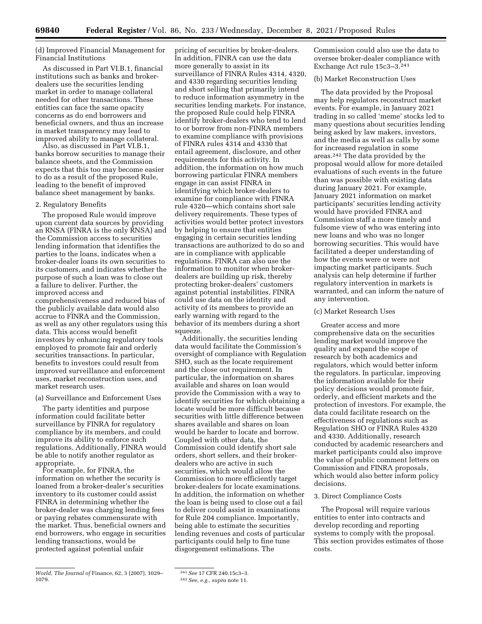(d) Improved Financial Management for Financial Institutions

As discussed in Part VI.B.1, financial institutions such as banks and brokerdealers use the securities lending market in order to manage collateral needed for other transactions. These entities can face the same opacity concerns as do end borrowers and beneficial owners, and thus an increase in market transparency may lead to improved ability to manage collateral.

Also, as discussed in Part VI.B.1, banks borrow securities to manage their balance sheets, and the Commission expects that this too may become easier to do as a result of the proposed Rule, leading to the benefit of improved balance sheet management by banks.

#### 2. Regulatory Benefits

The proposed Rule would improve upon current data sources by providing an RNSA (FINRA is the only RNSA) and the Commission access to securities lending information that identifies the parties to the loans, indicates when a broker-dealer loans its own securities to its customers, and indicates whether the purpose of such a loan was to close out a failure to deliver. Further, the improved access and comprehensiveness and reduced bias of the publicly available data would also accrue to FINRA and the Commission, as well as any other regulators using this data. This access would benefit investors by enhancing regulatory tools employed to promote fair and orderly securities transactions. In particular, benefits to investors could result from improved surveillance and enforcement uses, market reconstruction uses, and market research uses.

#### (a) Surveillance and Enforcement Uses

The party identities and purpose information could facilitate better surveillance by FINRA for regulatory compliance by its members, and could improve its ability to enforce such regulations. Additionally, FINRA would be able to notify another regulator as appropriate.

For example, for FINRA, the information on whether the security is loaned from a broker-dealer's securities inventory to its customer could assist FINRA in determining whether the broker-dealer was charging lending fees or paying rebates commensurate with the market. Thus, beneficial owners and end borrowers, who engage in securities lending transactions, would be protected against potential unfair

*World, The Journal of* Finance, 62, 3 (2007), 1029– 1079.

pricing of securities by broker-dealers. In addition, FINRA can use the data more generally to assist in its surveillance of FINRA Rules 4314, 4320, and 4330 regarding securities lending and short selling that primarily intend to reduce information asymmetry in the securities lending markets. For instance, the proposed Rule could help FINRA identify broker-dealers who tend to lend to or borrow from non-FINRA members to examine compliance with provisions of FINRA rules 4314 and 4330 that entail agreement, disclosure, and other requirements for this activity. In addition, the information on how much borrowing particular FINRA members engage in can assist FINRA in identifying which broker-dealers to examine for compliance with FINRA rule 4320—which contains short sale delivery requirements. These types of activities would better protect investors by helping to ensure that entities engaging in certain securities lending transactions are authorized to do so and are in compliance with applicable regulations. FINRA can also use the information to monitor when brokerdealers are building up risk, thereby protecting broker-dealers' customers against potential instabilities. FINRA could use data on the identity and activity of its members to provide an early warning with regard to the behavior of its members during a short squeeze.

Additionally, the securities lending data would facilitate the Commission's oversight of compliance with Regulation SHO, such as the locate requirement and the close out requirement. In particular, the information on shares available and shares on loan would provide the Commission with a way to identify securities for which obtaining a locate would be more difficult because securities with little difference between shares available and shares on loan would be harder to locate and borrow. Coupled with other data, the Commission could identify short sale orders, short sellers, and their brokerdealers who are active in such securities, which would allow the Commission to more efficiently target broker-dealers for locate examinations. In addition, the information on whether the loan is being used to close out a fail to deliver could assist in examinations for Rule 204 compliance. Importantly, being able to estimate the securities lending revenues and costs of particular participants could help to fine tune disgorgement estimations. The

Commission could also use the data to oversee broker-dealer compliance with Exchange Act rule 15c3–3.241

#### (b) Market Reconstruction Uses

The data provided by the Proposal may help regulators reconstruct market events. For example, in January 2021 trading in so called 'meme' stocks led to many questions about securities lending being asked by law makers, investors, and the media as well as calls by some for increased regulation in some areas.242 The data provided by the proposal would allow for more detailed evaluations of such events in the future than was possible with existing data during January 2021. For example, January 2021 information on market participants' securities lending activity would have provided FINRA and Commission staff a more timely and fulsome view of who was entering into new loans and who was no longer borrowing securities. This would have facilitated a deeper understanding of how the events were or were not impacting market participants. Such analysis can help determine if further regulatory intervention in markets is warranted, and can inform the nature of any intervention.

#### (c) Market Research Uses

Greater access and more comprehensive data on the securities lending market would improve the quality and expand the scope of research by both academics and regulators, which would better inform the regulators. In particular, improving the information available for their policy decisions would promote fair, orderly, and efficient markets and the protection of investors. For example, the data could facilitate research on the effectiveness of regulations such as Regulation SHO or FINRA Rules 4320 and 4330. Additionally, research conducted by academic researchers and market participants could also improve the value of public comment letters on Commission and FINRA proposals, which would also better inform policy decisions.

#### 3. Direct Compliance Costs

The Proposal will require various entities to enter into contracts and develop recording and reporting systems to comply with the proposal. This section provides estimates of those costs.

<sup>241</sup>*See* 17 CFR 240.15c3–3. 242*See, e.g., supra* note 11.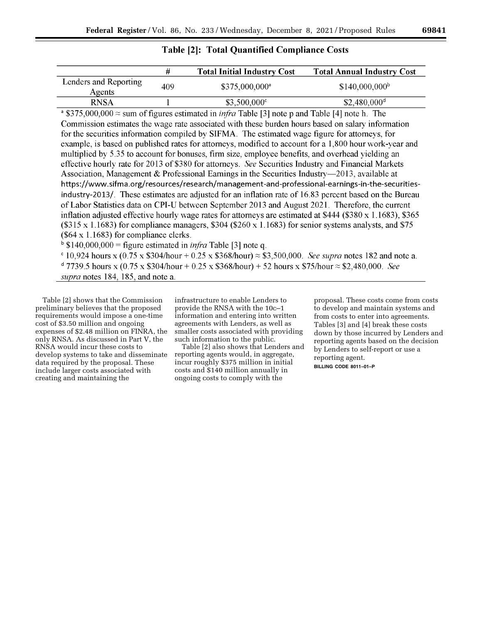# **Table [2]: Total Quantified Compliance Costs**

|                                 | #   | <b>Total Initial Industry Cost</b> | <b>Total Annual Industry Cost</b> |
|---------------------------------|-----|------------------------------------|-----------------------------------|
| Lenders and Reporting<br>Agents | 409 | $$375,000,000^{\circ}$             | $$140,000,000$ <sup>b</sup>       |
| <b>RNSA</b>                     |     | $$3,500,000^{\circ}$               | $$2,480,000$ <sup>d</sup>         |

 $\degree$  \$375,000,000  $\approx$  sum of figures estimated in *infra* Table [3] note p and Table [4] note h. The Commission estimates the wage rate associated with these burden hours based on salary information for the securities information compiled by SIFMA. The estimated wage figure for attorneys, for example, is based on published rates for attorneys, modified to account for a 1,800 hour work-year and multiplied by 5.35 to account for bonuses, firm size, employee benefits, and overhead yielding an effective hourly rate for 2013 of \$380 for attorneys. See Securities Industry and Financial Markets Association, Management & Professional Earnings in the Securities Industry—2013, available at https://www.sifma.org/resources/research/management-and-professional-earnings-in-the-securitiesindustry-2013/. These estimates are adjusted for an inflation rate of 16.83 percent based on the Bureau of Labor Statistics data on CPI-U between September 2013 and August 2021. Therefore, the current inflation adjusted effective hourly wage rates for attorneys are estimated at  $$444$  ( $$380 \times 1.1683$ ), \$365  $(\$315 \times 1.1683)$  for compliance managers,  $\$304$  ( $\$260 \times 1.1683$ ) for senior systems analysts, and \$75  $(\$64 \times 1.1683)$  for compliance clerks.

 $\frac{1}{2}$  \$140,000,000 = figure estimated in *infra* Table [3] note q.

 $\degree$  10,924 hours x (0.75 x \$304/hour + 0.25 x \$368/hour)  $\approx$  \$3,500,000. See supra notes 182 and note a.  $d$  7739.5 hours x (0.75 x \$304/hour + 0.25 x \$368/hour) + 52 hours x \$75/hour  $\approx$  \$2.480,000. See *supra* notes 184, 185, and note a

Table [2] shows that the Commission preliminary believes that the proposed requirements would impose a one-time cost of \$3.50 million and ongoing expenses of \$2.48 million on FINRA, the only RNSA. As discussed in Part V, the RNSA would incur these costs to develop systems to take and disseminate data required by the proposal. These include larger costs associated with creating and maintaining the

infrastructure to enable Lenders to provide the RNSA with the 10c–1 information and entering into written agreements with Lenders, as well as smaller costs associated with providing such information to the public.

Table [2] also shows that Lenders and reporting agents would, in aggregate, incur roughly \$375 million in initial costs and \$140 million annually in ongoing costs to comply with the

proposal. These costs come from costs to develop and maintain systems and from costs to enter into agreements. Tables [3] and [4] break these costs down by those incurred by Lenders and reporting agents based on the decision by Lenders to self-report or use a reporting agent.

**BILLING CODE 8011–01–P**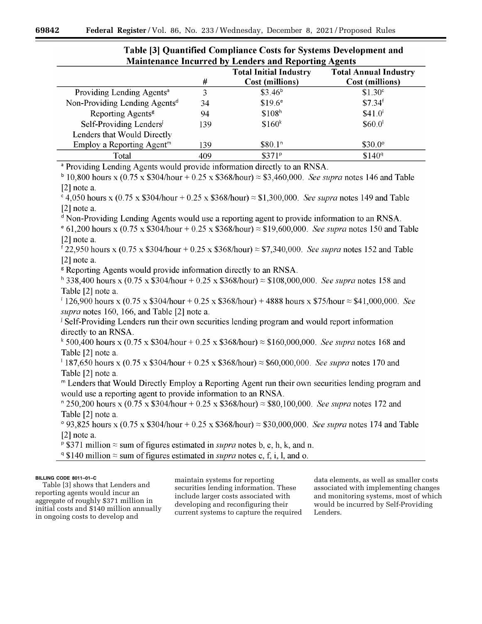| <b>Manitenance Incurred by Lenders and Reporting Agents</b> |     |                               |                              |  |  |
|-------------------------------------------------------------|-----|-------------------------------|------------------------------|--|--|
|                                                             |     | <b>Total Initial Industry</b> | <b>Total Annual Industry</b> |  |  |
|                                                             | #   | Cost (millions)               | Cost (millions)              |  |  |
| Providing Lending Agents <sup>a</sup>                       |     | $$3.46^b$                     | \$1.30 <sup>c</sup>          |  |  |
| Non-Providing Lending Agents <sup>d</sup>                   | 34  | $$19.6^\circ$                 | \$7.34 <sup>f</sup>          |  |  |
| Reporting Agents <sup>8</sup>                               | 94  | \$108 <sup>h</sup>            | \$41.0'                      |  |  |
| Self-Providing Lenders                                      | 139 | \$160 <sup>k</sup>            | $$60.0$ <sup>1</sup>         |  |  |
| Lenders that Would Directly                                 |     |                               |                              |  |  |
| Employ a Reporting Agent <sup>m</sup>                       | 139 | \$80.1 <sup>n</sup>           | $$30.0^\circ$                |  |  |
| Total                                                       | 409 | \$371 <sup>p</sup>            | \$140 <sup>q</sup>           |  |  |
|                                                             |     |                               |                              |  |  |

# Table [3] Quantified Compliance Costs for Systems Development and Maintenance Incurred by Londors and Departing Agents

<sup>a</sup> Providing Lending Agents would provide information directly to an RNSA.

 $^{b}$  10,800 hours x (0.75 x \$304/hour + 0.25 x \$368/hour)  $\approx$  \$3,460,000. See supra notes 146 and Table  $[2]$  note a.

 $\epsilon$  4.050 hours x (0.75 x \$304/hour + 0.25 x \$368/hour)  $\approx$  \$1.300.000. See supra notes 149 and Table  $[2]$  note a.

<sup>d</sup> Non-Providing Lending Agents would use a reporting agent to provide information to an RNSA.

 $\degree$  61,200 hours x (0.75 x \$304/hour + 0.25 x \$368/hour)  $\approx$  \$19,600,000. See supra notes 150 and Table  $[2]$  note a.

 $f$  22,950 hours x (0.75 x \$304/hour + 0.25 x \$368/hour)  $\approx$  \$7,340,000. See supra notes 152 and Table [2] note a.

<sup>8</sup> Reporting Agents would provide information directly to an RNSA.

 $h$  338,400 hours x (0.75 x \$304/hour + 0.25 x \$368/hour)  $\approx$  \$108,000,000. See supra notes 158 and Table [2] note a.

 $126,900$  hours x (0.75 x \$304/hour + 0.25 x \$368/hour) + 4888 hours x \$75/hour  $\approx$  \$41,000,000. See supra notes 160, 166, and Table [2] note a.

<sup>1</sup> Self-Providing Lenders run their own securities lending program and would report information directly to an RNSA.

 $*$  500,400 hours x (0.75 x \$304/hour + 0.25 x \$368/hour)  $\approx$  \$160,000,000. See supra notes 168 and Table [2] note a.

 $187,650$  hours x (0.75 x \$304/hour + 0.25 x \$368/hour)  $\approx$  \$60,000,000. See supra notes 170 and Table [2] note a.

" Lenders that Would Directly Employ a Reporting Agent run their own securities lending program and would use a reporting agent to provide information to an RNSA.

 $\frac{1}{2}$  250,200 hours x (0.75 x \$304/hour + 0.25 x \$368/hour)  $\approx$  \$80,100,000. See supra notes 172 and Table [2] note a.

° 93,825 hours x (0.75 x \$304/hour + 0.25 x \$368/hour) ≈ \$30,000,000. See supra notes 174 and Table  $[2]$  note a.

<sup>p</sup> \$371 million  $\approx$  sum of figures estimated in *supra* notes b, e, h, k, and n.

 $\degree$  \$140 million  $\approx$  sum of figures estimated in *supra* notes c, f, i, l, and o.

### **BILLING CODE 8011–01–C**

Table [3] shows that Lenders and reporting agents would incur an aggregate of roughly \$371 million in initial costs and \$140 million annually in ongoing costs to develop and

maintain systems for reporting securities lending information. These include larger costs associated with developing and reconfiguring their current systems to capture the required

data elements, as well as smaller costs associated with implementing changes and monitoring systems, most of which would be incurred by Self-Providing Lenders.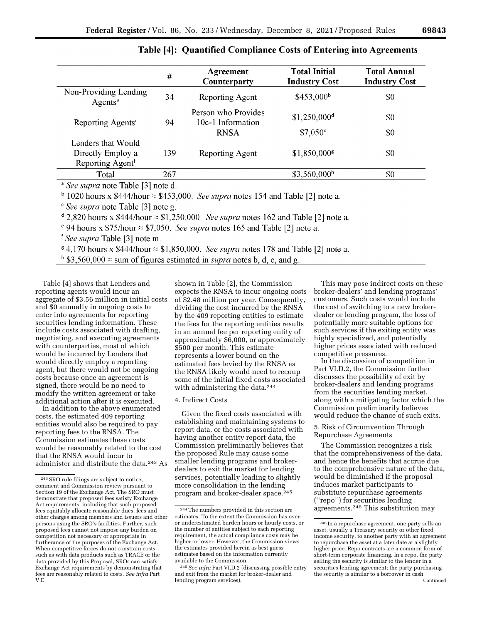|                                                                         | #   | Agreement<br>Counterparty                               | <b>Total Initial</b><br><b>Industry Cost</b>   | <b>Total Annual</b><br><b>Industry Cost</b> |
|-------------------------------------------------------------------------|-----|---------------------------------------------------------|------------------------------------------------|---------------------------------------------|
| Non-Providing Lending<br>Agents <sup>a</sup>                            | 34  | Reporting Agent                                         | \$453,000 <sup>b</sup>                         | \$0                                         |
| Reporting Agents <sup>c</sup>                                           | 94  | Person who Provides<br>10c-1 Information<br><b>RNSA</b> | $$1,250,000$ <sup>d</sup><br>$$7,050^{\circ}$$ | \$0<br>\$0                                  |
| Lenders that Would<br>Directly Employ a<br>Reporting Agent <sup>f</sup> | 139 | Reporting Agent                                         | $$1,850,000$ <sup>g</sup>                      | \$0                                         |
| Total                                                                   | 267 |                                                         | \$3,560,000 <sup>h</sup>                       | \$0                                         |
| <sup>a</sup> See sunra note Table [3] note d                            |     |                                                         |                                                |                                             |

# Table [4]: Quantified Compliance Costs of Entering into Agreements

See supra note Table [3] note d.

 $\frac{1}{2}$  1020 hours x \$444/hour  $\approx$  \$453,000. *See supra* notes 154 and Table [2] note a.

" See supra note Table [3] note g.

 $\alpha$  2,820 hours x \$444/hour  $\approx$  \$1,250,000. See supra notes 162 and Table [2] note a.

<sup>e</sup> 94 hours x \$75/hour  $\approx$  \$7,050. See supra notes 165 and Table [2] note a.

<sup>f</sup> See supra Table [3] note m.

 $\frac{1}{2}$  4,170 hours x \$444/hour  $\approx$  \$1,850,000. See supra notes 178 and Table [2] note a.

<sup>h</sup> \$3,560,000  $\approx$  sum of figures estimated in *supra* notes b, d, e, and g.

Table [4] shows that Lenders and reporting agents would incur an aggregate of \$3.56 million in initial costs and \$0 annually in ongoing costs to enter into agreements for reporting securities lending information. These include costs associated with drafting, negotiating, and executing agreements with counterparties, most of which would be incurred by Lenders that would directly employ a reporting agent, but there would not be ongoing costs because once an agreement is signed, there would be no need to modify the written agreement or take additional action after it is executed.

In addition to the above enumerated costs, the estimated 409 reporting entities would also be required to pay reporting fees to the RNSA. The Commission estimates these costs would be reasonably related to the cost that the RNSA would incur to administer and distribute the data.243 As

shown in Table [2], the Commission expects the RNSA to incur ongoing costs of \$2.48 million per year. Consequently, dividing the cost incurred by the RNSA by the 409 reporting entities to estimate the fees for the reporting entities results in an annual fee per reporting entity of approximately \$6,000, or approximately \$500 per month. This estimate represents a lower bound on the estimated fees levied by the RNSA as the RNSA likely would need to recoup some of the initial fixed costs associated with administering the data.<sup>244</sup>

#### 4. Indirect Costs

Given the fixed costs associated with establishing and maintaining systems to report data, or the costs associated with having another entity report data, the Commission preliminarily believes that the proposed Rule may cause some smaller lending programs and brokerdealers to exit the market for lending services, potentially leading to slightly more consolidation in the lending program and broker-dealer space.245

This may pose indirect costs on these broker-dealers' and lending programs' customers. Such costs would include the cost of switching to a new brokerdealer or lending program, the loss of potentially more suitable options for such services if the exiting entity was highly specialized, and potentially higher prices associated with reduced competitive pressures.

In the discussion of competition in Part VI.D.2, the Commission further discusses the possibility of exit by broker-dealers and lending programs from the securities lending market, along with a mitigating factor which the Commission preliminarily believes would reduce the chance of such exits.

5. Risk of Circumvention Through Repurchase Agreements

The Commission recognizes a risk that the comprehensiveness of the data, and hence the benefits that accrue due to the comprehensive nature of the data, would be diminished if the proposal induces market participants to substitute repurchase agreements (''repo'') for securities lending agreements.246 This substitution may

<sup>243</sup>SRO rule filings are subject to notice, comment and Commission review pursuant to Section 19 of the Exchange Act. The SRO must demonstrate that proposed fees satisfy Exchange Act requirements, including that such proposed fees equitably allocate reasonable dues, fees and other charges among members and issuers and other persons using the SRO's facilities. Further, such proposed fees cannot not impose any burden on competition not necessary or appropriate in furtherance of the purposes of the Exchange Act. When competitive forces do not constrain costs, such as with data products such as TRACE or the data provided by this Proposal, SROs can satisfy Exchange Act requirements by demonstrating that fees are reasonably related to costs. *See infra* Part V.E.

<sup>244</sup>The numbers provided in this section are estimates. To the extent the Commission has overor underestimated burden hours or hourly costs, or the number of entities subject to each reporting requirement, the actual compliance costs may be higher or lower. However, the Commission views the estimates provided herein as best guess estimates based on the information currently available to the Commission.

<sup>245</sup>*See infra* Part VI.D.2 (discussing possible entry and exit from the market for broker-dealer and lending program services).

<sup>246</sup> In a repurchase agreement, one party sells an asset, usually a Treasury security or other fixed income security, to another party with an agreement to repurchase the asset at a later date at a slightly higher price. Repo contracts are a common form of short-term corporate financing. In a repo, the party selling the security is similar to the lender in a securities lending agreement; the party purchasing the security is similar to a borrower in cash Continued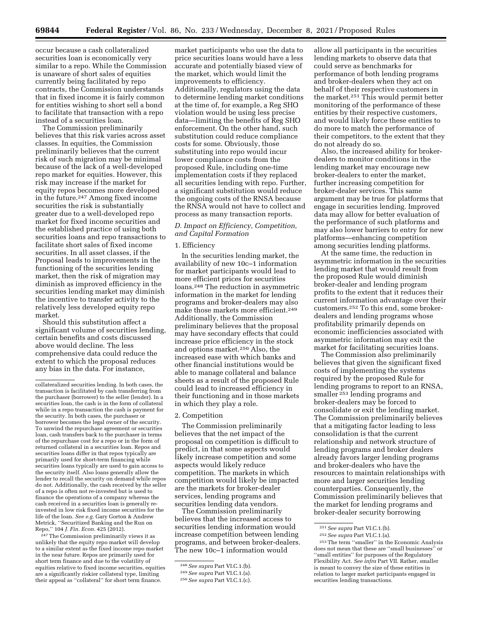occur because a cash collateralized securities loan is economically very similar to a repo. While the Commission is unaware of short sales of equities currently being facilitated by repo contracts, the Commission understands that in fixed income it is fairly common for entities wishing to short sell a bond to facilitate that transaction with a repo instead of a securities loan.

The Commission preliminarily believes that this risk varies across asset classes. In equities, the Commission preliminarily believes that the current risk of such migration may be minimal because of the lack of a well-developed repo market for equities. However, this risk may increase if the market for equity repos becomes more developed in the future.247 Among fixed income securities the risk is substantially greater due to a well-developed repo market for fixed income securities and the established practice of using both securities loans and repo transactions to facilitate short sales of fixed income securities. In all asset classes, if the Proposal leads to improvements in the functioning of the securities lending market, then the risk of migration may diminish as improved efficiency in the securities lending market may diminish the incentive to transfer activity to the relatively less developed equity repo market.

Should this substitution affect a significant volume of securities lending, certain benefits and costs discussed above would decline. The less comprehensive data could reduce the extent to which the proposal reduces any bias in the data. For instance,

247The Commission preliminarily views it as unlikely that the equity repo market will develop to a similar extent as the fixed income repo market in the near future. Repos are primarily used for short term finance and due to the volatility of equities relative to fixed income securities, equities are a significantly riskier collateral type, limiting their appeal as ''collateral'' for short term finance.

market participants who use the data to price securities loans would have a less accurate and potentially biased view of the market, which would limit the improvements to efficiency. Additionally, regulators using the data to determine lending market conditions at the time of, for example, a Reg SHO violation would be using less precise data—limiting the benefits of Reg SHO enforcement. On the other hand, such substitution could reduce compliance costs for some. Obviously, those substituting into repo would incur lower compliance costs from the proposed Rule, including one-time implementation costs if they replaced all securities lending with repo. Further, a significant substitution would reduce the ongoing costs of the RNSA because the RNSA would not have to collect and process as many transaction reports.

### *D. Impact on Efficiency, Competition, and Capital Formation*

### 1. Efficiency

In the securities lending market, the availability of new 10c–1 information for market participants would lead to more efficient prices for securities loans.248 The reduction in asymmetric information in the market for lending programs and broker-dealers may also make those markets more efficient.249 Additionally, the Commission preliminary believes that the proposal may have secondary effects that could increase price efficiency in the stock and options market.250 Also, the increased ease with which banks and other financial institutions would be able to manage collateral and balance sheets as a result of the proposed Rule could lead to increased efficiency in their functioning and in those markets in which they play a role.

### 2. Competition

The Commission preliminarily believes that the net impact of the proposal on competition is difficult to predict, in that some aspects would likely increase competition and some aspects would likely reduce competition. The markets in which competition would likely be impacted are the markets for broker-dealer services, lending programs and securities lending data vendors.

The Commission preliminarily believes that the increased access to securities lending information would increase competition between lending programs, and between broker-dealers. The new 10c–1 information would

allow all participants in the securities lending markets to observe data that could serve as benchmarks for performance of both lending programs and broker-dealers when they act on behalf of their respective customers in the market.251 This would permit better monitoring of the performance of these entities by their respective customers, and would likely force these entities to do more to match the performance of their competitors, to the extent that they do not already do so.

Also, the increased ability for brokerdealers to monitor conditions in the lending market may encourage new broker-dealers to enter the market, further increasing competition for broker-dealer services. This same argument may be true for platforms that engage in securities lending. Improved data may allow for better evaluation of the performance of such platforms and may also lower barriers to entry for new platforms—enhancing competition among securities lending platforms.

At the same time, the reduction in asymmetric information in the securities lending market that would result from the proposed Rule would diminish broker-dealer and lending program profits to the extent that it reduces their current information advantage over their customers.252 To this end, some brokerdealers and lending programs whose profitability primarily depends on economic inefficiencies associated with asymmetric information may exit the market for facilitating securities loans.

The Commission also preliminarily believes that given the significant fixed costs of implementing the systems required by the proposed Rule for lending programs to report to an RNSA, smaller<sup>253</sup> lending programs and broker-dealers may be forced to consolidate or exit the lending market. The Commission preliminarily believes that a mitigating factor leading to less consolidation is that the current relationship and network structure of lending programs and broker dealers already favors larger lending programs and broker-dealers who have the resources to maintain relationships with more and larger securities lending counterparties. Consequently, the Commission preliminarily believes that the market for lending programs and broker-dealer security borrowing

collateralized securities lending. In both cases, the transaction is facilitated by cash transferring from the purchaser (borrower) to the seller (lender). In a securities loan, the cash is in the form of collateral while in a repo transaction the cash is payment for the security. In both cases, the purchaser or borrower becomes the legal owner of the security. To unwind the repurchase agreement or securities loan, cash transfers back to the purchaser in terms of the repurchase cost for a repo or in the form of returned collateral in a securities loan. Repos and securities loans differ in that repos typically are primarily used for short-term financing while securities loans typically are used to gain access to the security itself. Also loans generally allow the lender to recall the security on demand while repos do not. Additionally, the cash received by the seller of a repo is often not re-invested but is used to finance the operations of a company whereas the cash received in a securities loan is generally reinvested in low risk fixed income securities for the life of the loan. *See e.g.* Gary Gorton & Andrew Metrick, ''Securitized Banking and the Run on Repo,'' 104 *J. Fin. Econ.* 425 (2012).

<sup>248</sup>*See supra* Part VI.C.1.(b).

<sup>249</sup>*See supra* Part VI.C.1.(a).

<sup>250</sup>*See supra* Part VI.C.1.(c).

<sup>251</sup>*See supra* Part VI.C.1.(b).

<sup>252</sup>*See supra* Part VI.C.1.(a).

<sup>253</sup>The term ''smaller'' in the Economic Analysis does not mean that these are "small businesses" ''small entities'' for purposes of the Regulatory Flexibility Act. *See infra* Part VII. Rather, smaller is meant to convey the size of these entities in relation to larger market participants engaged in securities lending transactions.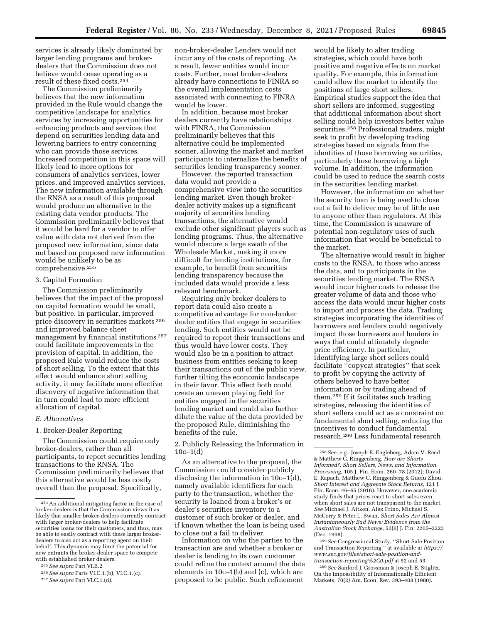services is already likely dominated by larger lending programs and brokerdealers that the Commission does not believe would cease operating as a result of these fixed costs.254

The Commission preliminarily believes that the new information provided in the Rule would change the competitive landscape for analytics services by increasing opportunities for enhancing products and services that depend on securities lending data and lowering barriers to entry concerning who can provide those services. Increased competition in this space will likely lead to more options for consumers of analytics services, lower prices, and improved analytics services. The new information available through the RNSA as a result of this proposal would produce an alternative to the existing data vendor products. The Commission preliminarily believes that it would be hard for a vendor to offer value with data not derived from the proposed new information, since data not based on proposed new information would be unlikely to be as comprehensive.255

#### 3. Capital Formation

The Commission preliminarily believes that the impact of the proposal on capital formation would be small, but positive. In particular, improved price discovery in securities markets 256 and improved balance sheet management by financial institutions 257 could facilitate improvements in the provision of capital. In addition, the proposed Rule would reduce the costs of short selling. To the extent that this effect would enhance short selling activity, it may facilitate more effective discovery of negative information that in turn could lead to more efficient allocation of capital.

#### *E. Alternatives*

### 1. Broker-Dealer Reporting

The Commission could require only broker-dealers, rather than all participants, to report securities lending transactions to the RNSA. The Commission preliminarily believes that this alternative would be less costly overall than the proposal. Specifically,

non-broker-dealer Lenders would not incur any of the costs of reporting. As a result, fewer entities would incur costs. Further, most broker-dealers already have connections to FINRA so the overall implementation costs associated with connecting to FINRA would be lower.

In addition, because most broker dealers currently have relationships with FINRA, the Commission preliminarily believes that this alternative could be implemented sooner, allowing the market and market participants to internalize the benefits of securities lending transparency sooner.

However, the reported transaction data would not provide a comprehensive view into the securities lending market. Even though brokerdealer activity makes up a significant majority of securities lending transactions, the alternative would exclude other significant players such as lending programs. Thus, the alternative would obscure a large swath of the Wholesale Market, making it more difficult for lending institutions, for example, to benefit from securities lending transparency because the included data would provide a less relevant benchmark.

Requiring only broker dealers to report data could also create a competitive advantage for non-broker dealer entities that engage in securities lending. Such entities would not be required to report their transactions and thus would have lower costs. They would also be in a position to attract business from entities seeking to keep their transactions out of the public view, further tilting the economic landscape in their favor. This effect both could create an uneven playing field for entities engaged in the securities lending market and could also further dilute the value of the data provided by the proposed Rule, diminishing the benefits of the rule.

2. Publicly Releasing the Information in  $10c-1(d)$ 

As an alternative to the proposal, the Commission could consider publicly disclosing the information in 10c–1(d), namely available identifiers for each party to the transaction, whether the security is loaned from a broker's or dealer's securities inventory to a customer of such broker or dealer, and if known whether the loan is being used to close out a fail to deliver.

Information on who the parties to the transaction are and whether a broker or dealer is lending to its own customer could refine the context around the data elements in 10c–1(b) and (c), which are proposed to be public. Such refinement

would be likely to alter trading strategies, which could have both positive and negative effects on market quality. For example, this information could allow the market to identify the positions of large short sellers. Empirical studies support the idea that short sellers are informed, suggesting that additional information about short selling could help investors better value securities.<sup>258</sup> Professional traders, might seek to profit by developing trading strategies based on signals from the identities of those borrowing securities, particularly those borrowing a high volume. In addition, the information could be used to reduce the search costs in the securities lending market.

However, the information on whether the security loan is being used to close out a fail to deliver may be of little use to anyone other than regulators. At this time, the Commission is unaware of potential non-regulatory uses of such information that would be beneficial to the market.

The alternative would result in higher costs to the RNSA, to those who access the data, and to participants in the securities lending market. The RNSA would incur higher costs to release the greater volume of data and those who access the data would incur higher costs to import and process the data. Trading strategies incorporating the identities of borrowers and lenders could negatively impact those borrowers and lenders in ways that could ultimately degrade price efficiency. In particular, identifying large short sellers could facilitate ''copycat strategies'' that seek to profit by copying the activity of others believed to have better information or by trading ahead of them.259 If it facilitates such trading strategies, releasing the identities of short sellers could act as a constraint on fundamental short selling, reducing the incentives to conduct fundamental research.260 Less fundamental research

259*See* Congressional Study, ''Short Sale Position and Transaction Reporting,'' at available at *[https://](https://www.sec.gov/files/short-sale-position-and-transaction-reporting%2C0.pdf) [www.sec.gov/files/short-sale-position-and](https://www.sec.gov/files/short-sale-position-and-transaction-reporting%2C0.pdf)[transaction-reporting%2C0.pdf](https://www.sec.gov/files/short-sale-position-and-transaction-reporting%2C0.pdf)* at 52 and 53.

260*See* Sanford J. Grossman & Joseph E. Stiglitz, On the Impossibility of Informationally Efficient Markets, 70(2) Am. Econ. Rev. 393–408 (1980).

<sup>254</sup>An additional mitigating factor in the case of broker-dealers is that the Commission views it as likely that smaller broker-dealers currently contract with larger broker-dealers to help facilitate securities loans for their customers, and thus, may be able to easily contract with these larger brokerdealers to also act as a reporting agent on their behalf. This dynamic may limit the potential for new entrants the broker-dealer space to compete with established broker dealers.

<sup>255</sup>*See supra* Part VI.B.2

<sup>256</sup>*See supra* Parts VI.C.1.(b), VI.C.1.(c).

<sup>257</sup>*See supra* Part VI.C.1.(d).

<sup>258</sup>*See, e.g.,* Joseph E. Engleberg, Adam V. Reed & Matthew C. Ringgenberg, *How are Shorts Informed?: Short Sellers, News, and Information Processing,* 105 J. Fin. Econ. 260–78 (2012); David E. Rapach, Matthew C. Ringgenberg & Guofu Zhou, *Short Interest and Aggregate Stock Returns,* 121 J. Fin. Econ. 46–65 (2016). However, one academic study finds that prices react to short sales even when short sales are not transparent to the market. *See* Michael J. Aitken, Alex Frino, Michael S. McCorry & Peter L. Swan, *Short Sales Are Almost Instantaneously Bad News: Evidence from the Australian Stock Exchange,* 53(6) J. Fin. 2205–2223 (Dec. 1998).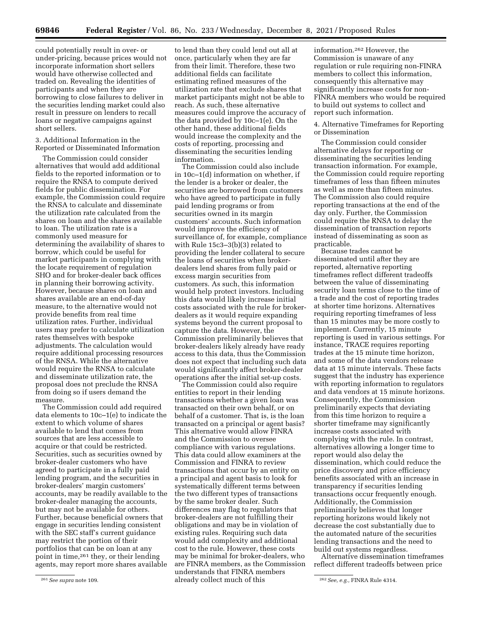could potentially result in over- or under-pricing, because prices would not incorporate information short sellers would have otherwise collected and traded on. Revealing the identities of participants and when they are borrowing to close failures to deliver in the securities lending market could also result in pressure on lenders to recall loans or negative campaigns against short sellers.

### 3. Additional Information in the Reported or Disseminated Information

The Commission could consider alternatives that would add additional fields to the reported information or to require the RNSA to compute derived fields for public dissemination. For example, the Commission could require the RNSA to calculate and disseminate the utilization rate calculated from the shares on loan and the shares available to loan. The utilization rate is a commonly used measure for determining the availability of shares to borrow, which could be useful for market participants in complying with the locate requirement of regulation SHO and for broker-dealer back offices in planning their borrowing activity. However, because shares on loan and shares available are an end-of-day measure, to the alternative would not provide benefits from real time utilization rates. Further, individual users may prefer to calculate utilization rates themselves with bespoke adjustments. The calculation would require additional processing resources of the RNSA. While the alternative would require the RNSA to calculate and disseminate utilization rate, the proposal does not preclude the RNSA from doing so if users demand the measure.

The Commission could add required data elements to 10c–1(e) to indicate the extent to which volume of shares available to lend that comes from sources that are less accessible to acquire or that could be restricted. Securities, such as securities owned by broker-dealer customers who have agreed to participate in a fully paid lending program, and the securities in broker-dealers' margin customers' accounts, may be readily available to the broker-dealer managing the accounts, but may not be available for others. Further, because beneficial owners that engage in securities lending consistent with the SEC staff's current guidance may restrict the portion of their portfolios that can be on loan at any point in time,261 they, or their lending agents, may report more shares available

to lend than they could lend out all at once, particularly when they are far from their limit. Therefore, these two additional fields can facilitate estimating refined measures of the utilization rate that exclude shares that market participants might not be able to reach. As such, these alternative measures could improve the accuracy of the data provided by 10c–1(e). On the other hand, these additional fields would increase the complexity and the costs of reporting, processing and disseminating the securities lending information.

The Commission could also include in 10c–1(d) information on whether, if the lender is a broker or dealer, the securities are borrowed from customers who have agreed to participate in fully paid lending programs or from securities owned in its margin customers' accounts. Such information would improve the efficiency of surveillance of, for example, compliance with Rule 15c3–3(b)(3) related to providing the lender collateral to secure the loans of securities when brokerdealers lend shares from fully paid or excess margin securities from customers. As such, this information would help protect investors. Including this data would likely increase initial costs associated with the rule for brokerdealers as it would require expanding systems beyond the current proposal to capture the data. However, the Commission preliminarily believes that broker-dealers likely already have ready access to this data, thus the Commission does not expect that including such data would significantly affect broker-dealer operations after the initial set-up costs.

261*See supra* note 109. 262*See, e.g.,* FINRA Rule 4314. already collect much of this The Commission could also require entities to report in their lending transactions whether a given loan was transacted on their own behalf, or on behalf of a customer. That is, is the loan transacted on a principal or agent basis? This alternative would allow FINRA and the Commission to oversee compliance with various regulations. This data could allow examiners at the Commission and FINRA to review transactions that occur by an entity on a principal and agent basis to look for systematically different terms between the two different types of transactions by the same broker dealer. Such differences may flag to regulators that broker-dealers are not fulfilling their obligations and may be in violation of existing rules. Requiring such data would add complexity and additional cost to the rule. However, these costs may be minimal for broker-dealers, who are FINRA members, as the Commission understands that FINRA members

information.262 However, the Commission is unaware of any regulation or rule requiring non-FINRA members to collect this information, consequently this alternative may significantly increase costs for non-FINRA members who would be required to build out systems to collect and report such information.

4. Alternative Timeframes for Reporting or Dissemination

The Commission could consider alternative delays for reporting or disseminating the securities lending transaction information. For example, the Commission could require reporting timeframes of less than fifteen minutes as well as more than fifteen minutes. The Commission also could require reporting transactions at the end of the day only. Further, the Commission could require the RNSA to delay the dissemination of transaction reports instead of disseminating as soon as practicable.

Because trades cannot be disseminated until after they are reported, alternative reporting timeframes reflect different tradeoffs between the value of disseminating security loan terms close to the time of a trade and the cost of reporting trades at shorter time horizons. Alternatives requiring reporting timeframes of less than 15 minutes may be more costly to implement. Currently, 15 minute reporting is used in various settings. For instance, TRACE requires reporting trades at the 15 minute time horizon, and some of the data vendors release data at 15 minute intervals. These facts suggest that the industry has experience with reporting information to regulators and data vendors at 15 minute horizons. Consequently, the Commission preliminarily expects that deviating from this time horizon to require a shorter timeframe may significantly increase costs associated with complying with the rule. In contrast, alternatives allowing a longer time to report would also delay the dissemination, which could reduce the price discovery and price efficiency benefits associated with an increase in transparency if securities lending transactions occur frequently enough. Additionally, the Commission preliminarily believes that longer reporting horizons would likely not decrease the cost substantially due to the automated nature of the securities lending transactions and the need to build out systems regardless.

Alternative dissemination timeframes reflect different tradeoffs between price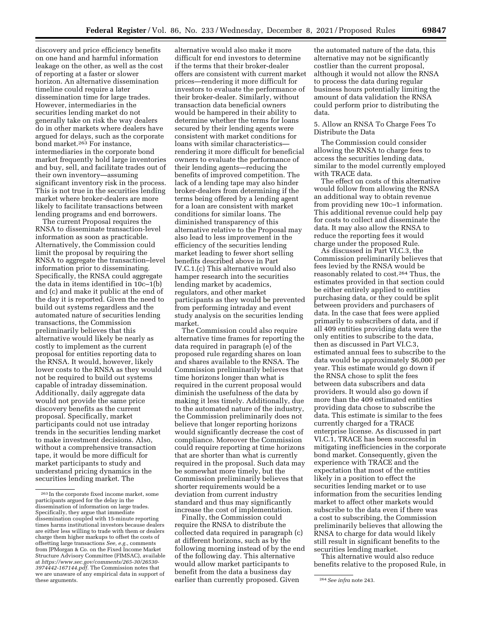discovery and price efficiency benefits on one hand and harmful information leakage on the other, as well as the cost of reporting at a faster or slower horizon. An alternative dissemination timeline could require a later dissemination time for large trades. However, intermediaries in the securities lending market do not generally take on risk the way dealers do in other markets where dealers have argued for delays, such as the corporate bond market.263 For instance, intermediaries in the corporate bond market frequently hold large inventories and buy, sell, and facilitate trades out of their own inventory—assuming significant inventory risk in the process. This is not true in the securities lending market where broker-dealers are more likely to facilitate transactions between lending programs and end borrowers.

The current Proposal requires the RNSA to disseminate transaction-level information as soon as practicable. Alternatively, the Commission could limit the proposal by requiring the RNSA to aggregate the transaction–level information prior to disseminating. Specifically, the RNSA could aggregate the data in items identified in 10c–1(b) and (c) and make it public at the end of the day it is reported. Given the need to build out systems regardless and the automated nature of securities lending transactions, the Commission preliminarily believes that this alternative would likely be nearly as costly to implement as the current proposal for entities reporting data to the RNSA. It would, however, likely lower costs to the RNSA as they would not be required to build out systems capable of intraday dissemination. Additionally, daily aggregate data would not provide the same price discovery benefits as the current proposal. Specifically, market participants could not use intraday trends in the securities lending market to make investment decisions. Also, without a comprehensive transaction tape, it would be more difficult for market participants to study and understand pricing dynamics in the securities lending market. The

alternative would also make it more difficult for end investors to determine if the terms that their broker-dealer offers are consistent with current market prices—rendering it more difficult for investors to evaluate the performance of their broker-dealer. Similarly, without transaction data beneficial owners would be hampered in their ability to determine whether the terms for loans secured by their lending agents were consistent with market conditions for loans with similar characteristics rendering it more difficult for beneficial owners to evaluate the performance of their lending agents—reducing the benefits of improved competition. The lack of a lending tape may also hinder broker-dealers from determining if the terms being offered by a lending agent for a loan are consistent with market conditions for similar loans. The diminished transparency of this alternative relative to the Proposal may also lead to less improvement in the efficiency of the securities lending market leading to fewer short selling benefits described above in Part IV.C.1.(c) This alternative would also hamper research into the securities lending market by academics, regulators, and other market participants as they would be prevented from performing intraday and event study analysis on the securities lending market.

The Commission could also require alternative time frames for reporting the data required in paragraph (e) of the proposed rule regarding shares on loan and shares available to the RNSA. The Commission preliminarily believes that time horizons longer than what is required in the current proposal would diminish the usefulness of the data by making it less timely. Additionally, due to the automated nature of the industry, the Commission preliminarily does not believe that longer reporting horizons would significantly decrease the cost of compliance. Moreover the Commission could require reporting at time horizons that are shorter than what is currently required in the proposal. Such data may be somewhat more timely, but the Commission preliminarily believes that shorter requirements would be a deviation from current industry standard and thus may significantly increase the cost of implementation.

these arguments. The case of the currently proposed. Given  $\frac{264}{3}$  See infra note 243. Finally, the Commission could require the RNSA to distribute the collected data required in paragraph (c) at different horizons, such as by the following morning instead of by the end of the following day. This alternative would allow market participants to benefit from the data a business day

the automated nature of the data, this alternative may not be significantly costlier than the current proposal, although it would not allow the RNSA to process the data during regular business hours potentially limiting the amount of data validation the RNSA could perform prior to distributing the data.

### 5. Allow an RNSA To Charge Fees To Distribute the Data

The Commission could consider allowing the RNSA to charge fees to access the securities lending data, similar to the model currently employed with TRACE data.

The effect on costs of this alternative would follow from allowing the RNSA an additional way to obtain revenue from providing new 10c–1 information. This additional revenue could help pay for costs to collect and disseminate the data. It may also allow the RNSA to reduce the reporting fees it would charge under the proposed Rule.

As discussed in Part VI.C.3, the Commission preliminarily believes that fees levied by the RNSA would be reasonably related to cost.264 Thus, the estimates provided in that section could be either entirely applied to entities purchasing data, or they could be split between providers and purchasers of data. In the case that fees were applied primarily to subscribers of data, and if all 409 entities providing data were the only entities to subscribe to the data, then as discussed in Part VI.C.3, estimated annual fees to subscribe to the data would be approximately \$6,000 per year. This estimate would go down if the RNSA chose to split the fees between data subscribers and data providers. It would also go down if more than the 409 estimated entities providing data chose to subscribe the data. This estimate is similar to the fees currently charged for a TRACE enterprise license. As discussed in part VI.C.1, TRACE has been successful in mitigating inefficiencies in the corporate bond market. Consequently, given the experience with TRACE and the expectation that most of the entities likely in a position to effect the securities lending market or to use information from the securities lending market to affect other markets would subscribe to the data even if there was a cost to subscribing, the Commission preliminarily believes that allowing the RNSA to charge for data would likely still result in significant benefits to the securities lending market.

This alternative would also reduce benefits relative to the proposed Rule, in

<sup>263</sup> In the corporate fixed income market, some participants argued for the delay in the dissemination of information on large trades. Specifically, they argue that immediate dissemination coupled with 15-minute reporting times harms institutional investors because dealers are either less willing to trade with them or dealers charge them higher markups to offset the costs of offsetting large transactions *See, e.g.,* comments from JPMorgan & Co. on the Fixed Income Market Structure Advisory Committee (FIMSAC), available at *[https://www.sec.gov/comments/265-30/26530-](https://www.sec.gov/comments/265-30/26530-3974442-167144.pdf) [3974442-167144.pdf.](https://www.sec.gov/comments/265-30/26530-3974442-167144.pdf)* The Commission notes that we are unaware of any empirical data in support of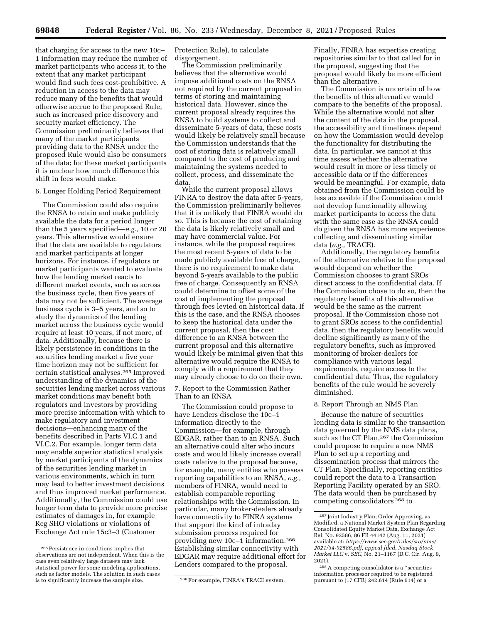that charging for access to the new 10c– 1 information may reduce the number of market participants who access it, to the extent that any market participant would find such fees cost-prohibitive. A reduction in access to the data may reduce many of the benefits that would otherwise accrue to the proposed Rule, such as increased price discovery and security market efficiency. The Commission preliminarily believes that many of the market participants providing data to the RNSA under the proposed Rule would also be consumers of the data; for these market participants it is unclear how much difference this shift in fees would make.

#### 6. Longer Holding Period Requirement

The Commission could also require the RNSA to retain and make publicly available the data for a period longer than the 5 years specified—*e.g.,* 10 or 20 years. This alternative would ensure that the data are available to regulators and market participants at longer horizons. For instance, if regulators or market participants wanted to evaluate how the lending market reacts to different market events, such as across the business cycle, then five years of data may not be sufficient. The average business cycle is 3–5 years, and so to study the dynamics of the lending market across the business cycle would require at least 10 years, if not more, of data. Additionally, because there is likely persistence in conditions in the securities lending market a five year time horizon may not be sufficient for certain statistical analyses.265 Improved understanding of the dynamics of the securities lending market across various market conditions may benefit both regulators and investors by providing more precise information with which to make regulatory and investment decisions—enhancing many of the benefits described in Parts VI.C.1 and VI.C.2. For example, longer term data may enable superior statistical analysis by market participants of the dynamics of the securities lending market in various environments, which in turn may lead to better investment decisions and thus improved market performance. Additionally, the Commission could use longer term data to provide more precise estimates of damages in, for example Reg SHO violations or violations of Exchange Act rule 15c3–3 (Customer

Protection Rule), to calculate disgorgement.

The Commission preliminarily believes that the alternative would impose additional costs on the RNSA not required by the current proposal in terms of storing and maintaining historical data. However, since the current proposal already requires the RNSA to build systems to collect and disseminate 5-years of data, these costs would likely be relatively small because the Commission understands that the cost of storing data is relatively small compared to the cost of producing and maintaining the systems needed to collect, process, and disseminate the data.

While the current proposal allows FINRA to destroy the data after 5-years, the Commission preliminarily believes that it is unlikely that FINRA would do so. This is because the cost of retaining the data is likely relatively small and may have commercial value. For instance, while the proposal requires the most recent 5-years of data to be made publicly available free of charge, there is no requirement to make data beyond 5-years available to the public free of charge. Consequently an RNSA could determine to offset some of the cost of implementing the proposal through fees levied on historical data. If this is the case, and the RNSA chooses to keep the historical data under the current proposal, then the cost difference to an RNSA between the current proposal and this alternative would likely be minimal given that this alternative would require the RNSA to comply with a requirement that they may already choose to do on their own.

7. Report to the Commission Rather Than to an RNSA

The Commission could propose to have Lenders disclose the 10c–1 information directly to the Commission—for example, through EDGAR, rather than to an RNSA. Such an alternative could alter who incurs costs and would likely increase overall costs relative to the proposal because, for example, many entities who possess reporting capabilities to an RNSA, *e.g.,*  members of FINRA, would need to establish comparable reporting relationships with the Commission. In particular, many broker-dealers already have connectivity to FINRA systems that support the kind of intraday submission process required for providing new 10c–1 information.266 Establishing similar connectivity with EDGAR may require additional effort for Lenders compared to the proposal.

Finally, FINRA has expertise creating repositories similar to that called for in the proposal, suggesting that the proposal would likely be more efficient than the alternative.

The Commission is uncertain of how the benefits of this alternative would compare to the benefits of the proposal. While the alternative would not alter the content of the data in the proposal, the accessibility and timeliness depend on how the Commission would develop the functionality for distributing the data. In particular, we cannot at this time assess whether the alternative would result in more or less timely or accessible data or if the differences would be meaningful. For example, data obtained from the Commission could be less accessible if the Commission could not develop functionality allowing market participants to access the data with the same ease as the RNSA could do given the RNSA has more experience collecting and disseminating similar data (*e.g.,* TRACE).

Additionally, the regulatory benefits of the alternative relative to the proposal would depend on whether the Commission chooses to grant SROs direct access to the confidential data. If the Commission chose to do so, then the regulatory benefits of this alternative would be the same as the current proposal. If the Commission chose not to grant SROs access to the confidential data, then the regulatory benefits would decline significantly as many of the regulatory benefits, such as improved monitoring of broker-dealers for compliance with various legal requirements, require access to the confidential data. Thus, the regulatory benefits of the rule would be severely diminished.

#### 8. Report Through an NMS Plan

Because the nature of securities lending data is similar to the transaction data governed by the NMS data plans, such as the CT Plan,<sup>267</sup> the Commission could propose to require a new NMS Plan to set up a reporting and dissemination process that mirrors the CT Plan. Specifically, reporting entities could report the data to a Transaction Reporting Facility operated by an SRO. The data would then be purchased by competing consolidators 268 to

<sup>265</sup>Persistence in conditions implies that observations are not independent. When this is the case even relatively large datasets may lack statistical power for some modeling applications, such as factor models. The solution in such cases is to significantly increase the sample size. 266 For example, FINRA's TRACE system.

<sup>267</sup> Joint Industry Plan; Order Approving, as Modified, a National Market System Plan Regarding Consolidated Equity Market Data, Exchange Act Rel. No. 92586, 86 FR 44142 (Aug. 11, 2021) available at: *[https://www.sec.gov/rules/sro/nms/](https://www.sec.gov/rules/sro/nms/2021/34-92586.pdf) [2021/34-92586.pdf,](https://www.sec.gov/rules/sro/nms/2021/34-92586.pdf) appeal filed, Nasdaq Stock Market LLC* v. *SEC,* No. 21–1167 (D.C. Cir. Aug. 9, 2021).

<sup>268</sup>A competing consolidator is a ''securities information processor required to be registered pursuant to [17 CFR] 242.614 (Rule 614) or a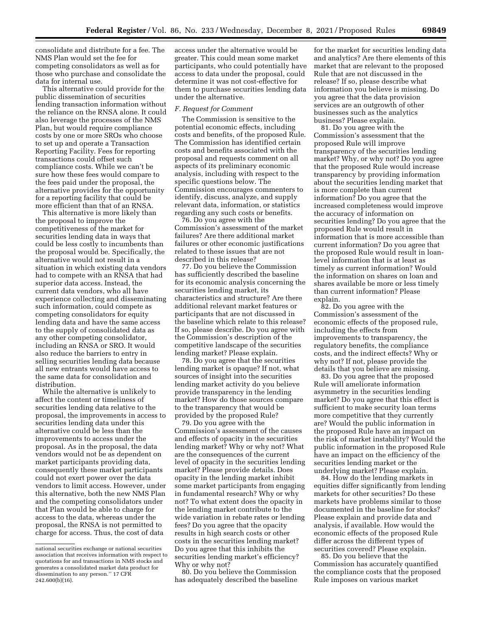consolidate and distribute for a fee. The NMS Plan would set the fee for competing consolidators as well as for those who purchase and consolidate the data for internal use.

This alternative could provide for the public dissemination of securities lending transaction information without the reliance on the RNSA alone. It could also leverage the processes of the NMS Plan, but would require compliance costs by one or more SROs who choose to set up and operate a Transaction Reporting Facility. Fees for reporting transactions could offset such compliance costs. While we can't be sure how these fees would compare to the fees paid under the proposal, the alternative provides for the opportunity for a reporting facility that could be more efficient than that of an RNSA.

This alternative is more likely than the proposal to improve the competitiveness of the market for securities lending data in ways that could be less costly to incumbents than the proposal would be. Specifically, the alternative would not result in a situation in which existing data vendors had to compete with an RNSA that had superior data access. Instead, the current data vendors, who all have experience collecting and disseminating such information, could compete as competing consolidators for equity lending data and have the same access to the supply of consolidated data as any other competing consolidator, including an RNSA or SRO. It would also reduce the barriers to entry in selling securities lending data because all new entrants would have access to the same data for consolidation and distribution.

While the alternative is unlikely to affect the content or timeliness of securities lending data relative to the proposal, the improvements in access to securities lending data under this alternative could be less than the improvements to access under the proposal. As in the proposal, the data vendors would not be as dependent on market participants providing data, consequently these market participants could not exert power over the data vendors to limit access. However, under this alternative, both the new NMS Plan and the competing consolidators under that Plan would be able to charge for access to the data, whereas under the proposal, the RNSA is not permitted to charge for access. Thus, the cost of data

access under the alternative would be greater. This could mean some market participants, who could potentially have access to data under the proposal, could determine it was not cost-effective for them to purchase securities lending data under the alternative.

### *F. Request for Comment*

The Commission is sensitive to the potential economic effects, including costs and benefits, of the proposed Rule. The Commission has identified certain costs and benefits associated with the proposal and requests comment on all aspects of its preliminary economic analysis, including with respect to the specific questions below. The Commission encourages commenters to identify, discuss, analyze, and supply relevant data, information, or statistics regarding any such costs or benefits.

76. Do you agree with the Commission's assessment of the market failures? Are there additional market failures or other economic justifications related to these issues that are not described in this release?

77. Do you believe the Commission has sufficiently described the baseline for its economic analysis concerning the securities lending market, its characteristics and structure? Are there additional relevant market features or participants that are not discussed in the baseline which relate to this release? If so, please describe. Do you agree with the Commission's description of the competitive landscape of the securities lending market? Please explain.

78. Do you agree that the securities lending market is opaque? If not, what sources of insight into the securities lending market activity do you believe provide transparency in the lending market? How do those sources compare to the transparency that would be provided by the proposed Rule?

79. Do you agree with the Commission's assessment of the causes and effects of opacity in the securities lending market? Why or why not? What are the consequences of the current level of opacity in the securities lending market? Please provide details. Does opacity in the lending market inhibit some market participants from engaging in fundamental research? Why or why not? To what extent does the opacity in the lending market contribute to the wide variation in rebate rates or lending fees? Do you agree that the opacity results in high search costs or other costs in the securities lending market? Do you agree that this inhibits the securities lending market's efficiency? Why or why not?

80. Do you believe the Commission has adequately described the baseline

for the market for securities lending data and analytics? Are there elements of this market that are relevant to the proposed Rule that are not discussed in the release? If so, please describe what information you believe is missing. Do you agree that the data provision services are an outgrowth of other businesses such as the analytics business? Please explain.

81. Do you agree with the Commission's assessment that the proposed Rule will improve transparency of the securities lending market? Why, or why not? Do you agree that the proposed Rule would increase transparency by providing information about the securities lending market that is more complete than current information? Do you agree that the increased completeness would improve the accuracy of information on securities lending? Do you agree that the proposed Rule would result in information that is more accessible than current information? Do you agree that the proposed Rule would result in loanlevel information that is at least as timely as current information? Would the information on shares on loan and shares available be more or less timely than current information? Please explain.

82. Do you agree with the Commission's assessment of the economic effects of the proposed rule, including the effects from improvements to transparency, the regulatory benefits, the compliance costs, and the indirect effects? Why or why not? If not, please provide the details that you believe are missing.

83. Do you agree that the proposed Rule will ameliorate information asymmetry in the securities lending market? Do you agree that this effect is sufficient to make security loan terms more competitive that they currently are? Would the public information in the proposed Rule have an impact on the risk of market instability? Would the public information in the proposed Rule have an impact on the efficiency of the securities lending market or the underlying market? Please explain.

84. How do the lending markets in equities differ significantly from lending markets for other securities? Do these markets have problems similar to those documented in the baseline for stocks? Please explain and provide data and analysis, if available. How would the economic effects of the proposed Rule differ across the different types of securities covered? Please explain.

85. Do you believe that the Commission has accurately quantified the compliance costs that the proposed Rule imposes on various market

national securities exchange or national securities association that receives information with respect to quotations for and transactions in NMS stocks and generates a consolidated market data product for dissemination to any person.'' 17 CFR 242.600(b)(16).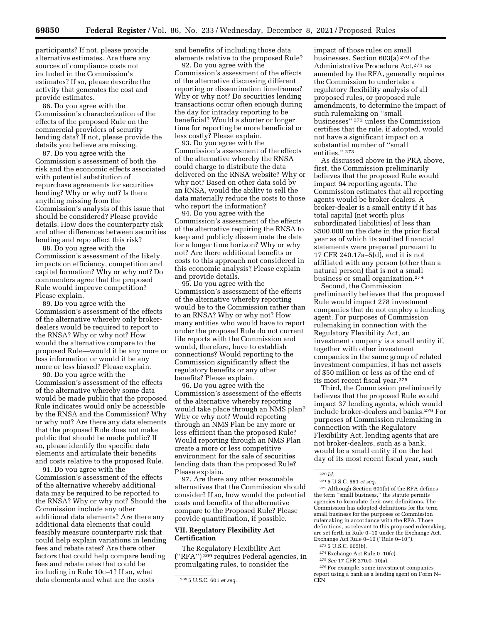participants? If not, please provide alternative estimates. Are there any sources of compliance costs not included in the Commission's estimates? If so, please describe the activity that generates the cost and provide estimates.

86. Do you agree with the Commission's characterization of the effects of the proposed Rule on the commercial providers of security lending data? If not, please provide the details you believe are missing.

87. Do you agree with the Commission's assessment of both the risk and the economic effects associated with potential substitution of repurchase agreements for securities lending? Why or why not? Is there anything missing from the Commission's analysis of this issue that should be considered? Please provide details. How does the counterparty risk and other differences between securities lending and repo affect this risk?

88. Do you agree with the Commission's assessment of the likely impacts on efficiency, competition and capital formation? Why or why not? Do commenters agree that the proposed Rule would improve competition? Please explain.

89. Do you agree with the Commission's assessment of the effects of the alternative whereby only brokerdealers would be required to report to the RNSA? Why or why not? How would the alternative compare to the proposed Rule—would it be any more or less information or would it be any more or less biased? Please explain.

90. Do you agree with the Commission's assessment of the effects of the alternative whereby some data would be made public that the proposed Rule indicates would only be accessible by the RNSA and the Commission? Why or why not? Are there any data elements that the proposed Rule does not make public that should be made public? If so, please identify the specific data elements and articulate their benefits and costs relative to the proposed Rule.

91. Do you agree with the Commission's assessment of the effects of the alternative whereby additional data may be required to be reported to the RNSA? Why or why not? Should the Commission include any other additional data elements? Are there any additional data elements that could feasibly measure counterparty risk that could help explain variations in lending fees and rebate rates? Are there other factors that could help compare lending fees and rebate rates that could be including in Rule 10c–1? If so, what data elements and what are the costs

and benefits of including those data elements relative to the proposed Rule?

92. Do you agree with the Commission's assessment of the effects of the alternative discussing different reporting or dissemination timeframes? Why or why not? Do securities lending transactions occur often enough during the day for intraday reporting to be beneficial? Would a shorter or longer time for reporting be more beneficial or less costly? Please explain.

93. Do you agree with the Commission's assessment of the effects of the alternative whereby the RNSA could charge to distribute the data delivered on the RNSA website? Why or why not? Based on other data sold by an RNSA, would the ability to sell the data materially reduce the costs to those who report the information?

94. Do you agree with the Commission's assessment of the effects of the alternative requiring the RNSA to keep and publicly disseminate the data for a longer time horizon? Why or why not? Are there additional benefits or costs to this approach not considered in this economic analysis? Please explain and provide details.

95. Do you agree with the Commission's assessment of the effects of the alternative whereby reporting would be to the Commission rather than to an RNSA? Why or why not? How many entities who would have to report under the proposed Rule do not current file reports with the Commission and would, therefore, have to establish connections? Would reporting to the Commission significantly affect the regulatory benefits or any other benefits? Please explain.

96. Do you agree with the Commission's assessment of the effects of the alternative whereby reporting would take place through an NMS plan? Why or why not? Would reporting through an NMS Plan be any more or less efficient than the proposed Rule? Would reporting through an NMS Plan create a more or less competitive environment for the sale of securities lending data than the proposed Rule? Please explain.

97. Are there any other reasonable alternatives that the Commission should consider? If so, how would the potential costs and benefits of the alternative compare to the Proposed Rule? Please provide quantification, if possible.

### **VII. Regulatory Flexibility Act Certification**

The Regulatory Flexibility Act (''RFA'') 269 requires Federal agencies, in promulgating rules, to consider the

impact of those rules on small businesses. Section 603(a) 270 of the Administrative Procedure Act,271 as amended by the RFA, generally requires the Commission to undertake a regulatory flexibility analysis of all proposed rules, or proposed rule amendments, to determine the impact of such rulemaking on ''small businesses'' 272 unless the Commission certifies that the rule, if adopted, would not have a significant impact on a substantial number of ''small entities." 273

As discussed above in the PRA above, first, the Commission preliminarily believes that the proposed Rule would impact 94 reporting agents. The Commission estimates that all reporting agents would be broker-dealers. A broker-dealer is a small entity if it has total capital (net worth plus subordinated liabilities) of less than \$500,000 on the date in the prior fiscal year as of which its audited financial statements were prepared pursuant to 17 CFR 240.17a–5(d), and it is not affiliated with any person (other than a natural person) that is not a small business or small organization.274

Second, the Commission preliminarily believes that the proposed Rule would impact 278 investment companies that do not employ a lending agent. For purposes of Commission rulemaking in connection with the Regulatory Flexibility Act, an investment company is a small entity if, together with other investment companies in the same group of related investment companies, it has net assets of \$50 million or less as of the end of its most recent fiscal year.275

Third, the Commission preliminarily believes that the proposed Rule would impact 37 lending agents, which would include broker-dealers and banks.276 For purposes of Commission rulemaking in connection with the Regulatory Flexibility Act, lending agents that are not broker-dealers, such as a bank, would be a small entity if on the last day of its most recent fiscal year, such

271 5 U.S.C. 551 *et seq.* 

272Although Section 601(b) of the RFA defines the term ''small business,'' the statute permits agencies to formulate their own definitions. The Commission has adopted definitions for the term small business for the purposes of Commission rulemaking in accordance with the RFA. Those definitions, as relevant to this proposed rulemaking, are set forth in Rule 0–10 under the Exchange Act. Exchange Act Rule 0–10 (''Rule 0–10'').

- 274Exchange Act Rule 0–10(c).
- 275*See* 17 CFR 270.0–10(a).

<sup>269</sup> 5 U.S.C. 601 *et seq.* 

 $270$  *Id.* 

<sup>273</sup> 5 U.S.C. 605(b).

<sup>276</sup>For example, some investment companies report using a bank as a lending agent on Form N– CEN.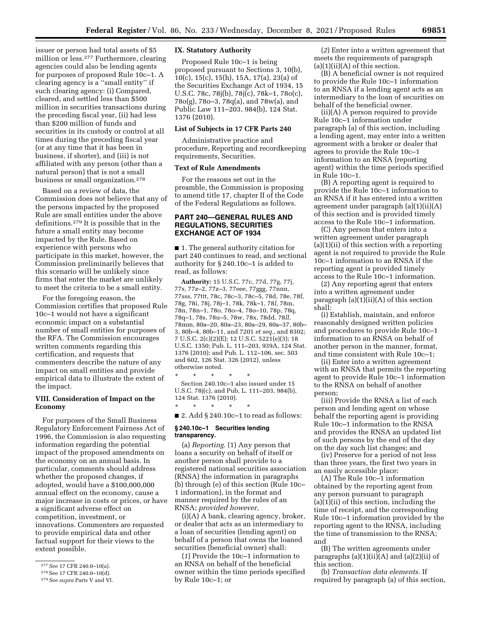issuer or person had total assets of \$5 million or less.277 Furthermore, clearing agencies could also be lending agents for purposes of proposed Rule 10c–1. A clearing agency is a ''small entity'' if such clearing agency: (i) Compared, cleared, and settled less than \$500 million in securities transactions during the preceding fiscal year, (ii) had less than \$200 million of funds and securities in its custody or control at all times during the preceding fiscal year (or at any time that it has been in business, if shorter), and (iii) is not affiliated with any person (other than a natural person) that is not a small business or small organization.278

Based on a review of data, the Commission does not believe that any of the persons impacted by the proposed Rule are small entities under the above definitions.279 It is possible that in the future a small entity may become impacted by the Rule. Based on experience with persons who participate in this market, however, the Commission preliminarily believes that this scenario will be unlikely since firms that enter the market are unlikely to meet the criteria to be a small entity.

For the foregoing reason, the Commission certifies that proposed Rule 10c–1 would not have a significant economic impact on a substantial number of small entities for purposes of the RFA. The Commission encourages written comments regarding this certification, and requests that commenters describe the nature of any impact on small entities and provide empirical data to illustrate the extent of the impact.

### **VIII. Consideration of Impact on the Economy**

For purposes of the Small Business Regulatory Enforcement Fairness Act of 1996, the Commission is also requesting information regarding the potential impact of the proposed amendments on the economy on an annual basis. In particular, comments should address whether the proposed changes, if adopted, would have a \$100,000,000 annual effect on the economy, cause a major increase in costs or prices, or have a significant adverse effect on competition, investment, or innovations. Commenters are requested to provide empirical data and other factual support for their views to the extent possible.

### **IX. Statutory Authority**

Proposed Rule 10c–1 is being proposed pursuant to Sections 3, 10(b), 10(c), 15(c), 15(h), 15A, 17(a), 23(a) of the Securities Exchange Act of 1934, 15 U.S.C. 78c, 78j(b), 78j(c), 78k–1, 78o(c), 78o(g), 78o–3, 78q(a), and 78w(a), and Public Law 111–203, 984(b), 124 Stat. 1376 (2010).

### **List of Subjects in 17 CFR Parts 240**

Administrative practice and procedure, Reporting and recordkeeping requirements, Securities.

### **Text of Rule Amendments**

For the reasons set out in the preamble, the Commission is proposing to amend title 17, chapter II of the Code of the Federal Regulations as follows.

### **PART 240—GENERAL RULES AND REGULATIONS, SECURITIES EXCHANGE ACT OF 1934**

■ 1. The general authority citation for part 240 continues to read, and sectional authority for § 240.10c–1 is added to read, as follows:

**Authority:** 15 U.S.C. 77c, 77d, 77g, 77j, 77s, 77z–2, 77z–3, 77eee, 77ggg, 77nnn, 77sss, 77ttt, 78c, 78c–3, 78c–5, 78d, 78e, 78f, 78g, 78i, 78j, 78j–1, 78k, 78k–1, 78*l,* 78m, 78n, 78n–1, 78o, 78o–4, 78o–10, 78p, 78q, 78q–1, 78s, 78u–5, 78w, 78x, 78dd, 78*ll,*  78mm, 80a–20, 80a–23, 80a–29, 80a–37, 80b– 3, 80b–4, 80b–11, and 7201 *et seq.,* and 8302; 7 U.S.C. 2(c)(2)(E); 12 U.S.C. 5221(e)(3); 18 U.S.C. 1350; Pub. L. 111–203, 939A, 124 Stat. 1376 (2010); and Pub. L. 112–106, sec. 503 and 602, 126 Stat. 326 (2012), unless otherwise noted.

\* \* \* \* \* Section 240.10c–1 also issued under 15 U.S.C. 78j(c), and Pub, L. 111–203, 984(b), 124 Stat. 1376 (2010).

■ 2. Add § 240.10c–1 to read as follows:

#### **§ 240.10c–1 Securities lending transparency.**

\* \* \* \* \*

(a) *Reporting.* (1) Any person that loans a security on behalf of itself or another person shall provide to a registered national securities association (RNSA) the information in paragraphs (b) through (e) of this section (Rule 10c– 1 information), in the format and manner required by the rules of an RNSA; *provided however,* 

(i)(A) A bank, clearing agency, broker, or dealer that acts as an intermediary to a loan of securities (lending agent) on behalf of a person that owns the loaned securities (beneficial owner) shall:

(*1*) Provide the 10c–1 information to an RNSA on behalf of the beneficial owner within the time periods specified by Rule 10c–1; or

(*2*) Enter into a written agreement that meets the requirements of paragraph  $(a)(1)(ii)(A)$  of this section.

(B) A beneficial owner is not required to provide the Rule 10c–1 information to an RNSA if a lending agent acts as an intermediary to the loan of securities on behalf of the beneficial owner.

(ii)(A) A person required to provide Rule 10c–1 information under paragraph (a) of this section, including a lending agent, may enter into a written agreement with a broker or dealer that agrees to provide the Rule 10c–1 information to an RNSA (reporting agent) within the time periods specified in Rule 10c–1.

(B) A reporting agent is required to provide the Rule 10c–1 information to an RNSA if it has entered into a written agreement under paragraph (a)(1)(ii)(A) of this section and is provided timely access to the Rule 10c–1 information.

(C) Any person that enters into a written agreement under paragraph (a)(1)(ii) of this section with a reporting agent is not required to provide the Rule 10c–1 information to an RNSA if the reporting agent is provided timely access to the Rule 10c–1 information.

(2) Any reporting agent that enters into a written agreement under paragraph  $(a)(1)(ii)(A)$  of this section shall:

(i) Establish, maintain, and enforce reasonably designed written policies and procedures to provide Rule 10c–1 information to an RNSA on behalf of another person in the manner, format, and time consistent with Rule 10c–1;

(ii) Enter into a written agreement with an RNSA that permits the reporting agent to provide Rule 10c–1 information to the RNSA on behalf of another person;

(iii) Provide the RNSA a list of each person and lending agent on whose behalf the reporting agent is providing Rule 10c–1 information to the RNSA and provides the RNSA an updated list of such persons by the end of the day on the day such list changes; and

(iv) Preserve for a period of not less than three years, the first two years in an easily accessible place:

(A) The Rule 10c–1 information obtained by the reporting agent from any person pursuant to paragraph (a)(1)(ii) of this section, including the time of receipt, and the corresponding Rule 10c–1 information provided by the reporting agent to the RNSA, including the time of transmission to the RNSA; and

(B) The written agreements under paragraphs (a)(1)(ii)(A) and (a)(2)(ii) of this section.

(b) *Transaction data elements.* If required by paragraph (a) of this section,

<sup>277</sup>*See* 17 CFR 240.0–10(a).

<sup>278</sup>See 17 CFR 240.0–10(d).

<sup>279</sup>*See supra* Parts V and VI.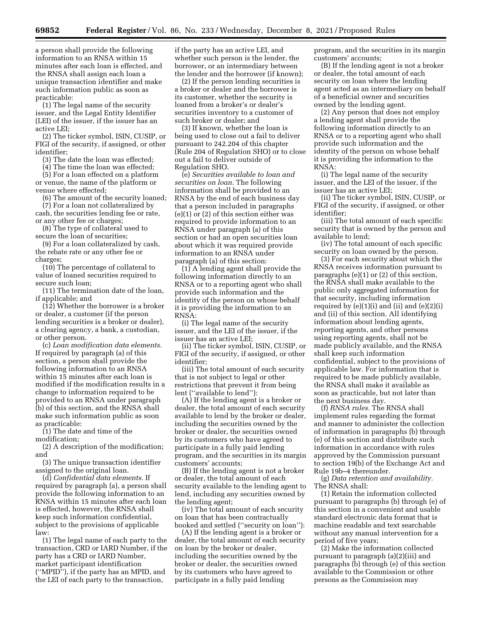a person shall provide the following information to an RNSA within 15 minutes after each loan is effected, and the RNSA shall assign each loan a unique transaction identifier and make such information public as soon as practicable:

(1) The legal name of the security issuer, and the Legal Entity Identifier (LEI) of the issuer, if the issuer has an active LEI;

(2) The ticker symbol, ISIN, CUSIP, or FIGI of the security, if assigned, or other identifier;

(3) The date the loan was effected;

(4) The time the loan was effected;

(5) For a loan effected on a platform or venue, the name of the platform or venue where effected;

(6) The amount of the security loaned;

(7) For a loan not collateralized by cash, the securities lending fee or rate, or any other fee or charges;

(8) The type of collateral used to secure the loan of securities;

(9) For a loan collateralized by cash, the rebate rate or any other fee or charges;

(10) The percentage of collateral to value of loaned securities required to secure such loan;

(11) The termination date of the loan, if applicable; and

(12) Whether the borrower is a broker or dealer, a customer (if the person lending securities is a broker or dealer), a clearing agency, a bank, a custodian, or other person.

(c) *Loan modification data elements.*  If required by paragraph (a) of this section, a person shall provide the following information to an RNSA within 15 minutes after each loan is modified if the modification results in a change to information required to be provided to an RNSA under paragraph (b) of this section, and the RNSA shall make such information public as soon as practicable:

(1) The date and time of the modification;

(2) A description of the modification; and

(3) The unique transaction identifier assigned to the original loan.

(d) *Confidential data elements.* If required by paragraph (a), a person shall provide the following information to an RNSA within 15 minutes after each loan is effected, however, the RNSA shall keep such information confidential, subject to the provisions of applicable law:

(1) The legal name of each party to the transaction, CRD or IARD Number, if the party has a CRD or IARD Number, market participant identification (''MPID''), if the party has an MPID, and the LEI of each party to the transaction,

if the party has an active LEI, and whether such person is the lender, the borrower, or an intermediary between the lender and the borrower (if known);

(2) If the person lending securities is a broker or dealer and the borrower is its customer, whether the security is loaned from a broker's or dealer's securities inventory to a customer of such broker or dealer; and

(3) If known, whether the loan is being used to close out a fail to deliver pursuant to 242.204 of this chapter (Rule 204 of Regulation SHO) or to close out a fail to deliver outside of Regulation SHO.

(e) *Securities available to loan and securities on loan.* The following information shall be provided to an RNSA by the end of each business day that a person included in paragraphs (e)(1) or (2) of this section either was required to provide information to an RNSA under paragraph (a) of this section or had an open securities loan about which it was required provide information to an RNSA under paragraph (a) of this section:

(1) A lending agent shall provide the following information directly to an RNSA or to a reporting agent who shall provide such information and the identity of the person on whose behalf it is providing the information to an RNSA:

(i) The legal name of the security issuer, and the LEI of the issuer, if the issuer has an active LEI;

(ii) The ticker symbol, ISIN, CUSIP, or FIGI of the security, if assigned, or other identifier;

(iii) The total amount of each security that is not subject to legal or other restrictions that prevent it from being lent (''available to lend''):

(A) If the lending agent is a broker or dealer, the total amount of each security available to lend by the broker or dealer, including the securities owned by the broker or dealer, the securities owned by its customers who have agreed to participate in a fully paid lending program, and the securities in its margin customers' accounts;

(B) If the lending agent is not a broker or dealer, the total amount of each security available to the lending agent to lend, including any securities owned by the lending agent;

(iv) The total amount of each security on loan that has been contractually booked and settled (''security on loan''):

(A) If the lending agent is a broker or dealer, the total amount of each security on loan by the broker or dealer, including the securities owned by the broker or dealer, the securities owned by its customers who have agreed to participate in a fully paid lending

program, and the securities in its margin customers' accounts;

(B) If the lending agent is not a broker or dealer, the total amount of each security on loan where the lending agent acted as an intermediary on behalf of a beneficial owner and securities owned by the lending agent.

(2) Any person that does not employ a lending agent shall provide the following information directly to an RNSA or to a reporting agent who shall provide such information and the identity of the person on whose behalf it is providing the information to the RNSA:

(i) The legal name of the security issuer, and the LEI of the issuer, if the issuer has an active LEI;

(ii) The ticker symbol, ISIN, CUSIP, or FIGI of the security, if assigned, or other identifier;

(iii) The total amount of each specific security that is owned by the person and available to lend;

(iv) The total amount of each specific security on loan owned by the person.

(3) For each security about which the RNSA receives information pursuant to paragraphs (e)(1) or (2) of this section, the RNSA shall make available to the public only aggregated information for that security, including information required by  $(e)(1)(i)$  and  $(ii)$  and  $(e)(2)(i)$ and (ii) of this section. All identifying information about lending agents, reporting agents, and other persons using reporting agents, shall not be made publicly available, and the RNSA shall keep such information confidential, subject to the provisions of applicable law. For information that is required to be made publicly available, the RNSA shall make it available as soon as practicable, but not later than the next business day.

(f) *RNSA rules.* The RNSA shall implement rules regarding the format and manner to administer the collection of information in paragraphs (b) through (e) of this section and distribute such information in accordance with rules approved by the Commission pursuant to section 19(b) of the Exchange Act and Rule 19b–4 thereunder.

(g) *Data retention and availability.*  The RNSA shall:

(1) Retain the information collected pursuant to paragraphs (b) through (e) of this section in a convenient and usable standard electronic data format that is machine readable and text searchable without any manual intervention for a period of five years;

(2) Make the information collected pursuant to paragraph (a)(2)(iii) and paragraphs (b) through (e) of this section available to the Commission or other persons as the Commission may